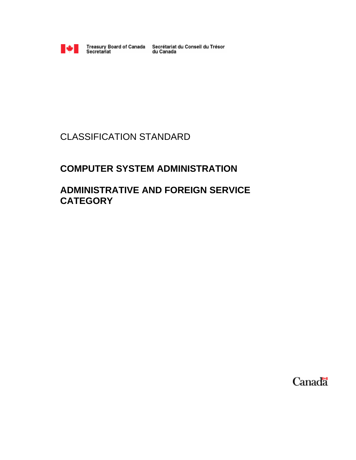

Treasury Board of Canada Secrétariat du Conseil du Trésor<br>Secretariat du Canada

# CLASSIFICATION STANDARD

# **COMPUTER SYSTEM ADMINISTRATION**

# **ADMINISTRATIVE AND FOREIGN SERVICE CATEGORY**

Canada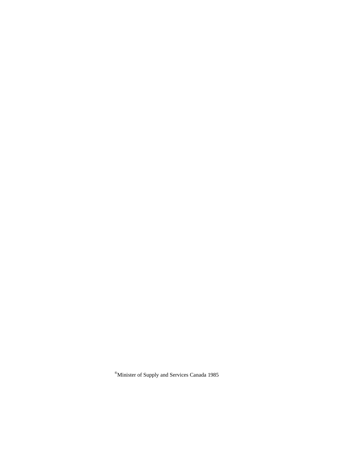®Minister of Supply and Services Canada 1985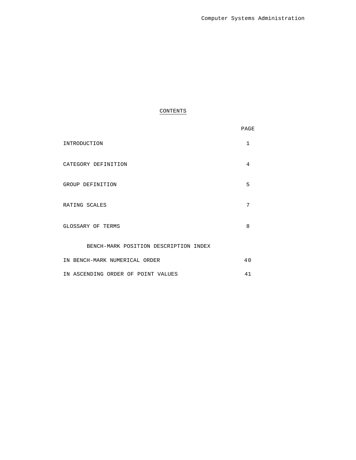# CONTENTS

|                                       | PAGE |
|---------------------------------------|------|
| INTRODUCTION                          | 1    |
| CATEGORY DEFINITION                   | 4    |
| GROUP DEFINITION                      | 5    |
| RATING SCALES                         | 7    |
| GLOSSARY OF TERMS                     | 8    |
| BENCH-MARK POSITION DESCRIPTION INDEX |      |

| IN BENCH-MARK NUMERICAL ORDER      |  |  | 4 O |
|------------------------------------|--|--|-----|
| IN ASCENDING ORDER OF POINT VALUES |  |  | 41  |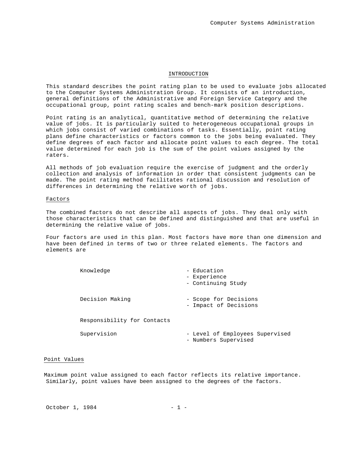#### INTRODUCTION

This standard describes the point rating plan to be used to evaluate jobs allocated to the Computer Systems Administration Group. It consists of an introduction, general definitions of the Administrative and Foreign Service Category and the occupational group, point rating scales and bench-mark position descriptions.

Point rating is an analytical, quantitative method of determining the relative value of jobs. It is particularly suited to heterogeneous occupational groups in which jobs consist of varied combinations of tasks. Essentially, point rating plans define characteristics or factors common to the jobs being evaluated. They define degrees of each factor and allocate point values to each degree. The total value determined for each job is the sum of the point values assigned by the raters.

All methods of job evaluation require the exercise of judgment and the orderly collection and analysis of information in order that consistent judgments can be made. The point rating method facilitates rational discussion and resolution of differences in determining the relative worth of jobs.

#### Factors

The combined factors do not describe all aspects of jobs. They deal only with those characteristics that can be defined and distinguished and that are useful in determining the relative value of jobs.

Four factors are used in this plan. Most factors have more than one dimension and have been defined in terms of two or three related elements. The factors and elements are

| Knowledge                   | - Education<br>- Experience<br>- Continuing Study       |
|-----------------------------|---------------------------------------------------------|
| Decision Making             | - Scope for Decisions<br>- Impact of Decisions          |
| Responsibility for Contacts |                                                         |
| Supervision                 | - Level of Employees Supervised<br>- Numbers Supervised |

#### Point Values

Maximum point value assigned to each factor reflects its relative importance. Similarly, point values have been assigned to the degrees of the factors.

October 1, 1984 - 1 -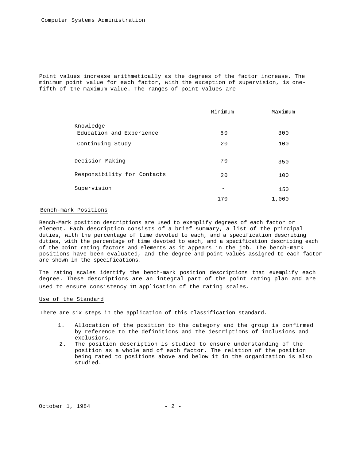Point values increase arithmetically as the degrees of the factor increase. The minimum point value for each factor, with the exception of supervision, is onefifth of the maximum value. The ranges of point values are

|                                       | Minimum | Maximum |
|---------------------------------------|---------|---------|
| Knowledge<br>Education and Experience | 60      | 300     |
| Continuing Study                      | 20      | 100     |
|                                       |         |         |
| Decision Making                       | 70      | 350     |
| Responsibility for Contacts           | 20      | 100     |
| Supervision                           |         | 150     |
|                                       | 170     | 1,000   |

### Bench-mark Positions

Bench-Mark position descriptions are used to exemplify degrees of each factor or element. Each description consists of a brief summary, a list of the principal duties, with the percentage of time devoted to each, and a specification describing duties, with the percentage of time devoted to each, and a specification describing each of the point rating factors and elements as it appears in the job. The bench-mark positions have been evaluated, and the degree and point values assigned to each factor are shown in the specifications.

The rating scales identify the bench-mark position descriptions that exemplify each degree. These descriptions are an integral part of the point rating plan and are used to ensure consistency  $in$  application of the rating scales.

#### Use of the Standard

There are six steps in the application of this classification standard.

- 1. Allocation of the position to the category and the group is confirmed by reference to the definitions and the descriptions of inclusions and exclusions.
- 2. The position description is studied to ensure understanding of the position as a whole and of each factor. The relation of the position being rated to positions above and below it in the organization is also studied.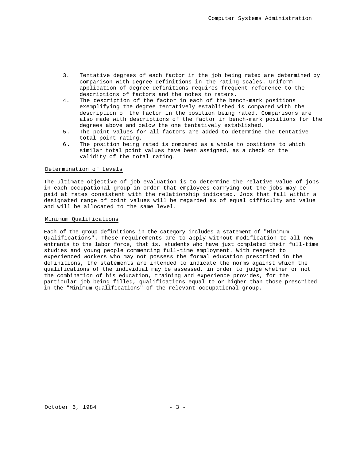- 3. Tentative degrees of each factor in the job being rated are determined by comparison with degree definitions in the rating scales. Uniform application of degree definitions requires frequent reference to the descriptions of factors and the notes to raters.
- 4. The description of the factor in each of the bench-mark positions exemplifying the degree tentatively established is compared with the description of the factor in the position being rated. Comparisons are also made with descriptions of the factor in bench-mark positions for the degrees above and below the one tentatively established.
- 5. The point values for all factors are added to determine the tentative total point rating.
- 6. The position being rated is compared as a whole to positions to which similar total point values have been assigned, as a check on the validity of the total rating.

#### Determination of Levels

The ultimate objective of job evaluation is to determine the relative value of jobs in each occupational group in order that employees carrying out the jobs may be paid at rates consistent with the relationship indicated. Jobs that fall within a designated range of point values will be regarded as of equal difficulty and value and will be allocated to the same level.

#### Minimum Qualifications

Each of the group definitions in the category includes a statement of "Minimum Qualifications". These requirements are to apply without modification to all new entrants to the labor force, that is, students who have just completed their full-time studies and young people commencing full-time employment. With respect to experienced workers who may not possess the formal education prescribed in the definitions, the statements are intended to indicate the norms against which the qualifications of the individual may be assessed, in order to judge whether or not the combination of his education, training and experience provides, for the particular job being filled, qualifications equal to or higher than those prescribed in the "Minimum Qualifications" of the relevant occupational group.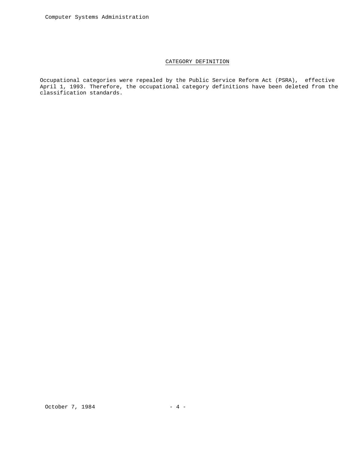## CATEGORY DEFINITION

Occupational categories were repealed by the Public Service Reform Act (PSRA), effective April 1, 1993. Therefore, the occupational category definitions have been deleted from the classification standards.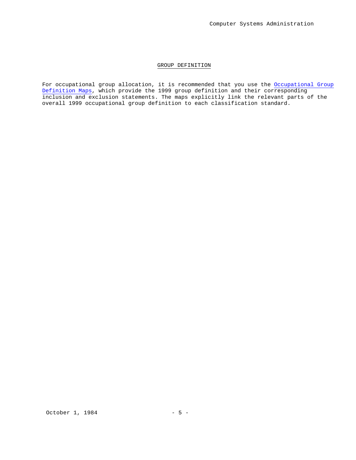### GROUP DEFINITION

For occupational group allocation, it is recommended that you use the Occupational Group Definition Maps, which provide the 1999 group definition and their corresponding inclusion and exclusion statements. The maps explicitly link the relevant parts of the overall 1999 occupational group definition to each classification standard.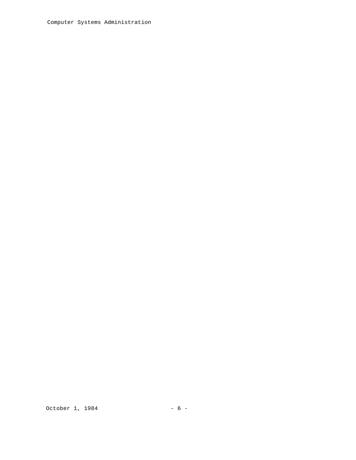Computer Systems Administration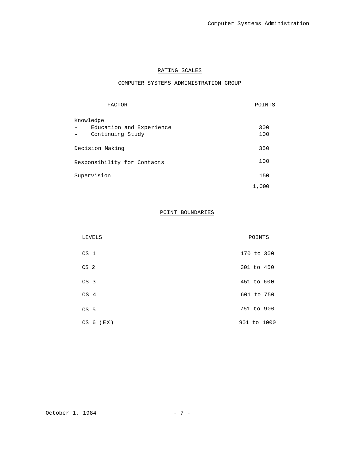# RATING SCALES

# COMPUTER SYSTEMS ADMINISTRATION GROUP

| <b>FACTOR</b>                                                                         | POINTS     |
|---------------------------------------------------------------------------------------|------------|
| Knowledge<br>Education and Experience<br>Continuing Study<br>$\overline{\phantom{m}}$ | 300<br>100 |
| Decision Making                                                                       | 350        |
| Responsibility for Contacts                                                           | 100        |
| Supervision                                                                           | 150        |
|                                                                                       | 1,000      |

## POINT BOUNDARIES

| <b>LEVELS</b>   | POINTS      |
|-----------------|-------------|
| CS <sub>1</sub> | 170 to 300  |
| CS <sub>2</sub> | 301 to 450  |
| CS <sub>3</sub> | 451 to 600  |
| CS <sub>4</sub> | 601 to 750  |
| CS <sub>5</sub> | 751 to 900  |
| CS 6 (EX)       | 901 to 1000 |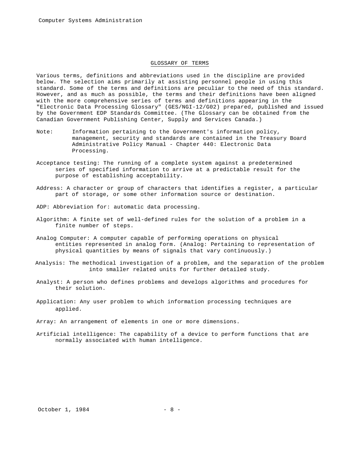### GLOSSARY OF TERMS

Various terms, definitions and abbreviations used in the discipline are provided below. The selection aims primarily at assisting personnel people in using this standard. Some of the terms and definitions are peculiar to the need of this standard. However, and as much as possible, the terms and their definitions have been aligned with the more comprehensive series of terms and definitions appearing in the "Electronic Data Processing Glossary" (GES/NGI-12/G02) prepared, published and issued by the Government EDP Standards Committee. (The Glossary can be obtained from the Canadian Government Publishing Center, Supply and Services Canada.)

- Note: Information pertaining to the Government's information policy, management, security and standards are contained in the Treasury Board Administrative Policy Manual - Chapter 440: Electronic Data Processing.
- Acceptance testing: The running of a complete system against a predetermined series of specified information to arrive at a predictable result for the purpose of establishing acceptability.
- Address: A character or group of characters that identifies a register, a particular part of storage, or some other information source or destination.
- ADP: Abbreviation for: automatic data processing.
- Algorithm: A finite set of well-defined rules for the solution of a problem in a finite number of steps.
- Analog Computer: A computer capable of performing operations on physical entities represented in analog form. (Analog: Pertaining to representation of physical quantities by means of signals that vary continuously.)
- Analysis: The methodical investigation of a problem, and the separation of the problem into smaller related units for further detailed study.
- Analyst: A person who defines problems and develops algorithms and procedures for their solution.
- Application: Any user problem to which information processing techniques are applied.
- Array: An arrangement of elements in one or more dimensions.
- Artificial intelligence: The capability of a device to perform functions that are normally associated with human intelligence.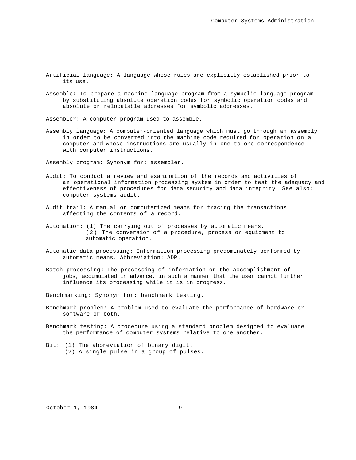- Artificial language: A language whose rules are explicitly established prior to its use.
- Assemble: To prepare a machine language program from a symbolic language program by substituting absolute operation codes for symbolic operation codes and absolute or relocatable addresses for symbolic addresses.

Assembler: A computer program used to assemble.

Assembly language: A computer-oriented language which must go through an assembly in order to be converted into the machine code required for operation on a computer and whose instructions are usually in one-to-one correspondence with computer instructions.

Assembly program: Synonym for: assembler.

- Audit: To conduct a review and examination of the records and activities of an operational information processing system in order to test the adequacy and effectiveness of procedures for data security and data integrity. See also: computer systems audit.
- Audit trail: A manual or computerized means for tracing the transactions affecting the contents of a record.
- Automation: (1) The carrying out of processes by automatic means. (2) The conversion of a procedure, process or equipment to automatic operation.
- Automatic data processing: Information processing predominately performed by automatic means. Abbreviation: ADP.
- Batch processing: The processing of information or the accomplishment of jobs, accumulated in advance, in such a manner that the user cannot further influence its processing while it is in progress.

Benchmarking: Synonym for: benchmark testing.

- Benchmark problem: A problem used to evaluate the performance of hardware or software or both.
- Benchmark testing: A procedure using a standard problem designed to evaluate the performance of computer systems relative to one another.
- Bit: (1) The abbreviation of binary digit. (2) A single pulse in a group of pulses.

October 1, 1984 - 9 -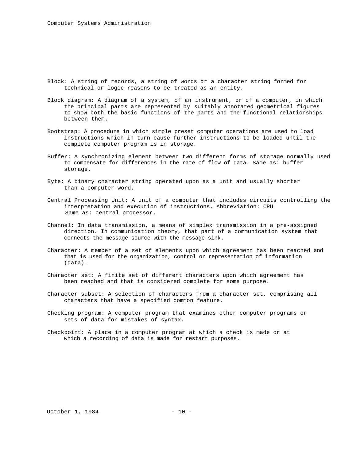- Block: A string of records, a string of words or a character string formed for technical or logic reasons to be treated as an entity.
- Block diagram: A diagram of a system, of an instrument, or of a computer, in which the principal parts are represented by suitably annotated geometrical figures to show both the basic functions of the parts and the functional relationships between them.
- Bootstrap: A procedure in which simple preset computer operations are used to load instructions which in turn cause further instructions to be loaded until the complete computer program is in storage.
- Buffer: A synchronizing element between two different forms of storage normally used to compensate for differences in the rate of flow of data. Same as: buffer storage.
- Byte: A binary character string operated upon as a unit and usually shorter than a computer word.
- Central Processing Unit: A unit of a computer that includes circuits controlling the interpretation and execution of instructions. Abbreviation: CPU Same as: central processor.
- Channel: In data transmission, a means of simplex transmission in a pre-assigned direction. In communication theory, that part of a communication system that connects the message source with the message sink.
- Character: A member of a set of elements upon which agreement has been reached and that is used for the organization, control or representation of information (data).
- Character set: A finite set of different characters upon which agreement has been reached and that is considered complete for some purpose.
- Character subset: A selection of characters from a character set, comprising all characters that have a specified common feature.
- Checking program: A computer program that examines other computer programs or sets of data for mistakes of syntax.
- Checkpoint: A place in a computer program at which a check is made or at which a recording of data is made for restart purposes.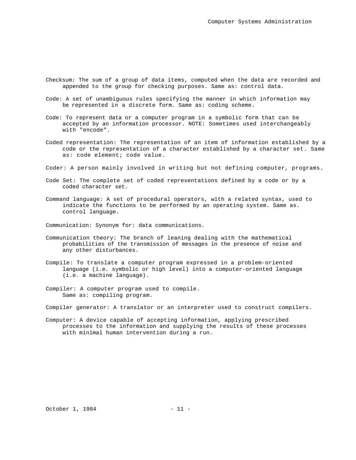- Checksum: The sum of a group of data items, computed when the data are recorded and appended to the group for checking purposes. Same as: control data.
- Code: A set of unambiguous rules specifying the manner in which information may be represented in a discrete form. Same as: coding scheme.
- Code: To represent data or a computer program in a symbolic form that can be accepted by an information processor. NOTE: Sometimes used interchangeably with "encode".
- Coded representation: The representation of an item of information established by a code or the representation of a character established by a character set. Same as: code element; code value.
- Coder: A person mainly involved in writing but not defining computer, programs.
- Code Set: The complete set of coded representations defined by a code or by a coded character set.
- Command language: A set of procedural operators, with a related syntax, used to indicate the functions to be performed by an operating system. Same as. control language.

Communication: Synonym for: data communications.

- Communication theory: The branch of leaning dealing with the mathematical probabilities of the transmission of messages in the presence of noise and any other disturbances.
- Compile: To translate a computer program expressed in a problem-oriented language (i.e. symbolic or high level) into a computer-oriented language (i.e. a machine language).
- Compiler: A computer program used to compile. Same as: compiling program.

Compiler generator: A translator or an interpreter used to construct compilers.

Computer: A device capable of accepting information, applying prescribed processes to the information and supplying the results of these processes with minimal human intervention during a run.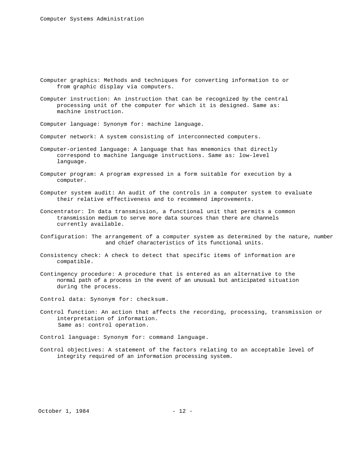Computer graphics: Methods and techniques for converting information to or from graphic display via computers.

Computer instruction: An instruction that can be recognized by the central processing unit of the computer for which it is designed. Same as: machine instruction.

Computer language: Synonym for: machine language.

- Computer network: A system consisting of interconnected computers.
- Computer-oriented language: A language that has mnemonics that directly correspond to machine language instructions. Same as: low-level language.
- Computer program: A program expressed in a form suitable for execution by a computer.
- Computer system audit: An audit of the controls in a computer system to evaluate their relative effectiveness and to recommend improvements.
- Concentrator: In data transmission, a functional unit that permits a common transmission medium to serve more data sources than there are channels currently available.
- Configuration: The arrangement of a computer system as determined by the nature, number and chief characteristics of its functional units.
- Consistency check: A check to detect that specific items of information are compatible.
- Contingency procedure: A procedure that is entered as an alternative to the normal path of a process in the event of an unusual but anticipated situation during the process.

Control data: Synonym for: checksum.

Control function: An action that affects the recording, processing, transmission or interpretation of information. Same as: control operation.

Control language: Synonym for: command language.

Control objectives: A statement of the factors relating to an acceptable level of integrity required of an information processing system.

October 1, 1984 - 12 -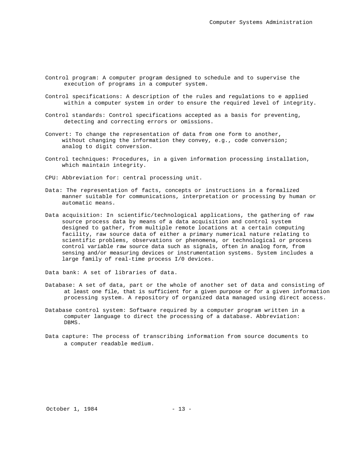- Control program: A computer program designed to schedule and to supervise the execution of programs in a computer system.
- Control specifications: A description of the rules and regulations to e applied within a computer system in order to ensure the required level of integrity.
- Control standards: Control specifications accepted as a basis for preventing, detecting and correcting errors or omissions.
- Convert: To change the representation of data from one form to another, without changing the information they convey, e.g., code conversion; analog to digit conversion.
- Control techniques: Procedures, in a given information processing installation, which maintain integrity.
- CPU: Abbreviation for: central processing unit.
- Data: The representation of facts, concepts or instructions in a formalized manner suitable for communications, interpretation or processing by human or automatic means.
- Data acquisition: In scientific/technological applications, the gathering of raw source process data by means of a data acquisition and control system designed to gather, from multiple remote locations at a certain computing facility, raw source data of either a primary numerical nature relating to scientific problems, observations or phenomena, or technological or process control variable raw source data such as signals, often in analog form, from sensing and/or measuring devices or instrumentation systems. System includes a large family of real-time process I/0 devices.
- Data bank: A set of libraries of data.
- Database: A set of data, part or the whole of another set of data and consisting of at least one file, that is sufficient for a given purpose or for a given information processing system. A repository of organized data managed using direct access.
- Database control system: Software required by a computer program written in a computer language to direct the processing of a database. Abbreviation: DBMS.
- Data capture: The process of transcribing information from source documents to a computer readable medium.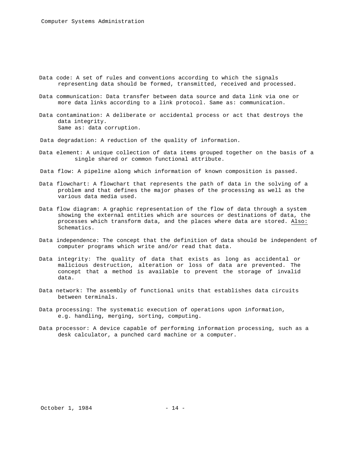- Data code: A set of rules and conventions according to which the signals representing data should be formed, transmitted, received and processed.
- Data communication: Data transfer between data source and data link via one or more data links according to a link protocol. Same as: communication.
- Data contamination: A deliberate or accidental process or act that destroys the data integrity. Same as: data corruption.
- Data degradation: A reduction of the quality of information.
- Data element: A unique collection of data items grouped together on the basis of a single shared or common functional attribute.
- Data flow: A pipeline along which information of known composition is passed.
- Data flowchart: A flowchart that represents the path of data in the solving of a problem and that defines the major phases of the processing as well as the various data media used.
- Data flow diagram: A graphic representation of the flow of data through a system showing the external entities which are sources or destinations of data, the processes which transform data, and the places where data are stored. Also: Schematics.
- Data independence: The concept that the definition of data should be independent of computer programs which write and/or read that data.
- Data integrity: The quality of data that exists as long as accidental or malicious destruction, alteration or loss of data are prevented. The concept that a method is available to prevent the storage of invalid data.
- Data network: The assembly of functional units that establishes data circuits between terminals.
- Data processing: The systematic execution of operations upon information, e.g. handling, merging, sorting, computing.
- Data processor: A device capable of performing information processing, such as a desk calculator, a punched card machine or a computer.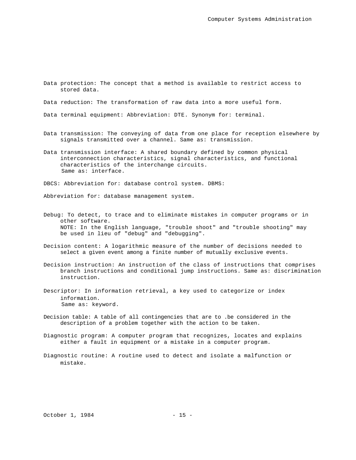Data protection: The concept that a method is available to restrict access to stored data.

Data reduction: The transformation of raw data into a more useful form.

- Data terminal equipment: Abbreviation: DTE. Synonym for: terminal.
- Data transmission: The conveying of data from one place for reception elsewhere by signals transmitted over a channel. Same as: transmission.
- Data transmission interface: A shared boundary defined by common physical interconnection characteristics, signal characteristics, and functional characteristics of the interchange circuits. Same as: interface.
- DBCS: Abbreviation for: database control system. DBMS:

Abbreviation for: database management system.

- Debug: To detect, to trace and to eliminate mistakes in computer programs or in other software. NOTE: In the English language, "trouble shoot" and "trouble shooting" may be used in lieu of "debug" and "debugging".
- Decision content: A logarithmic measure of the number of decisions needed to select a given event among a finite number of mutually exclusive events.
- Decision instruction: An instruction of the class of instructions that comprises branch instructions and conditional jump instructions. Same as: discrimination instruction.
- Descriptor: In information retrieval, a key used to categorize or index information. Same as: keyword.
- Decision table: A table of all contingencies that are to .be considered in the description of a problem together with the action to be taken.
- Diagnostic program: A computer program that recognizes, locates and explains either a fault in equipment or a mistake in a computer program.
- Diagnostic routine: A routine used to detect and isolate a malfunction or mistake.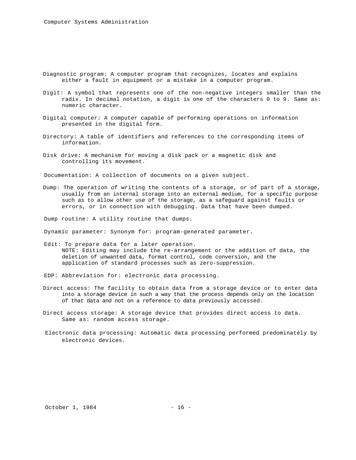Diagnostic program: A computer program that recognizes, locates and explains either a fault in equipment or a mistake in a computer program.

- Digit: A symbol that represents one of the non-negative integers smaller than the radix. In decimal notation, a digit is one of the characters 0 to 9. Same as: numeric character.
- Digital computer: A computer capable of performing operations on information presented in the digital form.
- Directory: A table of identifiers and references to the corresponding items of information.
- Disk drive: A mechanism for moving a disk pack or a magnetic disk and controlling its movement.

Documentation: A collection of documents on a given subject.

Dump: The operation of writing the contents of a storage, or of part of a storage, usually from an internal storage into an external medium, for a specific purpose such as to allow other use of the storage, as a safeguard against faults or errors, or in connection with debugging. Data that have been dumped.

Dump routine: A utility routine that dumps.

Dynamic parameter: Synonym for: program-generated parameter.

- Edit: To prepare data for a later operation. NOTE: Editing may include the re-arrangement or the addition of data, the deletion of unwanted data, format control, code conversion, and the application of standard processes such as zero-suppression.
- EDP: Abbreviation for: electronic data processing.
- Direct access: The facility to obtain data from a storage device or to enter data into a storage device in such a way that the process depends only on the location of that data and not on a reference to data previously accessed.
- Direct access storage: A storage device that provides direct access to data. Same as: random access storage.
- Electronic data processing: Automatic data processing performed predominately by electronic devices.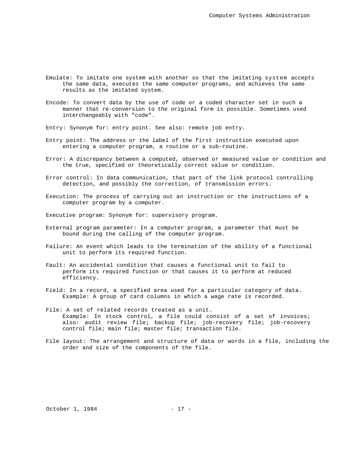- Emulate: To imitate one system with another so that the imitating system accepts the same data, executes the same computer programs, and achieves the same results as the imitated system.
- Encode: To convert data by the use of code or a coded character set in such a manner that re-conversion to the original form is possible. Sometimes used interchangeably with "code".
- Entry: Synonym for: entry point. See also: remote job entry.
- Entry point: The address or the label of the first instruction executed upon entering a computer program, a routine or a sub-routine.
- Error: A discrepancy between a computed, observed or measured value or condition and the true, specified or theoretically correct value or condition.
- Error control: In data communication, that part of the link protocol controlling detection, and possibly the correction, of transmission errors.
- Execution: The process of carrying out an instruction or the instructions of a computer program by a computer.

Executive program: Synonym for: supervisory program.

- External program parameter: In a computer program, a parameter that must be bound during the calling of the computer program.
- Failure: An event which leads to the termination of the ability of a functional unit to perform its required function.
- Fault: An accidental condition that causes a functional unit to fail to perform its required function or that causes it to perform at reduced efficiency.
- Field: In a record, a specified area used for a particular category of data. Example: A group of card columns in which a wage rate is recorded.
- File: A set of related records treated as a unit. Example: In stock control, a file could consist of a set of invoices; also: audit review file; backup file; job-recovery file; job-recovery control file; main file; master file; transaction file.
- File layout: The arrangement and structure of data or words in a file, including the order and size of the components of the file.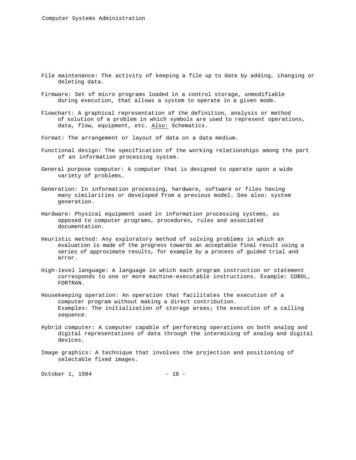- File maintenance: The activity of keeping a file up to date by adding, changing or deleting data.
- Firmware: Set of micro programs loaded in a control storage, unmodifiable during execution, that allows a system to operate in a given mode.
- Flowchart: A graphical representation of the definition, analysis or method of solution of a problem in which symbols are used to represent operations, data, flow, equipment, etc. Also: Schematics.
- Format: The arrangement or layout of data on a data medium.
- Functional design: The specification of the working relationships among the part of an information processing system.
- General purpose computer: A computer that is designed to operate upon a wide variety of problems.
- Generation: In information processing, hardware, software or files having many similarities or developed from a previous model. See also: system generation.
- Hardware: Physical equipment used in information processing systems, as opposed to computer programs, procedures, rules and associated documentation.
- Heuristic method: Any exploratory method of solving problems in which an evaluation is made of the progress towards an acceptable final result using a series of approximate results, for example by a process of guided trial and error.
- High-level language: A language in which each program instruction or statement corresponds to one or more machine-executable instructions. Example: COBOL, FORTRAN.
- Housekeeping operation: An operation that facilitates the execution of a computer program without making a direct contribution. Examples: The initialization of storage areas; the execution of a calling sequence.
- Hybrid computer: A computer capable of performing operations on both analog and digital representations of data through the intermixing of analog and digital devices.
- Image graphics: A technique that involves the projection and positioning of selectable fixed images.

October 1, 1984 - 18 -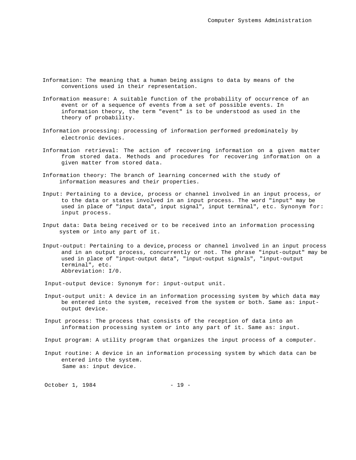- Information: The meaning that a human being assigns to data by means of the conventions used in their representation.
- Information measure: A suitable function of the probability of occurrence of an event or of a sequence of events from a set of possible events. In information theory, the term "event" is to be understood as used in the theory of probability.
- Information processing: processing of information performed predominately by electronic devices.
- Information retrieval: The action of recovering information on a given matter from stored data. Methods and procedures for recovering information on a given matter from stored data.
- Information theory: The branch of learning concerned with the study of information measures and their properties.
- Input: Pertaining to a device, process or channel involved in an input process, or to the data or states involved in an input process. The word "input" may be used in place of "input data", input signal", input terminal", etc. Synonym for: input process.
- Input data: Data being received or to be received into an information processing system or into any part of it.
- Input-output: Pertaining to a device*,* process or channel involved in an input process and in an output process, concurrently or not. The phrase "input-output" may be used in place of "input-output data", "input-output signals", "input-output terminal", etc. Abbreviation: I/0.

Input-output device: Synonym for: input-output unit.

- Input-output unit: A device in an information processing system by which data may be entered into the system, received from the system or both. Same as: inputoutput device.
- Input process: The process that consists of the reception of data into an information processing system or into any part of it. Same as: input.

Input program: A utility program that organizes the input process of a computer.

Input routine: A device in an information processing system by which data can be entered into the system. Same as: input device.

October 1, 1984 - 19 -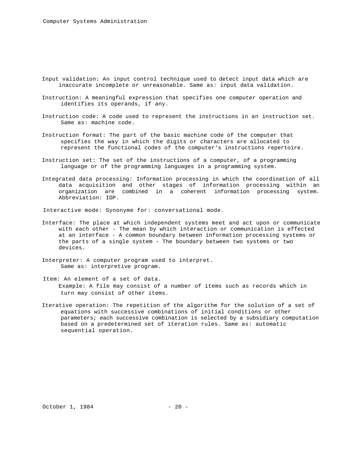- Input validation: An input control technique used to detect input data which are inaccurate incomplete or unreasonable. Same as: input data validation.
- Instruction: A meaningful expression that specifies one computer operation and identifies its operands, if any.
- Instruction code: A code used to represent the instructions in an instruction set. Same as: machine code.
- Instruction format: The part of the basic machine code of the computer that specifies the way in which the digits or characters are allocated to represent the functional codes of the computer's instructions repertoire.
- Instruction set: The set of the instructions of a computer, of a programming language or of the programming languages in a programming system.
- Integrated data processing: Information processing in which the coordination of all data acquisition and other stages of information processing within an organization are combined in a coherent information processing system. Abbreviation: IDP.

Interactive mode: Synonyme for: conversational mode.

- Interface: The place at which independent systems meet and act upon or communicate with each other - The mean by which interaction or communication is effected at an interface - A common boundary between information processing systems or the parts of a single system - The boundary between two systems or two devices.
- Interpreter: A computer program used to interpret. Same as: interpretive program.
- Item: An element of a set of data. Example: A file may consist of a number of items such as records which in turn may consist of other items.
- Iterative operation: The repetition of the algorithm for the solution of a set of equations with successive combinations of initial conditions or other parameters; each successive combination is selected by a subsidiary computation based on a predetermined set of iteration rules. Same as: automatic sequential operation.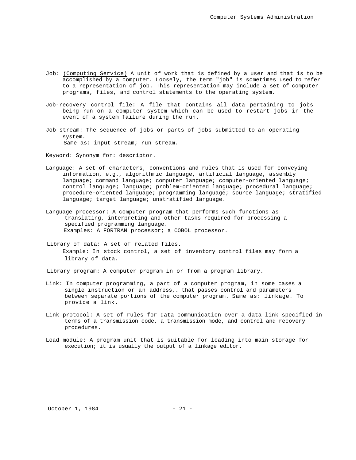- Job: (Computing Service) A unit of work that is defined by a user and that is to be accomplished by a computer. Loosely, the term "job" is sometimes used to refer to a representation of job. This representation may include a set of computer programs, files, and control statements to the operating system.
- Job-recovery control file: A file that contains all data pertaining to jobs being run on a computer system which can be used to restart jobs in the event of a system failure during the run.
- Job stream: The sequence of jobs or parts of jobs submitted to an operating system. Same as: input stream; run stream.

Keyword: Synonym for: descriptor.

- Language: A set of characters, conventions and rules that is used for conveying information, e.g., algorithmic language, artificial language, assembly language; command language; computer language; computer-oriented language; control language; language; problem-oriented language; procedural language; procedure-oriented language; programming language; source language; stratified language; target language; unstratified language.
- Language processor: A computer program that performs such functions as translating, interpreting and other tasks required for processing a specified programming language. Examples: A FORTRAN processor; a COBOL processor.
- Library of data: A set of related files. Example: In stock control, a set of inventory control files may form a library of data.

Library program: A computer program in or from a program library.

- Link: In computer programming, a part of a computer program, in some cases a single instruction or an address,. that passes control and parameters between separate portions of the computer program. Same as: linkage. To provide a link.
- Link protocol: A set of rules for data communication over a data link specified in terms of a transmission code, a transmission mode, and control and recovery procedures.
- Load module: A program unit that is suitable for loading into main storage for execution; it is usually the output of a linkage editor.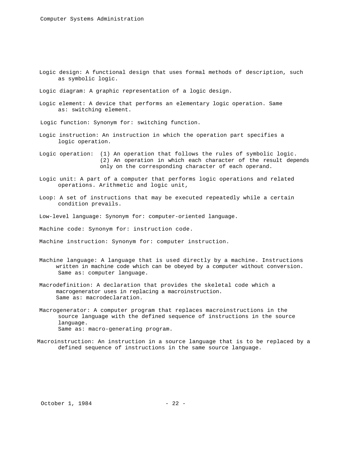- Logic design: A functional design that uses formal methods of description, such as symbolic logic.
- Logic diagram: A graphic representation of a logic design.
- Logic element: A device that performs an elementary logic operation. Same as: switching element.
- Logic function: Synonym for: switching function.
- Logic instruction: An instruction in which the operation part specifies a logic operation.
- Logic operation: (1) An operation that follows the rules of symbolic logic. (2) An operation in which each character of the result depends only on the corresponding character of each operand.
- Logic unit: A part of a computer that performs logic operations and related operations. Arithmetic and logic unit,
- Loop: A set of instructions that may be executed repeatedly while a certain condition prevails.
- Low-level language: Synonym for: computer-oriented language.
- Machine code: Synonym for: instruction code.
- Machine instruction: Synonym for: computer instruction.
- Machine language: A language that is used directly by a machine. Instructions written in machine code which can be obeyed by a computer without conversion. Same as: computer language.
- Macrodefinition: A declaration that provides the skeletal code which a macrogenerator uses in replacing a macroinstruction. Same as: macrodeclaration.
- Macrogenerator: A computer program that replaces macroinstructions in the source language with the defined sequence of instructions in the source language. Same as: macro-generating program.
- Macroinstruction: An instruction in a source language that is to be replaced by a defined sequence of instructions in the same source language.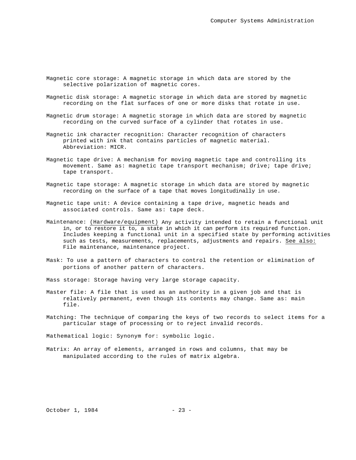Magnetic core storage: A magnetic storage in which data are stored by the selective polarization of magnetic cores.

Magnetic disk storage: A magnetic storage in which data are stored by magnetic recording on the flat surfaces of one or more disks that rotate in use.

- Magnetic drum storage: A magnetic storage in which data are stored by magnetic recording on the curved surface of a cylinder that rotates in use.
- Magnetic ink character recognition: Character recognition of characters printed with ink that contains particles of magnetic material. Abbreviation: MICR.
- Magnetic tape drive: A mechanism for moving magnetic tape and controlling its movement. Same as: magnetic tape transport mechanism; drive; tape drive; tape transport.
- Magnetic tape storage: A magnetic storage in which data are stored by magnetic recording on the surface of a tape that moves longitudinally in use.
- Magnetic tape unit: A device containing a tape drive, magnetic heads and associated controls. Same as: tape deck.
- Maintenance: (Hardware/equipment) Any activity intended to retain a functional unit in, or to restore it to, a state in which it can perform its required function. Includes keeping a functional unit in a specified state by performing activities such as tests, measurements, replacements, adjustments and repairs. See also: File maintenance, maintenance project.
- Mask: To use a pattern of characters to control the retention or elimination of portions of another pattern of characters.

Mass storage: Storage having very large storage capacity.

- Master file: A file that is used as an authority in a given job and that is relatively permanent, even though its contents may change. Same as: main file.
- Matching: The technique of comparing the keys of two records to select items for a particular stage of processing or to reject invalid records.

Mathematical logic: Synonym for: symbolic logic.

Matrix: An array of elements, arranged in rows and columns, that may be manipulated according to the rules of matrix algebra.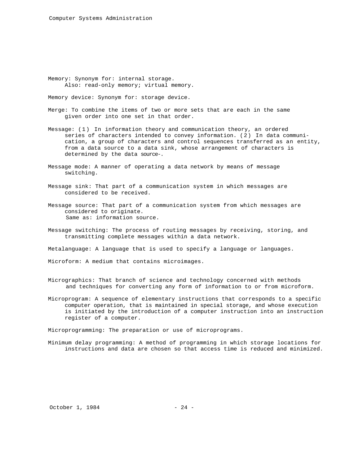Memory: Synonym for: internal storage. Also: read-only memory; virtual memory.

Memory device: Synonym for: storage device.

- Merge: To combine the items of two or more sets that are each in the same given order into one set in that order.
- Message: (1) In information theory and communication theory, an ordered series of characters intended to convey information. (2) In data communication, a group of characters and control sequences transferred as an entity, from a data source to a data sink, whose arrangement of characters is determined by the data source-.
- Message mode: A manner of operating a data network by means of message switching.
- Message sink: That part of a communication system in which messages are considered to be received.
- Message source: That part of a communication system from which messages are considered to originate. Same as: information source.
- Message switching: The process of routing messages by receiving, storing, and transmitting complete messages within a data network.

Metalanguage: A language that is used to specify a language or languages.

Microform: A medium that contains microimages.

- Micrographics: That branch of science and technology concerned with methods and techniques for converting any form of information to or from microform.
- Microprogram: A sequence of elementary instructions that corresponds to a specific computer operation, that is maintained in special storage, and whose execution is initiated by the introduction of a computer instruction into an instruction register of a computer.

Microprogramming: The preparation or use of microprograms.

Minimum delay programming: A method of programming in which storage locations for instructions and data are chosen so that access time is reduced and minimized.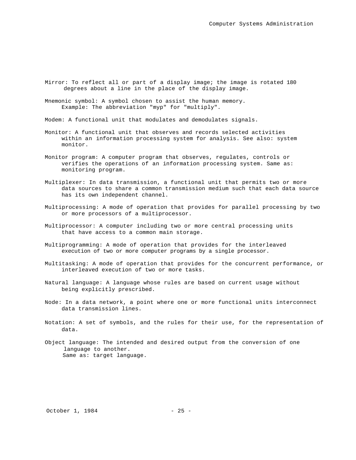- Mirror: To reflect all or part of a display image; the image is rotated 180 degrees about a line in the place of the display image.
- Mnemonic symbol: A symbol chosen to assist the human memory. Example: The abbreviation "myp" for "multiply".

Modem: A functional unit that modulates and demodulates signals.

- Monitor: A functional unit that observes and records selected activities within an information processing system for analysis. See also: system monitor.
- Monitor program: A computer program that observes, regulates, controls or verifies the operations of an information processing system. Same as: monitoring program.
- Multiplexer: In data transmission, a functional unit that permits two or more data sources to share a common transmission medium such that each data source has its own independent channel.
- Multiprocessing: A mode of operation that provides for parallel processing by two or more processors of a multiprocessor.
- Multiprocessor: A computer including two or more central processing units that have access to a common main storage.
- Multiprogramming: A mode of operation that provides for the interleaved execution of two or more computer programs by a single processor.
- Multitasking: A mode of operation that provides for the concurrent performance, or interleaved execution of two or more tasks.
- Natural language: A language whose rules are based on current usage without being explicitly prescribed.
- Node: In a data network, a point where one or more functional units interconnect data transmission lines.
- Notation: A set of symbols, and the rules for their use, for the representation of data.
- Object language: The intended and desired output from the conversion of one language to another. Same as: target language.

October 1, 1984 - 25 -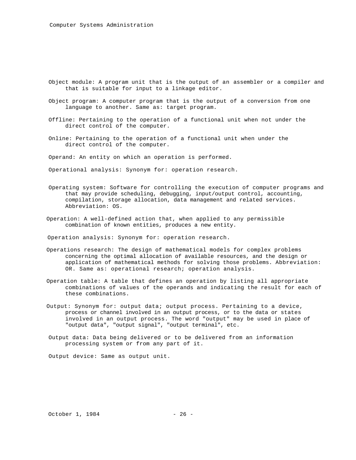- Object module: A program unit that is the output of an assembler or a compiler and that is suitable for input to a linkage editor.
- Object program: A computer program that is the output of a conversion from one language to another. Same as: target program.
- Offline: Pertaining to the operation of a functional unit when not under the direct control of the computer.
- Online: Pertaining to the operation of a functional unit when under the direct control of the computer.

Operand: An entity on which an operation is performed.

Operational analysis: Synonym for: operation research.

- Operating system: Software for controlling the execution of computer programs and that may provide scheduling, debugging, input/output control, accounting, compilation, storage allocation, data management and related services. Abbreviation: OS.
- Operation: A well-defined action that, when applied to any permissible combination of known entities, produces a new entity.

Operation analysis: Synonym for: operation research.

- Operations research: The design of mathematical models for complex problems concerning the optimal allocation of available resources, and the design or application of mathematical methods for solving those problems. Abbreviation: OR. Same as: operational research; operation analysis.
- Operation table: A table that defines an operation by listing all appropriate combinations of values of the operands and indicating the result for each of these combinations.
- Output: Synonym for: output data; output process. Pertaining to a device, process or channel involved in an output process, or to the data or states involved in an output process. The word "output" may be used in place of "output data", "output signal", "output terminal", etc.
- Output data: Data being delivered or to be delivered from an information processing system or from any part of it.

Output device: Same as output unit.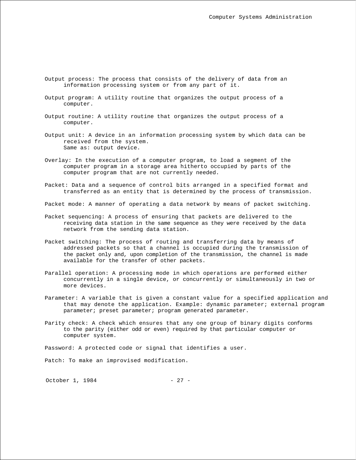- Output process: The process that consists of the delivery of data from an information processing system or from any part of it.
- Output program: A utility routine that organizes the output process of a computer.
- Output routine: A utility routine that organizes the output process of a computer.
- Output unit: A device in an information processing system by which data can be received from the system. Same as: output device.
- Overlay: In the execution of a computer program, to load a segment of the computer program in a storage area hitherto occupied by parts of the computer program that are not currently needed.
- Packet: Data and a sequence of control bits arranged in a specified format and transferred as an entity that is determined by the process of transmission.

Packet mode: A manner of operating a data network by means of packet switching.

- Packet sequencing: A process of ensuring that packets are delivered to the receiving data station in the same sequence as they were received by the data network from the sending data station.
- Packet switching: The process of routing and transferring data by means of addressed packets so that a channel is occupied during the transmission of the packet only and, upon completion of the transmission, the channel is made available for the transfer of other packets.
- Parallel operation: A processing mode in which operations are performed either concurrently in a single device, or concurrently or simultaneously in two or more devices.
- Parameter: A variable that is given a constant value for a specified application and that may denote the application. Example: dynamic parameter; external program parameter; preset parameter; program generated parameter.
- Parity check: A check which ensures that any one group of binary digits conforms to the parity (either odd or even) required by that particular computer or computer system.

Password: A protected code or signal that identifies a user.

Patch: To make an improvised modification.

October 1, 1984 - 27 -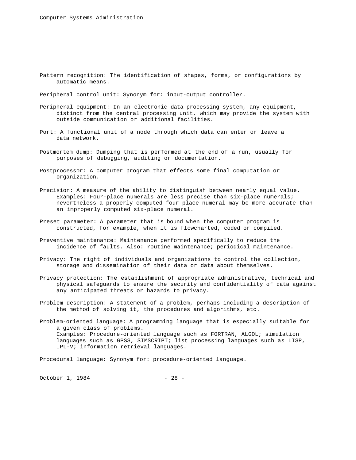Computer Systems Administration

Pattern recognition: The identification of shapes, forms, or configurations by automatic means.

Peripheral control unit: Synonym for: input-output controller.

- Peripheral equipment: In an electronic data processing system, any equipment, distinct from the central processing unit, which may provide the system with outside communication or additional facilities.
- Port: A functional unit of a node through which data can enter or leave a data network.
- Postmortem dump: Dumping that is performed at the end of a run, usually for purposes of debugging, auditing or documentation.
- Postprocessor: A computer program that effects some final computation or organization.
- Precision: A measure of the ability to distinguish between nearly equal value. Examples: Four-place numerals are less precise than six-place numerals; nevertheless a properly computed four-place numeral may be more accurate than an improperly computed six-place numeral.
- Preset parameter: A parameter that is bound when the computer program is constructed, for example, when it is flowcharted, coded or compiled.
- Preventive maintenance: Maintenance performed specifically to reduce the incidence of faults. Also: routine maintenance; periodical maintenance.
- Privacy: The right of individuals and organizations to control the collection, storage and dissemination of their data or data about themselves.
- Privacy protection: The establishment of appropriate administrative, technical and physical safeguards to ensure the security and confidentiality of data against any anticipated threats or hazards to privacy.
- Problem description: A statement of a problem, perhaps including a description of the method of solving it, the procedures and algorithms, etc.
- Problem-oriented language: A programming language that is especially suitable for a given class of problems. Examples: Procedure-oriented language such as FORTRAN, ALGOL; simulation languages such as GPSS, SIMSCRIPT; list processing languages such as LISP, IPL-V; information retrieval languages.

Procedural language: Synonym for: procedure-oriented language.

October 1, 1984 - 28 -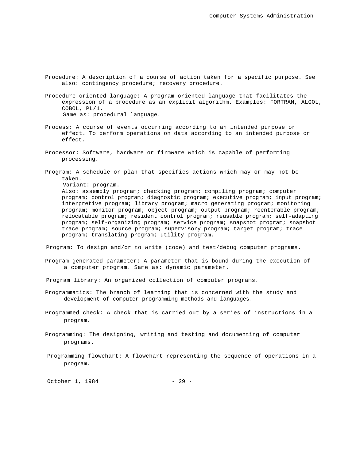- Procedure: A description of a course of action taken for a specific purpose. See also: contingency procedure; recovery procedure.
- Procedure-oriented language: A program-oriented language that facilitates the expression of a procedure as an explicit algorithm. Examples: FORTRAN, ALGOL, COBOL, PL/1. Same as: procedural language.
- Process: A course of events occurring according to an intended purpose or effect. To perform operations on data according to an intended purpose or effect.
- Processor: Software, hardware or firmware which is capable of performing processing.
- Program: A schedule or plan that specifies actions which may or may not be taken.

Variant: program.

Also: assembly program; checking program; compiling program; computer program; control program; diagnostic program; executive program; input program; interpretive program; library program; macro generating program; monitoring program; monitor program; object program; output program; reenterable program; relocatable program; resident control program; reusable program; self-adapting program; self-organizing program; service program; snapshot program; snapshot trace program; source program; supervisory program; target program; trace program; translating program; utility program.

Program: To design and/or to write (code) and test/debug computer programs.

Program-generated parameter: A parameter that is bound during the execution of a computer program. Same as: dynamic parameter.

Program library: An organized collection of computer programs.

- Programmatics: The branch of learning that is concerned with the study and development of computer programming methods and languages.
- Programmed check: A check that is carried out by a series of instructions in a program.
- Programming: The designing, writing and testing and documenting of computer programs.
- Programming flowchart: A flowchart representing the sequence of operations in a program.

October 1, 1984 - 29 -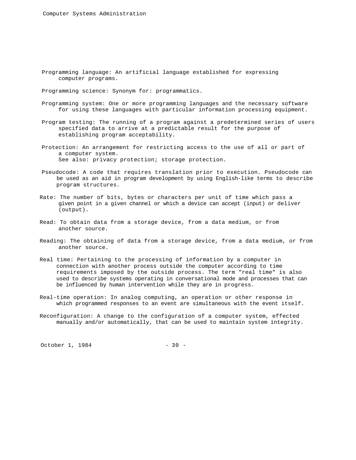Programming language: An artificial language established for expressing computer programs.

Programming science: Synonym for: programmatics.

- Programming system: One or more programming languages and the necessary software for using these languages with particular information processing equipment.
- Program testing: The running of a program against a predetermined series of users specified data to arrive at a predictable result for the purpose of establishing program acceptability.
- Protection: An arrangement for restricting access to the use of all or part of a computer system. See also: privacy protection; storage protection.
- Pseudocode: A code that requires translation prior to execution. Pseudocode can be used as an aid in program development by using English-like terms to describe program structures.
- Rate: The number of bits, bytes or characters per unit of time which pass a given point in a given channel or which a device can accept (input) or deliver (output).
- Read: To obtain data from a storage device, from a data medium, or from another source.
- Reading: The obtaining of data from a storage device, from a data medium, or from another source.
- Real time: Pertaining to the processing of information by a computer in connection with another process outside the computer according to time requirements imposed by the outside process. The term "real time" is also used to describe systems operating in conversational mode and processes that can be influenced by human intervention while they are in progress.
- Real-time operation: In analog computing, an operation or other response in which programmed responses to an event are simultaneous with the event itself.
- Reconfiguration: A change to the configuration of a computer system, effected manually and/or automatically, that can be used to maintain system integrity.

October 1, 1984 - 30 -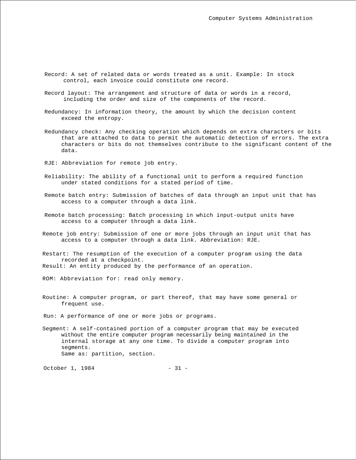- Record: A set of related data or words treated as a unit. Example: In stock control, each invoice could constitute one record.
- Record layout: The arrangement and structure of data or words in a record, including the order and size of the components of the record.
- Redundancy: In information theory, the amount by which the decision content exceed the entropy.
- Redundancy check: Any checking operation which depends on extra characters or bits that are attached to data to permit the automatic detection of errors. The extra characters or bits do not themselves contribute to the significant content of the data.
- RJE: Abbreviation for remote job entry.
- Reliability: The ability of a functional unit to perform a required function under stated conditions for a stated period of time.
- Remote batch entry: Submission of batches of data through an input unit that has access to a computer through a data link.
- Remote batch processing: Batch processing in which input-output units have access to a computer through a data link.
- Remote job entry: Submission of one or more jobs through an input unit that has access to a computer through a data link. Abbreviation: RJE.
- Restart: The resumption of the execution of a computer program using the data recorded at a checkpoint.

Result: An entity produced by the performance of an operation.

ROM: Abbreviation for: read only memory.

Routine: A computer program, or part thereof, that may have some general or frequent use.

Run: A performance of one or more jobs or programs.

Segment: A self-contained portion of a computer program that may be executed without the entire computer program necessarily being maintained in the internal storage at any one time. To divide a computer program into segments. Same as: partition, section.

October 1, 1984 - 31 -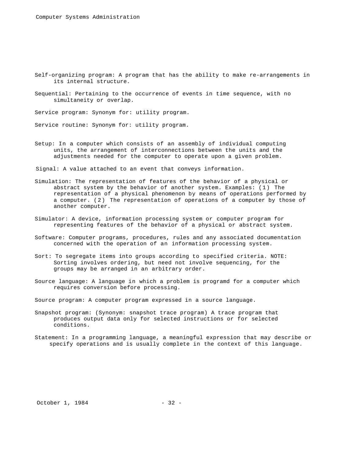Computer Systems Administration

- Self-organizing program: A program that has the ability to make re-arrangements in its internal structure.
- Sequential: Pertaining to the occurrence of events in time sequence, with no simultaneity or overlap.

Service program: Synonym for: utility program.

Service routine: Synonym for: utility program.

Setup: In a computer which consists of an assembly of individual computing units, the arrangement of interconnections between the units and the adjustments needed for the computer to operate upon a given problem.

Signal: A value attached to an event that conveys information.

- Simulation: The representation of features of the behavior of a physical or abstract system by the behavior of another system. Examples: (1) The representation of a physical phenomenon by means of operations performed by a computer. (2) The representation of operations of a computer by those of another computer.
- Simulator: A device, information processing system or computer program for representing features of the behavior of a physical or abstract system.
- Software: Computer programs, procedures, rules and any associated documentation concerned with the operation of an information processing system.
- Sort: To segregate items into groups according to specified criteria. NOTE: Sorting involves ordering, but need not involve sequencing, for the groups may be arranged in an arbitrary order.
- Source language: A language in which a problem is programd for a computer which requires conversion before processing.

Source program: A computer program expressed in a source language.

- Snapshot program: (Synonym: snapshot trace program) A trace program that produces output data only for selected instructions or for selected conditions.
- Statement: In a programming language, a meaningful expression that may describe or specify operations and is usually complete in the context of this language.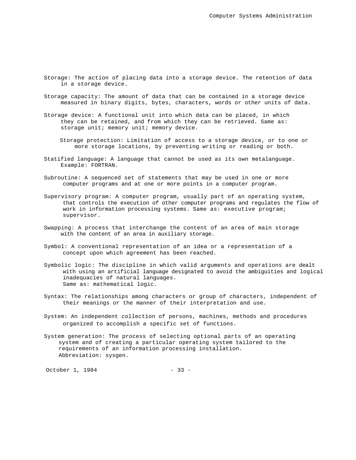- Storage: The action of placing data into a storage device. The retention of data in a storage device.
- Storage capacity: The amount of data that can be contained in a storage device measured in binary digits, bytes, characters, words or other units of data.
- Storage device: A functional unit into which data can be placed, in which they can be retained, and from which they can be retrieved. Same as: storage unit; memory unit; memory device.
	- Storage protection: Limitation of access to a storage device, or to one or more storage locations, by preventing writing or reading or both.
- Statified language: A language that cannot be used as its own metalanguage. Example: FORTRAN.
- Subroutine: A sequenced set of statements that may be used in one or more computer programs and at one or more points in a computer program.
- Supervisory program: A computer program, usually part of an operating system, that controls the execution of other computer programs and regulates the flow of work in information processing systems. Same as: executive program; supervisor.
- Swapping: A process that interchange the content of an area of main storage with the content of an area in auxiliary storage.
- Symbol: A conventional representation of an idea or a representation of a concept upon which agreement has been reached.
- Symbolic logic: The discipline in which valid arguments and operations are dealt with using an artificial language designated to avoid the ambiguities and logical inadequacies of natural languages. Same as: mathematical logic.
- Syntax: The relationships among characters or group of characters, independent of their meanings or the manner of their interpretation and use.
- System: An independent collection of persons, machines, methods and procedures organized to accomplish a specific set of functions.
- System generation: The process of selecting optional parts of an operating system and of creating a particular operating system tailored to the requirements of an information processing installation. Abbreviation: sysgen.

October 1, 1984 - 33 -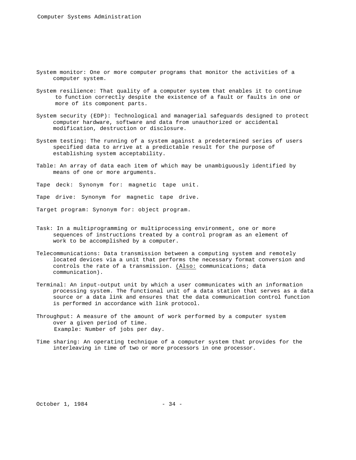- System monitor: One or more computer programs that monitor the activities of a computer system.
- System resilience: That quality of a computer system that enables it to continue to function correctly despite the existence of a fault or faults in one or more of its component parts.
- System security (EDP): Technological and managerial safeguards designed to protect computer hardware, software and data from unauthorized or accidental modification, destruction or disclosure.
- System testing: The running of a system against a predetermined series of users specified data to arrive at a predictable result for the purpose of establishing system acceptability.
- Table: An array of data each item of which may be unambiguously identified by means of one or more arguments.
- Tape deck: Synonym for: magnetic tape unit.
- Tape drive: Synonym for magnetic tape drive.
- Target program: Synonym for: object program.
- Task: In a multiprogramming or multiprocessing environment, one or more sequences of instructions treated by a control program as an element of work to be accomplished by a computer.
- Telecommunications: Data transmission between a computing system and remotely located devices via a unit that performs the necessary format conversion and controls the rate of a transmission. (Also: communications; data communication).
- Terminal: An input-output unit by which a user communicates with an information processing system. The functional unit of a data station that serves as a data source or a data link and ensures that the data communication control function is performed in accordance with link protocol.
- Throughput: A measure of the amount of work performed by a computer system over a given period of time. Example: Number of jobs per day.
- Time sharing: An operating technique of a computer system that provides for the interleaving in time of two or more processors in one processor.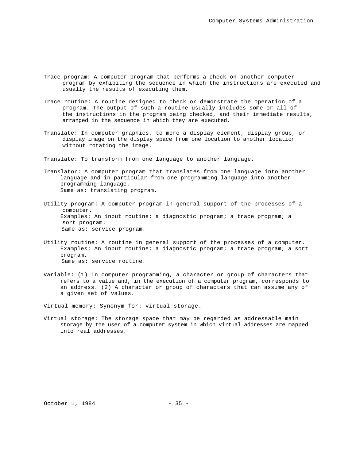- Trace program: A computer program that performs a check on another computer program by exhibiting the sequence in which the instructions are executed and usually the results of executing them.
- Trace routine: A routine designed to check or demonstrate the operation of a program. The output of such a routine usually includes some or all of the instructions in the program being checked, and their immediate results, arranged in the sequence in which they are executed.
- Translate: In computer graphics, to more a display element, display group, or display image on the display space from one location to another location without rotating the image.

Translate: To transform from one language to another language.

- Translator: A computer program that translates from one language into another language and in particular from one programming language into another programming language. Same as: translating program.
- Utility program: A computer program in general support of the processes of a computer. Examples: An input routine; a diagnostic program; a trace program; a sort program. Same as: service program.
- Utility routine: A routine in general support of the processes of a computer. Examples: An input routine; a diagnostic program; a trace program; a sort program. Same as: service routine.
- Variable: (1) In computer programming, a character or group of characters that refers to a value and, in the execution of a computer program, corresponds to an address. (2) A character or group of characters that can assume any of a given set of values.

Virtual memory: Synonym for: virtual storage.

Virtual storage: The storage space that may be regarded as addressable main storage by the user of a computer system in which virtual addresses are mapped into real addresses.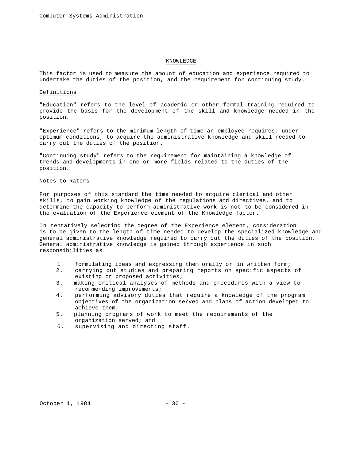#### KNOWLEDGE

This factor is used to measure the amount of education and experience required to undertake the duties of the position, and the requirement for continuing study.

# Definitions

"Education" refers to the level of academic or other formal training required to provide the basis for the development of the skill and knowledge needed in the position.

"Experience" refers to the minimum length of time an employee requires, under optimum conditions, to acquire the administrative knowledge and skill needed to carry out the duties of the position.

"Continuing study" refers to the requirement for maintaining a knowledge of trends and developments in one or more fields related to the duties of the position.

# Notes to Raters

For purposes of this standard the time needed to acquire clerical and other skills, to gain working knowledge of the regulations and directives, and to determine the capacity to perform administrative work is not to be considered in the evaluation of the Experience element of the Knowledge factor.

In tentatively selecting the degree of the Experience element, consideration is to be given to the length of time needed to develop the specialized knowledge and general administrative knowledge required to carry out the duties of the position. General administrative knowledge is gained through experience in such responsibilities as

- 1. formulating ideas and expressing them orally or in written form;
- 2. carrying out studies and preparing reports on specific aspects of existing or proposed activities;
- 3. making critical analyses of methods and procedures with a view to recommending improvements;
- 4. performing advisory duties that require a knowledge of the program objectives of the organization served and plans of action developed to achieve them;
- 5. planning programs of work to meet the requirements of the organization served; and
- 6. supervising and directing staff.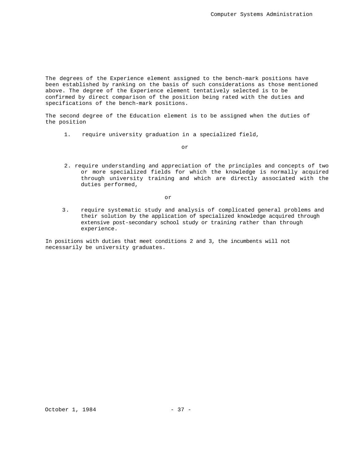The degrees of the Experience element assigned to the bench-mark positions have been established by ranking on the basis of such considerations as those mentioned above. The degree of the Experience element tentatively selected is to be confirmed by direct comparison of the position being rated with the duties and specifications of the bench-mark positions.

The second degree of the Education element is to be assigned when the duties of the position

1. require university graduation in a specialized field,

or

2. require understanding and appreciation of the principles and concepts of two or more specialized fields for which the knowledge is normally acquired through university training and which are directly associated with the duties performed,

or

3. require systematic study and analysis of complicated general problems and their solution by the application of specialized knowledge acquired through extensive post-secondary school study or training rather than through experience.

In positions with duties that meet conditions 2 and 3, the incumbents will not necessarily be university graduates.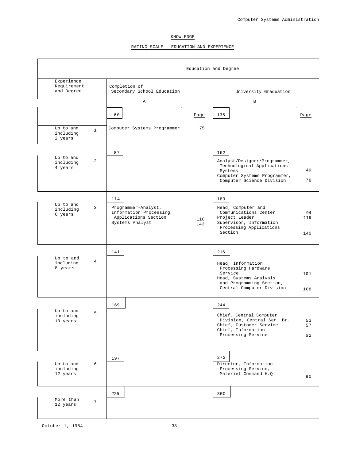# KNOWLEDGE

# RATING SCALE - EDUCATION AND EXPERIENCE

|                                                     |                                                                                                 |            | Education and Degree                                                                                                                                        |
|-----------------------------------------------------|-------------------------------------------------------------------------------------------------|------------|-------------------------------------------------------------------------------------------------------------------------------------------------------------|
| Experience<br>Requirement<br>and Degree             | Completion of<br>Secondary School Education<br>Α                                                |            | University Graduation<br>$\mathbf{B}$                                                                                                                       |
|                                                     | 60                                                                                              | Page       | 135<br>Page                                                                                                                                                 |
| Up to and<br>$\mathbf{1}$<br>including<br>2 years   | Computer Systems Programmer                                                                     | 75         |                                                                                                                                                             |
| Up to and<br>$\overline{a}$<br>including<br>4 years | 87                                                                                              |            | 162<br>Analyst/Designer/Programmer,<br>Technological Applications<br>49<br>Systems<br>Computer Systems Programmer,<br>Computer Science Division<br>78       |
| Up to and<br>3<br>including<br>6 years              | 114<br>Programmer-Analyst,<br>Information Processing<br>Applications Section<br>Systems Analyst | 116<br>143 | 189<br>Head, Computer and<br>Communications Center<br>94<br>Project Leader<br>119<br>Supervisor, Information<br>Processing Applications<br>Section<br>140   |
| Up to and<br>$\overline{4}$<br>including<br>8 years | 141                                                                                             |            | 216<br>Head, Information<br>Processing Hardware<br>Service<br>101<br>Head, Systems Analysis<br>and Programming Section,<br>Central Computer Division<br>108 |
| Up to and<br>5<br>including<br>10 years             | 169                                                                                             |            | 244<br>Chief, Central Computer<br>Division, Central Ser. Br.<br>53<br>Chief, Customer Service<br>57<br>Chief, Information<br>Processing Service<br>62       |
| Up to and<br>6<br>including<br>12 years             | 197                                                                                             |            | 272<br>Director, Information<br>Processing Service,<br>Materiel Command H.Q.<br>90                                                                          |
| More than<br>7<br>12 years                          | 225                                                                                             |            | 300                                                                                                                                                         |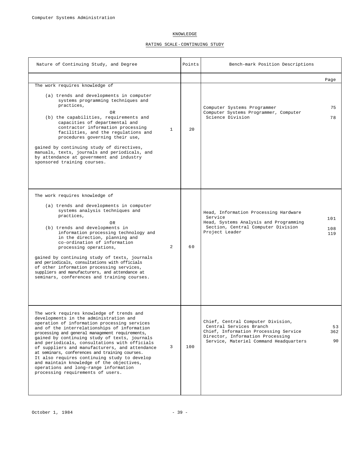# KNOWLEDGE

# RATING SCALE *-* CONTINUING STUDY

| Nature of Continuing Study, and Degree                                                                                                                                                                                                                                                                                                                                                                                                                                                                                                                                                                                       | Points | Bench-mark Position Descriptions                                                                                                                                                                       |
|------------------------------------------------------------------------------------------------------------------------------------------------------------------------------------------------------------------------------------------------------------------------------------------------------------------------------------------------------------------------------------------------------------------------------------------------------------------------------------------------------------------------------------------------------------------------------------------------------------------------------|--------|--------------------------------------------------------------------------------------------------------------------------------------------------------------------------------------------------------|
|                                                                                                                                                                                                                                                                                                                                                                                                                                                                                                                                                                                                                              |        | Page                                                                                                                                                                                                   |
| The work requires knowledge of<br>(a) trends and developments in computer<br>systems programming techniques and<br>practices,<br>0R<br>(b) the capabilities, requirements and<br>capacities of departmental and<br>contractor information processing<br>$\mathbf{1}$<br>facilities, and the regulations and<br>procedures governing their use,<br>gained by continuing study of directives,<br>manuals, texts, journals and periodicals, and<br>by attendance at government and industry<br>sponsored training courses.                                                                                                      | 2.0    | 75<br>Computer Systems Programmer<br>Computer Systems Programmer, Computer<br>Science Division<br>78                                                                                                   |
| The work requires knowledge of<br>(a) trends and developments in computer<br>systems analysis techniques and<br>practices,<br>OR.<br>(b) trends and developments in<br>information processing technology and<br>in the direction, planning and<br>co-ordination of information<br>$\overline{2}$<br>processing operations,<br>gained by continuing study of texts, journals<br>and periodicals, consultations with officials<br>of other information processing services,<br>suppliers and manufacturers, and attendance at<br>seminars, conferences and training courses.                                                   | 60     | Head, Information Processing Hardware<br>Service<br>101<br>Head, Systems Analysis and Programming<br>Section, Central Computer Division<br>108<br>Project Leader<br>119                                |
| The work requires knowledge of trends and<br>developments in the administration and<br>operation of information processing services<br>and of the interrelationships of information<br>processing and general management requirements,<br>gained by continuing study of texts, journals<br>and periodicals, consultations with officials<br>3<br>of suppliers and manufacturers, and attendance<br>at seminars, conferences and training courses.<br>It also requires continuing study to develop<br>and maintain knowledge of the objectives,<br>operations and long-range information<br>processing requirements of users. | 100    | Chief, Central Computer Division,<br>Central Services Branch<br>53<br>Chief, Information Processing Service<br>362<br>Director, Information Processing<br>90<br>Service, Materiel Command Headquarters |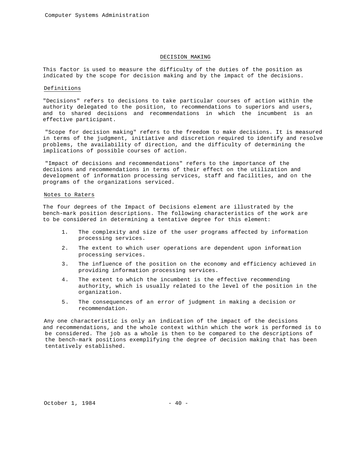### DECISION MAKING

This factor is used to measure the difficulty of the duties of the position as indicated by the scope for decision making and by the impact of the decisions.

#### Definitions

"Decisions" refers to decisions to take particular courses of action within the authority delegated to the position, to recommendations to superiors and users, and to shared decisions and recommendations in which the incumbent is an effective participant.

"Scope for decision making" refers to the freedom to make decisions. It is measured in terms of the judgment, initiative and discretion required to identify and resolve problems, the availability of direction, and the difficulty of determining the implications of possible courses of action.

"Impact of decisions and recommendations" refers to the importance of the decisions and recommendations in terms of their effect on the utilization and development of information processing services, staff and facilities, and on the programs of the organizations serviced.

#### Notes to Raters

The four degrees of the Impact of Decisions element are illustrated by the bench-mark position descriptions. The following characteristics of the work are to be considered in determining a tentative degree for this element:

- 1. The complexity and size of the user programs affected by information processing services.
- 2. The extent to which user operations are dependent upon information processing services.
- 3. The influence of the position on the economy and efficiency achieved in providing information processing services.
- 4. The extent to which the incumbent is the effective recommending authority, which is usually related to the level of the position in the organization.
- 5. The consequences of an error of judgment in making a decision or recommendation.

Any one characteristic is only an indication of the impact of the decisions and recommendations, and the whole context within which the work is performed is to be considered. The job as a whole is then to be compared to the descriptions of the bench-mark positions exemplifying the degree of decision making that has been tentatively established.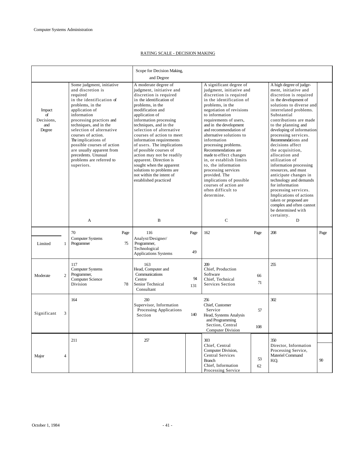# RATING SCALE - DECISION MAKING

|                                             |                |                                                                                                                                                                                                                                                                                                                                                                                                        |            | Scope for Decision Making,                                                                                                                                                                                                                                                                                                                                                                                                                                                                                                             |            |                                                                                                                                                                                                                                                                                                                                                                                                                                                                                                                                                                 |           |                                                                                                                                                                                                                                                                                                                                                                                                                                                                                                                                                                                                                                                     |      |
|---------------------------------------------|----------------|--------------------------------------------------------------------------------------------------------------------------------------------------------------------------------------------------------------------------------------------------------------------------------------------------------------------------------------------------------------------------------------------------------|------------|----------------------------------------------------------------------------------------------------------------------------------------------------------------------------------------------------------------------------------------------------------------------------------------------------------------------------------------------------------------------------------------------------------------------------------------------------------------------------------------------------------------------------------------|------------|-----------------------------------------------------------------------------------------------------------------------------------------------------------------------------------------------------------------------------------------------------------------------------------------------------------------------------------------------------------------------------------------------------------------------------------------------------------------------------------------------------------------------------------------------------------------|-----------|-----------------------------------------------------------------------------------------------------------------------------------------------------------------------------------------------------------------------------------------------------------------------------------------------------------------------------------------------------------------------------------------------------------------------------------------------------------------------------------------------------------------------------------------------------------------------------------------------------------------------------------------------------|------|
|                                             |                |                                                                                                                                                                                                                                                                                                                                                                                                        |            | and Degree                                                                                                                                                                                                                                                                                                                                                                                                                                                                                                                             |            |                                                                                                                                                                                                                                                                                                                                                                                                                                                                                                                                                                 |           |                                                                                                                                                                                                                                                                                                                                                                                                                                                                                                                                                                                                                                                     |      |
| Impact<br>of<br>Decisions,<br>and<br>Degree |                | Some judgment, initiative<br>and discretion is<br>required<br>in the identification of<br>problems, in the<br>application of<br>information<br>processing practices and<br>techniques, and in the<br>selection of alternative<br>courses of action.<br>The implications of<br>possible courses of action<br>are usually apparent from<br>precedents. Unusual<br>problems are referred to<br>superiors. |            | A moderate degree of<br>judgment, initiative and<br>discretion is required<br>in the identification of<br>problems, in the<br>modification and<br>application of<br>information processing<br>techniques, and in the<br>selection of alternative<br>courses of action to meet<br>information requirements<br>of users. The implications<br>of possible courses of<br>action may not be readily<br>apparent. Direction is<br>sought when the apparent<br>solutions to problems are<br>not within the intent of<br>established practiced |            | A significant degree of<br>judgment, initiative and<br>discretion is required<br>in the identification of<br>problems, in the<br>negotiation of revisions<br>to information<br>requirements of users.<br>and in the development<br>and recommendation of<br>alternative solutions to<br>information<br>processing problems.<br>Recommendations are<br>made to effect changes<br>in, or establish limits<br>to, the information<br>processing services<br>provided. The<br>implications of possible<br>courses of action are<br>often difficult to<br>determine. |           | A high degree of judge-<br>ment, initiative and<br>discretion is required<br>in the development of<br>solutions to diverse and<br>interrelated problems.<br>Substantial<br>contributions are made<br>to the planning and<br>developing of information<br>processing services.<br>Recommendations and<br>decisions affect<br>the acquisition,<br>allocation and<br>utilization of<br>information processing<br>resources, and must<br>anticipate changes in<br>technology and demands<br>for information<br>processing services.<br>Implications of actions<br>taken or proposed are<br>complex and often cannot<br>be determined with<br>certainty. |      |
|                                             |                | A                                                                                                                                                                                                                                                                                                                                                                                                      |            | B                                                                                                                                                                                                                                                                                                                                                                                                                                                                                                                                      |            | $\mathsf{C}$                                                                                                                                                                                                                                                                                                                                                                                                                                                                                                                                                    |           | D                                                                                                                                                                                                                                                                                                                                                                                                                                                                                                                                                                                                                                                   |      |
| Limited                                     |                | 70<br><b>Computer Systems</b><br>Programmer                                                                                                                                                                                                                                                                                                                                                            | Page<br>75 | 116<br>Analyst/Designer/<br>Programmer,<br>Technological<br><b>Applications Systems</b>                                                                                                                                                                                                                                                                                                                                                                                                                                                | Page<br>49 | 162                                                                                                                                                                                                                                                                                                                                                                                                                                                                                                                                                             | Page      | 208                                                                                                                                                                                                                                                                                                                                                                                                                                                                                                                                                                                                                                                 | Page |
| Moderate                                    | $\overline{c}$ | 117<br><b>Computer Systems</b><br>Programmer,<br><b>Computer Science</b><br>Division                                                                                                                                                                                                                                                                                                                   | 78         | 163<br>Head, Computer and<br>Communications<br>Centre<br>Senior Technical<br>Consultant                                                                                                                                                                                                                                                                                                                                                                                                                                                | 94<br>131  | 209<br>Chief, Production<br>Software<br>Chief, Technical<br>Services Section                                                                                                                                                                                                                                                                                                                                                                                                                                                                                    | 66<br>71  | 255                                                                                                                                                                                                                                                                                                                                                                                                                                                                                                                                                                                                                                                 |      |
| Significant                                 | 3              | 164                                                                                                                                                                                                                                                                                                                                                                                                    |            | 210<br>Supervisor, Information<br>Processing Applications<br>Section                                                                                                                                                                                                                                                                                                                                                                                                                                                                   | 140        | 256<br>Chief, Customer<br>Service<br>Head, Systems Analysis<br>and Programming<br>Section, Central<br><b>Computer Division</b>                                                                                                                                                                                                                                                                                                                                                                                                                                  | 57<br>108 | 302                                                                                                                                                                                                                                                                                                                                                                                                                                                                                                                                                                                                                                                 |      |
| Major                                       | $\overline{4}$ | 211                                                                                                                                                                                                                                                                                                                                                                                                    |            | 257                                                                                                                                                                                                                                                                                                                                                                                                                                                                                                                                    |            | 303<br>Chief, Central<br>Computer Division,<br>Central Services<br><b>Branch</b><br>Chief, Information<br>Processing Service                                                                                                                                                                                                                                                                                                                                                                                                                                    | 53<br>62  | 350<br>Director, Information<br>Processing Service,<br>Materiel Command<br>H.Q.                                                                                                                                                                                                                                                                                                                                                                                                                                                                                                                                                                     | 90   |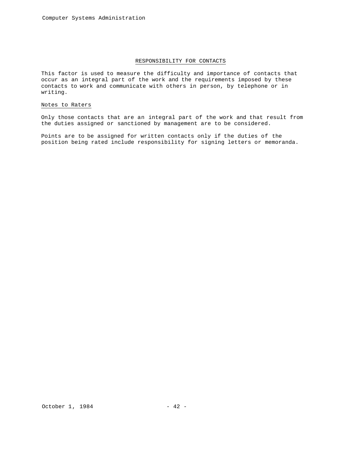### RESPONSIBILITY FOR CONTACTS

This factor is used to measure the difficulty and importance of contacts that occur as an integral part of the work and the requirements imposed by these contacts to work and communicate with others in person, by telephone or in writing.

# Notes to Raters

Only those contacts that are an integral part of the work and that result from the duties assigned or sanctioned by management are to be considered.

Points are to be assigned for written contacts only if the duties of the position being rated include responsibility for signing letters or memoranda.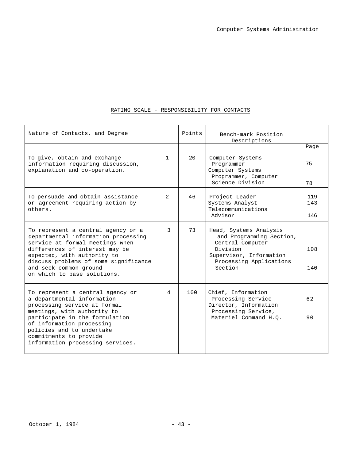# RATING SCALE - RESPONSIBILITY FOR CONTACTS

| Nature of Contacts, and Degree                                                                                                                                                                                                                                                          |               | Points | Bench-mark Position<br>Descriptions                                                                                                                 |                   |
|-----------------------------------------------------------------------------------------------------------------------------------------------------------------------------------------------------------------------------------------------------------------------------------------|---------------|--------|-----------------------------------------------------------------------------------------------------------------------------------------------------|-------------------|
| To give, obtain and exchange<br>information requiring discussion,<br>explanation and co-operation.                                                                                                                                                                                      | $\mathbf{1}$  | 20     | Computer Systems<br>Programmer<br>Computer Systems<br>Programmer, Computer<br>Science Division                                                      | Page<br>75<br>78  |
| To persuade and obtain assistance<br>or agreement requiring action by<br>others.                                                                                                                                                                                                        | $\mathcal{L}$ | 46     | Project Leader<br>Systems Analyst<br>Telecommunications<br>Advisor                                                                                  | 119<br>143<br>146 |
| To represent a central agency or a<br>departmental information processing<br>service at formal meetings when<br>differences of interest may be<br>expected, with authority to<br>discuss problems of some significance<br>and seek common ground<br>on which to base solutions.         | 3             | 73     | Head, Systems Analysis<br>and Programming Section,<br>Central Computer<br>Division<br>Supervisor, Information<br>Processing Applications<br>Section | 108<br>140        |
| To represent a central agency or<br>a departmental information<br>processing service at formal<br>meetings, with authority to<br>participate in the formulation<br>of information processing<br>policies and to undertake<br>commitments to provide<br>information processing services. | 4             | 100    | Chief, Information<br>Processing Service<br>Director, Information<br>Processing Service,<br>Materiel Command H.Q.                                   | 62<br>90          |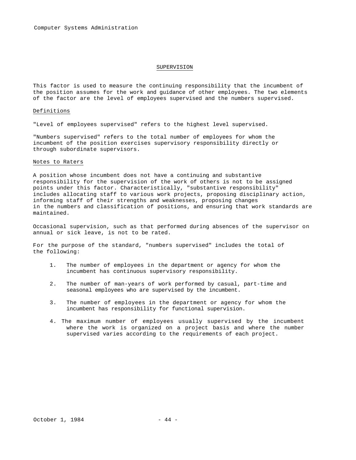#### SUPERVISION

This factor is used to measure the continuing responsibility that the incumbent of the position assumes for the work and guidance of other employees. The two elements of the factor are the level of employees supervised and the numbers supervised.

### Definitions

"Level of employees supervised" refers to the highest level supervised.

"Numbers supervised" refers to the total number of employees for whom the incumbent of the position exercises supervisory responsibility directly or through subordinate supervisors.

## Notes to Raters

A position whose incumbent does not have a continuing and substantive responsibility for the supervision of the work of others is not to be assigned points under this factor. Characteristically, "substantive responsibility" includes allocating staff to various work projects, proposing disciplinary action, informing staff of their strengths and weaknesses, proposing changes in the numbers and classification of positions, and ensuring that work standards are maintained.

Occasional supervision, such as that performed during absences of the supervisor on annual or sick leave, is not to be rated.

For the purpose of the standard, "numbers supervised" includes the total of the following:

- 1. The number of employees in the department or agency for whom the incumbent has continuous supervisory responsibility.
- 2. The number of man-years of work performed by casual, part-time and seasonal employees who are supervised by the incumbent.
- 3. The number of employees in the department or agency for whom the incumbent has responsibility for functional supervision.
- 4. The maximum number of employees usually supervised by the incumbent where the work is organized on a project basis and where the number supervised varies according to the requirements of each project.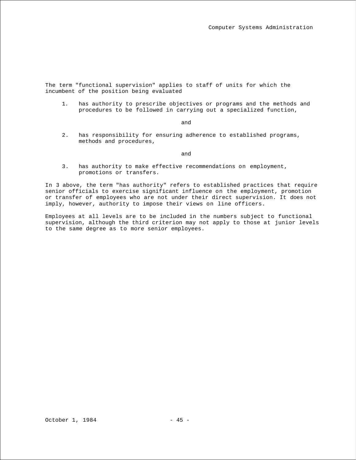The term "functional supervision" applies to staff of units for which the incumbent of the position being evaluated

1. has authority to prescribe objectives or programs and the methods and procedures to be followed in carrying out a specialized function,

and

2. has responsibility for ensuring adherence to established programs, methods and procedures,

and

3. has authority to make effective recommendations on employment, promotions or transfers.

In 3 above, the term "has authority" refers to established practices that require senior officials to exercise significant influence on the employment, promotion or transfer of employees who are not under their direct supervision. It does not imply, however, authority to impose their views on line officers.

Employees at all levels are to be included in the numbers subject to functional supervision, although the third criterion may not apply to those at junior levels to the same degree as to more senior employees.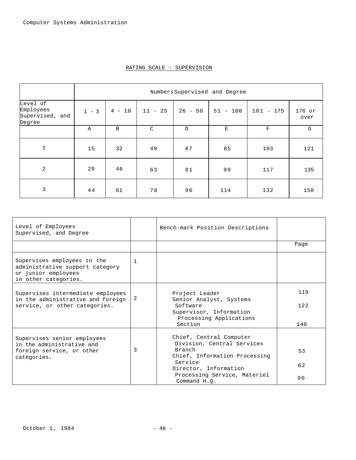|                                                    |              |              |             |             | Numbers Supervised and Degree |               |                  |
|----------------------------------------------------|--------------|--------------|-------------|-------------|-------------------------------|---------------|------------------|
| Level of<br>Employees<br>Supervised, and<br>Degree | $1 - 3$      | $4 - 10$     | $11 - 25$   | $26 - 50$   | 51<br>$-100$                  | 101<br>$-175$ | $176$ or<br>over |
|                                                    | $\mathbb{A}$ | $\, {\bf B}$ | $\mathsf C$ | $\mathbf D$ | $\mathbf E$                   | $\mathbf F$   | G                |
| $\mathbf 1$                                        | 15           | 32           | 49          | 67          | 85                            | 103           | 121              |
| $\overline{2}$                                     | 29           | 46           | 63          | 81          | 99                            | 117           | 135              |
| 3                                                  | 44           | 61           | 78          | 96          | 114                           | 132           | 150              |

# RATING SCALE - SUPERVISION

| Level of Employees<br>Supervised, and Degree                                                                  |              | Bench-mark Position Descriptions                                                                                                                                                     |                   |
|---------------------------------------------------------------------------------------------------------------|--------------|--------------------------------------------------------------------------------------------------------------------------------------------------------------------------------------|-------------------|
|                                                                                                               |              |                                                                                                                                                                                      | Page              |
| Supervises employees in the<br>administrative support category<br>or junior employees<br>in other categories. | $\mathbf{1}$ |                                                                                                                                                                                      |                   |
| Supervises intermediate employees<br>in the administrative and foreign<br>service, or other categories.       | 2            | Project Leader<br>Senior Analyst, Systems<br>Software<br>Supervisor, Information<br>Processing Applications<br>Section                                                               | 119<br>122<br>140 |
| Supervises senior employees<br>in the administrative and<br>foreign service, or other<br>categories.          | 3            | Chief, Central Computer<br>Division, Central Services<br>Branch<br>Chief, Information Processing<br>Service<br>Director, Information<br>Processing Service, Materiel<br>Command H.Q. | 53<br>62<br>90    |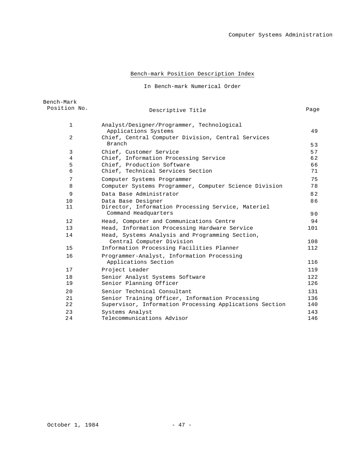# Bench-mark Position Description Index

In Bench-mark Numerical Order

Bench-Mark<br>Position No.

Descriptive Title **Page** 

| $\mathbf{1}$   | Analyst/Designer/Programmer, Technological<br>Applications Systems                                                                        | 49                |
|----------------|-------------------------------------------------------------------------------------------------------------------------------------------|-------------------|
| 2              | Chief, Central Computer Division, Central Services<br>Branch                                                                              | 53                |
| 3<br>4<br>5    | Chief, Customer Service<br>Chief, Information Processing Service<br>Chief, Production Software                                            | 57<br>62<br>66    |
| 6              | Chief, Technical Services Section                                                                                                         | 71                |
| 7              | Computer Systems Programmer                                                                                                               | 75                |
| 8              | Computer Systems Programmer, Computer Science Division                                                                                    | 78                |
| 9              | Data Base Administrator                                                                                                                   | 82                |
| 10<br>11       | Data Base Designer<br>Director, Information Processing Service, Materiel                                                                  | 86                |
|                | Command Headquarters                                                                                                                      | 90                |
| 12             | Head, Computer and Communications Centre                                                                                                  | 94                |
| 13             | Head, Information Processing Hardware Service                                                                                             | 101               |
| 14             | Head, Systems Analysis and Programming Section,<br>Central Computer Division                                                              | 108               |
| 15             | Information Processing Facilities Planner                                                                                                 | 112.              |
| 16             | Programmer-Analyst, Information Processing                                                                                                |                   |
|                | Applications Section                                                                                                                      | 116               |
| 17             | Project Leader                                                                                                                            | 119               |
| 18<br>19       | Senior Analyst Systems Software<br>Senior Planning Officer                                                                                | 122<br>126        |
| 20<br>21<br>22 | Senior Technical Consultant<br>Senior Training Officer, Information Processing<br>Supervisor, Information Processing Applications Section | 131<br>136<br>140 |
| 23<br>24       | Systems Analyst<br>Telecommunications Advisor                                                                                             | 143<br>146        |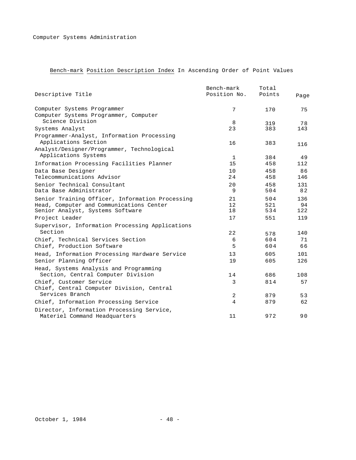# Bench-mark Position Description Index In Ascending Order of Point Values

| Descriptive Title                                                                                                               | Bench-mark<br>Position No. | Total<br>Points   | Page             |
|---------------------------------------------------------------------------------------------------------------------------------|----------------------------|-------------------|------------------|
| Computer Systems Programmer<br>Computer Systems Programmer, Computer                                                            | 7                          | 170               | 75               |
| Science Division                                                                                                                | 8                          | 319               | 78               |
| Systems Analyst                                                                                                                 | 23                         | 383               | 143              |
| Programmer-Analyst, Information Processing<br>Applications Section                                                              | 16                         | 383               | 116              |
| Analyst/Designer/Programmer, Technological<br>Applications Systems                                                              | 1                          | 384               | 49               |
| Information Processing Facilities Planner                                                                                       | 15                         | 458               | 112              |
| Data Base Designer<br>Telecommunications Advisor                                                                                | 10<br>24                   | 458<br>458        | 86<br>146        |
| Senior Technical Consultant<br>Data Base Administrator                                                                          | 20<br>9                    | 458<br>504        | 131<br>82        |
| Senior Training Officer, Information Processing<br>Head, Computer and Communications Center<br>Senior Analyst, Systems Software | 21<br>12<br>18             | 504<br>521<br>534 | 136<br>94<br>122 |
| Project Leader                                                                                                                  | 17                         | 551               | 119              |
| Supervisor, Information Processing Applications                                                                                 |                            |                   |                  |
| Section                                                                                                                         | 22                         | 578               | 140              |
| Chief, Technical Services Section                                                                                               | 6                          | 604               | 71               |
| Chief, Production Software                                                                                                      | 5                          | 604               | 66               |
| Head, Information Processing Hardware Service                                                                                   | 13                         | 605               | 101              |
| Senior Planning Officer                                                                                                         | 19                         | 605               | 126              |
| Head, Systems Analysis and Programming<br>Section, Central Computer Division                                                    | 14                         | 686               | 108              |
| Chief, Customer Service                                                                                                         | 3                          | 814               | 57               |
| Chief, Central Computer Division, Central                                                                                       |                            |                   |                  |
| Services Branch                                                                                                                 | 2                          | 879               | 53               |
| Chief, Information Processing Service                                                                                           | 4                          | 879               | 62               |
| Director, Information Processing Service,<br>Materiel Command Headquarters                                                      | 11                         | 972               | 90               |
|                                                                                                                                 |                            |                   |                  |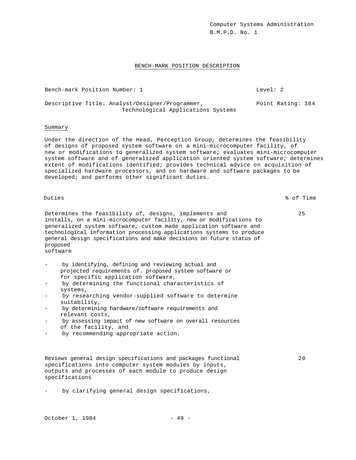## BENCH-MARK POSITION DESCRIPTION

| Bench-mark Position Number: 1                                                         | Level: 2          |
|---------------------------------------------------------------------------------------|-------------------|
| Descriptive Title: Analyst/Designer/Programmer,<br>Technological Applications Systems | Point Rating: 384 |

#### Summary

Under the direction of the Head, Perception Group, determines the feasibility of designs of proposed system software on a mini-microcomputer facility, of new or modifications to generalized system software; evaluates mini-microcomputer system software and of generalized application oriented system software; determines extent of modifications identified; provides technical advice on acquisition of specialized hardware processors, and on hardware and software packages to be developed; and performs other significant duties.

#### Duties % of Time

Determines the feasibility of, designs, implements and installs, on a mini-microcomputer facility, new or modifications to generalized system software, custom made application software and technological information processing applications systems to produce general design specifications and make decisions on future status of proposed software

- by identifying, defining and reviewing actual and projected requirements of. proposed system software or for specific application software,
- by determining the functional characteristics of systems,
- by researching vendor-supplied software to determine suitability,
- by determining hardware/software requirements and relevant costs,
- by assessing impact of new software on overall resources of the facility, and
- by recommending appropriate action.

Reviews general design specifications and packages functional specifications into computer system modules by inputs, outputs and processes of each module to produce design specifications

20

25

by clarifying general design specifications,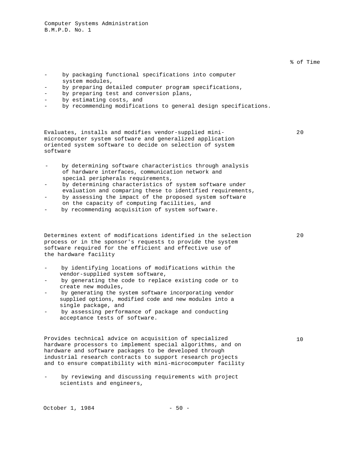- by packaging functional specifications into computer system modules,
- by preparing detailed computer program specifications,
- by preparing test and conversion plans,
- by estimating costs, and
- by recommending modifications to general design specifications.

Evaluates, installs and modifies vendor-supplied minimicrocomputer system software and generalized application oriented system software to decide on selection of system software

- by determining software characteristics through analysis of hardware interfaces, communication network and special peripherals requirements,
- by determining characteristics of system software under evaluation and comparing these to identified requirements,
- by assessing the impact of the proposed system software on the capacity of computing facilities, and
- by recommending acquisition of system software.

Determines extent of modifications identified in the selection process or in the sponsor's requests to provide the system software required for the efficient and effective use of the hardware facility

- by identifying locations of modifications within the vendor-supplied system software,
- by generating the code to replace existing code or to create new modules,
- by generating the system software incorporating vendor supplied options, modified code and new modules into a single package, and
- by assessing performance of package and conducting acceptance tests of software.

Provides technical advice on acquisition of specialized hardware processors to implement special algorithms, and on hardware and software packages to be developed through industrial research contracts to support research projects and to ensure compatibility with mini-microcomputer facility

by reviewing and discussing requirements with project scientists and engineers,

October 1, 1984 - 50 -

10

20

% of Time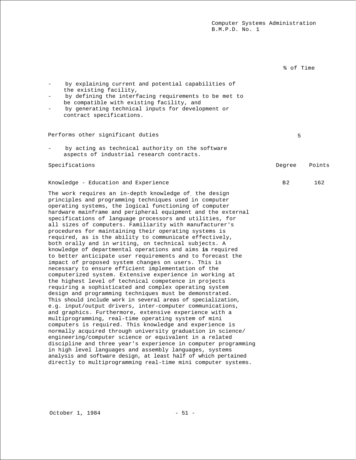% of Time by explaining current and potential capabilities of the existing facility, by defining the interfacing requirements to be met to be compatible with existing facility, and by generating technical inputs for development or contract specifications. Performs other significant duties by acting as technical authority on the software aspects of industrial research contracts. 5 Specifications **Degree** Points **Degree** Points Knowledge - Education and Experience and and  $\frac{162}{2}$  162 The work requires an in-depth knowledge of. the design principles and programming techniques used in computer operating systems, the logical functioning of computer hardware mainframe and peripheral equipment and the external specifications of language processors and utilities, for all sizes of computers. Familiarity with manufacturer's procedures for maintaining their operating systems is required, as is the ability to communicate effectively, both orally and in writing, on technical subjects. A knowledge of departmental operations and aims **is** required to better anticipate user requirements and to forecast the impact of proposed system changes on users. This is necessary to ensure efficient implementation of the computerized system. Extensive experience in working at the highest level of technical competence in projects requiring a sophisticated and complex operating system design and programming techniques must be demonstrated. This should include work in several areas of specialization, e.g. input/output drivers, inter-computer communications, and graphics. Furthermore, extensive experience with a multiprogramming, real-time operating system of mini computers is required. This knowledge and experience is normally acquired through university graduation in science/ engineering/computer science or equivalent in a related discipline and three year's experience in computer programming in high level languages and assembly languages, systems analysis and software design, at least half of which pertained directly to multiprogramming real-time mini computer systems.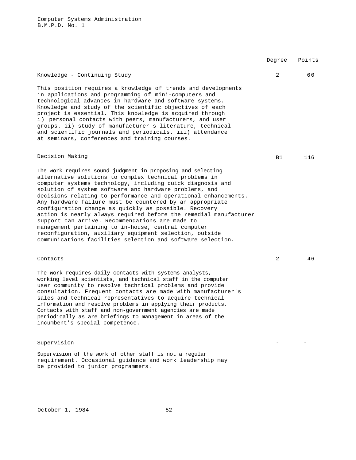|                                                                                                                                                                                                                                                                                                                                                                                                                                                                                                                                                                                                                                                                                                                                                | Degree    | Points |
|------------------------------------------------------------------------------------------------------------------------------------------------------------------------------------------------------------------------------------------------------------------------------------------------------------------------------------------------------------------------------------------------------------------------------------------------------------------------------------------------------------------------------------------------------------------------------------------------------------------------------------------------------------------------------------------------------------------------------------------------|-----------|--------|
| Knowledge - Continuing Study                                                                                                                                                                                                                                                                                                                                                                                                                                                                                                                                                                                                                                                                                                                   | 2         | 60     |
| This position requires a knowledge of trends and developments<br>in applications and programming of mini-computers and<br>technological advances in hardware and software systems.<br>Knowledge and study of the scientific objectives of each<br>project is essential. This knowledge is acquired through<br>i) personal contacts with peers, manufacturers, and user<br>groups. ii) study of manufacturer's literature, technical<br>and scientific journals and periodicals. iii) attendance<br>at seminars, conferences and training courses.                                                                                                                                                                                              |           |        |
| Decision Making                                                                                                                                                                                                                                                                                                                                                                                                                                                                                                                                                                                                                                                                                                                                | <b>B1</b> | 116    |
| The work requires sound judgment in proposing and selecting<br>alternative solutions to complex technical problems in<br>computer systems technology, including quick diagnosis and<br>solution of system software and hardware problems, and<br>decisions relating to performance and operational enhancements.<br>Any hardware failure must be countered by an appropriate<br>configuration change as quickly as possible. Recovery<br>action is nearly always required before the remedial manufacturer<br>support can arrive. Recommendations are made to<br>management pertaining to in-house, central computer<br>reconfiguration, auxiliary equipment selection, outside<br>communications facilities selection and software selection. |           |        |
| Contacts                                                                                                                                                                                                                                                                                                                                                                                                                                                                                                                                                                                                                                                                                                                                       | 2         | 46     |
| The work requires daily contacts with systems analysts,<br>working level scientists, and technical staff in the computer<br>user community to resolve technical problems and provide<br>consultation. Frequent contacts are made with manufacturer's<br>sales and technical representatives to acquire technical<br>information and resolve problems in applying their products.<br>Contacts with staff and non-government agencies are made<br>periodically as are briefings to management in areas of the<br>incumbent's special competence.                                                                                                                                                                                                 |           |        |
| Supervision                                                                                                                                                                                                                                                                                                                                                                                                                                                                                                                                                                                                                                                                                                                                    |           |        |
| Supervision of the work of other staff is not a regular<br>requirement. Occasional guidance and work leadership may<br>be provided to junior programmers.                                                                                                                                                                                                                                                                                                                                                                                                                                                                                                                                                                                      |           |        |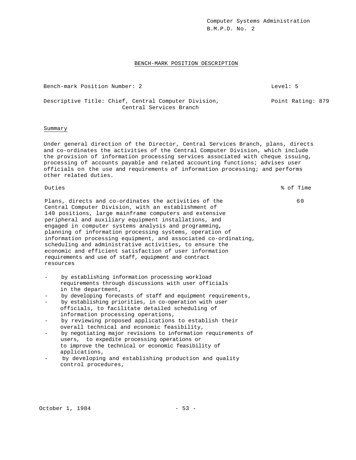## BENCH-MARK POSITION DESCRIPTION

Bench-mark Position Number: 2 Level: 5

Point Rating: 879

Descriptive Title: Chief, Central Computer Division, Central Services Branch

#### Summary

Under general direction of the Director, Central Services Branch, plans, directs and co-ordinates the activities of the Central Computer Division, which include the provision of information processing services associated with cheque issuing, processing of accounts payable and related accounting functions; advises user officials on the use and requirements of information processing; and performs other related duties.

Duties % of Time

60

Plans, directs and co-ordinates the activities of the Central Computer Division, with an establishment of 140 positions, large mainframe computers and extensive peripheral and auxiliary equipment installations, and engaged in computer systems analysis and programming, planning of information processing systems, operation of information processing equipment, and associated co-ordinating, scheduling and administrative activities, to ensure the economic and efficient satisfaction of user information requirements and use of staff, equipment and contract resources

- by establishing information processing workload requirements through discussions with user officials in the department,
- by developing forecasts of staff and equipment requirements,
- by establishing priorities, in co-operation with user officials, to facilitate detailed scheduling of information processing operations,
- by reviewing proposed applications to establish their overall technical and economic feasibility,
- by negotiating major revisions to information requirements of users, to expedite processing operations or to improve the technical or economic feasibility of applications,
- by developing and establishing production and quality control procedures,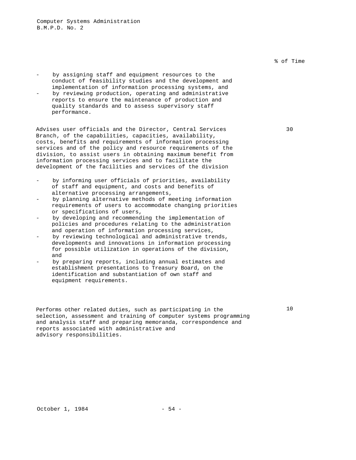- by assigning staff and equipment resources to the conduct of feasibility studies and the development and implementation of information processing systems, and
- by reviewing production, operating and administrative reports to ensure the maintenance of production and quality standards and to assess supervisory staff performance.

Advises user officials and the Director, Central Services Branch, of the capabilities, capacities, availability, costs, benefits and requirements of information processing services and of the policy and resource requirements of the division, to assist users in obtaining maximum benefit from information processing services and to facilitate the development of the facilities and services of the division

- by informing user officials of priorities, availability of staff and equipment, and costs and benefits of alternative processing arrangements,
- by planning alternative methods of meeting information requirements of users to accommodate changing priorities or specifications of users,
- by developing and recommending the implementation of policies and procedures relating to the administration and operation of information processing services,
- by reviewing technological and administrative trends, developments and innovations in information processing for possible utilization in operations of the division, and
- by preparing reports, including annual estimates and establishment presentations to Treasury Board, on the identification and substantiation of own staff and equipment requirements.

Performs other related duties, such as participating in the selection, assessment and training of computer systems programming and analysis staff and preparing memoranda, correspondence and reports associated with administrative and advisory responsibilities.

% of Time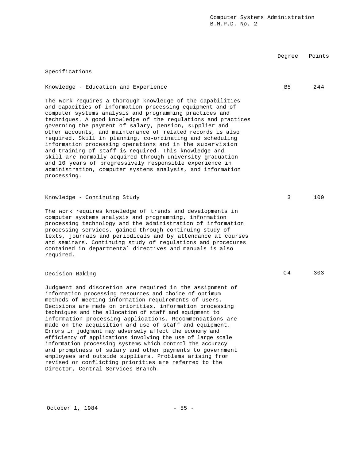Degree Points Specifications Knowledge - Education and Experience The work requires a thorough knowledge of the capabilities and capacities of information processing equipment and of computer systems analysis and programming practices and techniques. A good knowledge of the regulations and practices governing the payment of salary, pension, supplier and other accounts, and maintenance of related records is also required. Skill in planning, co-ordinating and scheduling information processing operations and in the supervision and training of staff is required. This knowledge and skill are normally acquired through university graduation and 10 years of progressively responsible experience in administration, computer systems analysis, and information processing. B5 244 Knowledge - Continuing Study The work requires knowledge of trends and developments in computer systems analysis and programming, information processing technology and the administration of information processing services, gained through continuing study of texts, journals and periodicals and by attendance at courses and seminars. Continuing study of regulations and procedures contained in departmental directives and manuals is also required. 3 100 Decision Making Judgment and discretion are required in the assignment of information processing resources and choice of optimum methods of meeting information requirements of users. Decisions are made on priorities, information processing techniques and the allocation of staff and equipment to information processing applications. Recommendations are made on the acquisition and use of staff and equipment. Errors in judgment may adversely affect the economy and efficiency of applications involving the use of large scale information processing systems which control the accuracy and promptness of salary and other payments to government employees and outside suppliers. Problems arising from C4 303

October 1, 1984 - 55 -

revised or conflicting priorities are referred to the

Director, Central Services Branch.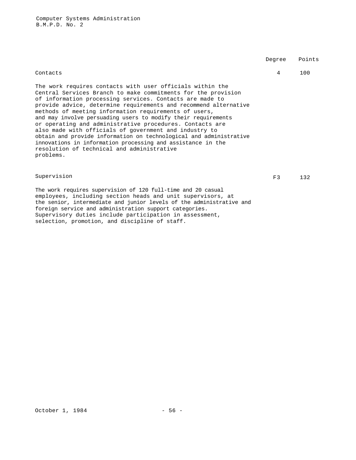# Contacts The work requires contacts with user officials within the 4 100

Central Services Branch to make commitments for the provision of information processing services. Contacts are made to provide advice, determine requirements and recommend alternative methods of meeting information requirements of users, and may involve persuading users to modify their requirements or operating and administrative procedures. Contacts are also made with officials of government and industry to obtain and provide information on technological and administrative innovations in information processing and assistance in the resolution of technical and administrative problems.

# Supervision

F3 132

Degree Points

The work requires supervision of 120 full-time and 20 casual employees, including section heads and unit supervisors, at the senior, intermediate and junior levels of the administrative and foreign service and administration support categories. Supervisory duties include participation in assessment, selection, promotion, and discipline of staff.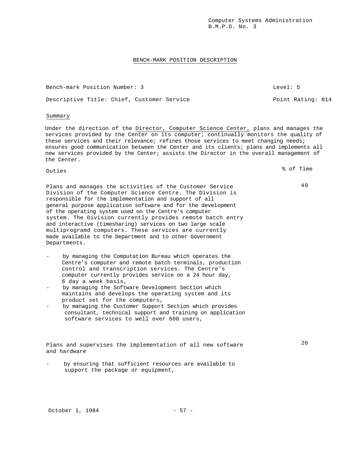### BENCH-MARK POSITION DESCRIPTION

Bench-mark Position Number: 3 Level: 5

Descriptive Title: Chief, Customer Service Point Rating: 814

#### Summary

Under the direction of the Director, Computer Science Center, plans and manages the services provided by the Center on its computer; continually monitors the quality of these services and their relevance; refines those services to meet changing needs; ensures good communication between the Center and its clients; plans and implements all new services provided by the Center; assists the Director in the overall management of the Center.

Plans and manages the activities of the Customer Service Division of the Computer Science Centre. The Division is responsible for the implementation and support of all general purpose application software and for the development of the operating system used on the Centre's computer system. The Division currently provides remote batch entry and interactive (timesharing) services on two large scale multiprogramd computers. These services are currently made available to the Department and to other Government Departments.

- by managing the Computation Bureau which operates the Centre's computer and remote batch terminals, production control and transcription services. The Centre's computer currently provides service on a 24 hour day, 6 day a week basis,
- by managing the Software Development Section which maintains and develops the operating system and its product set for the computers,
- by managing the Customer Support Section which provides consultant, technical support and training on application software services to well over 600 users,

Plans and supervises the implementation of all new software and hardware

by ensuring that sufficient resources are available to support the package or equipment,

Duties % of Time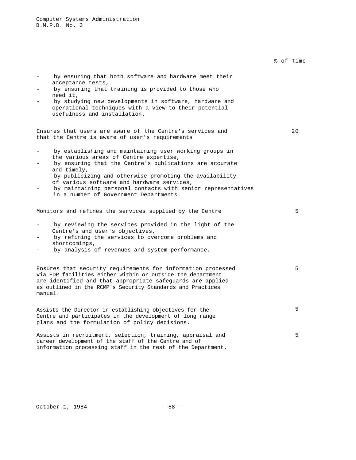|                                                                                                                                                                                                                                                                                                                                                                                               |  | % of Time |
|-----------------------------------------------------------------------------------------------------------------------------------------------------------------------------------------------------------------------------------------------------------------------------------------------------------------------------------------------------------------------------------------------|--|-----------|
| by ensuring that both software and hardware meet their<br>acceptance tests,<br>by ensuring that training is provided to those who<br>need it,<br>by studying new developments in software, hardware and<br>operational techniques with a view to their potential<br>usefulness and installation.                                                                                              |  |           |
| Ensures that users are aware of the Centre's services and<br>that the Centre is aware of user's requirements                                                                                                                                                                                                                                                                                  |  | 20        |
| by establishing and maintaining user working groups in<br>the various areas of Centre expertise,<br>by ensuring that the Centre's publications are accurate<br>and timely,<br>by publicizing and otherwise promoting the availability<br>of various software and hardware services,<br>by maintaining personal contacts with senior representatives<br>in a number of Government Departments. |  |           |
| Monitors and refines the services supplied by the Centre                                                                                                                                                                                                                                                                                                                                      |  | 5         |
| by reviewing the services provided in the light of the<br>Centre's and user's objectives,<br>by refining the services to overcome problems and<br>shortcomings,<br>by analysis of revenues and system performance.                                                                                                                                                                            |  |           |
| Ensures that security requirements for information processed<br>via EDP facilities either within or outside the department<br>are identified and that appropriate safeguards are applied<br>as outlined in the RCMP's Security Standards and Practices<br>manual.                                                                                                                             |  | 5         |
| Assists the Director in establishing objectives for the<br>Centre and participates in the development of long range<br>plans and the formulation of policy decisions.                                                                                                                                                                                                                         |  | 5         |
| Assists in recruitment, selection, training, appraisal and<br>career development of the staff of the Centre and of<br>information processing staff in the rest of the Department.                                                                                                                                                                                                             |  | 5         |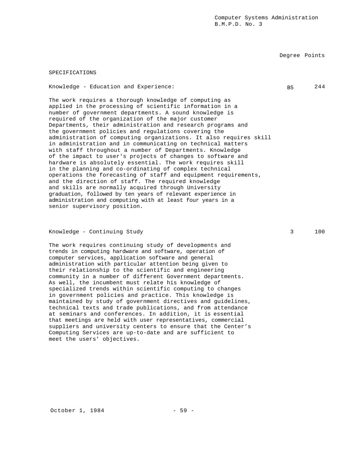Degree Points

B5 244

## SPECIFICATIONS

Knowledge - Education and Experience:

The work requires a thorough knowledge of computing as applied in the processing of scientific information in a number of government departments. A sound knowledge is required of the organization of the major customer Departments, their administration and research programs and the government policies and regulations covering the administration of computing organizations. It also requires skill in administration and in communicating on technical matters with staff throughout a number of Departments. Knowledge of the impact to user's projects of changes to software and hardware is absolutely essential. The work requires skill in the planning and co-ordinating of complex technical operations the forecasting of staff and equipment requirements, and the direction of staff. The required knowledge and skills are normally acquired through University graduation, followed by ten years of relevant experience in administration and computing with at least four years in a senior supervisory position.

#### Knowledge - Continuing Study

The work requires continuing study of developments and trends in computing hardware and software, operation of computer services, application software and general administration with particular attention being given to their relationship to the scientific and engineering community in a number of different Government departments. As well, the incumbent must relate his knowledge of specialized trends within scientific computing to changes in government policies and practice. This knowledge is maintained by study of government directives and guidelines, technical texts and trade publications, and from attendance at seminars and conferences. In addition, it is essential that meetings are held with user representatives, commercial suppliers and university centers to ensure that the Center's Computing Services are up-to-date and are sufficient to meet the users' objectives.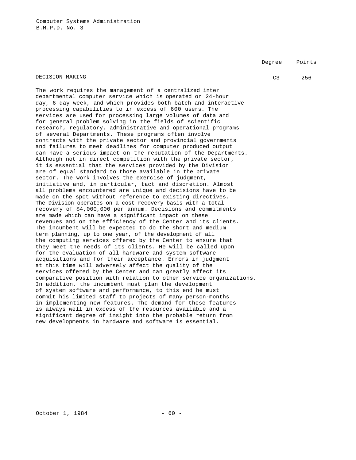#### DECISION-MAKING

The work requires the management of a centralized inter departmental computer service which is operated on 24-hour day, 6-day week, and which provides both batch and interactive processing capabilities to in excess of 600 users. The services are used for processing large volumes of data and for general problem solving in the fields of scientific research, regulatory, administrative and operational programs of several Departments. These programs often involve contracts with the private sector and provincial governments and failures to meet deadlines for computer produced output can have a serious impact on the reputation of the Departments. Although not in direct competition with the private sector, it is essential that the services provided by the Division are of equal standard to those available in the private sector. The work involves the exercise of judgment, initiative and, in particular, tact and discretion. Almost all problems encountered are unique and decisions have to be made on the spot without reference to existing directives. The Division operates on a cost recovery basis with a total recovery of \$4,000,000 per annum. Decisions and commitments are made which can have a significant impact on these revenues and on the efficiency of the Center and its clients. The incumbent will be expected to do the short and medium term planning, up to one year, of the development of all the computing services offered by the Center to ensure that they meet the needs of its clients. He will be called upon for the evaluation of all hardware and system software acquisitions and for their acceptance. Errors in judgment at this time will adversely affect the quality of the services offered by the Center and can greatly affect its comparative position with relation to other service organizations. In addition, the incumbent must plan the development of system software and performance, to this end he must commit his limited staff to projects of many person-months in implementing new features. The demand for these features is always well in excess of the resources available and a significant degree of insight into the probable return from new developments in hardware and software is essential.

Degree Points

C3 256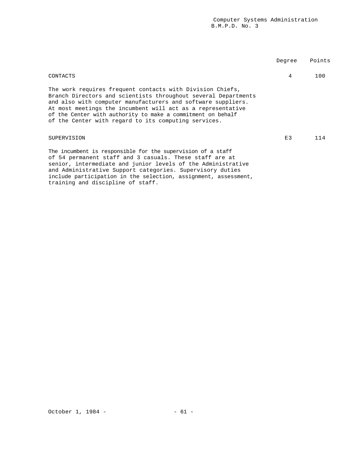|                                                                                                                                                                                                                                                                                                                                                                                   | Degree | Points |
|-----------------------------------------------------------------------------------------------------------------------------------------------------------------------------------------------------------------------------------------------------------------------------------------------------------------------------------------------------------------------------------|--------|--------|
| CONTACTS                                                                                                                                                                                                                                                                                                                                                                          | 4      | 100    |
| The work requires frequent contacts with Division Chiefs,<br>Branch Directors and scientists throughout several Departments<br>and also with computer manufacturers and software suppliers.<br>At most meetings the incumbent will act as a representative<br>of the Center with authority to make a commitment on behalf<br>of the Center with regard to its computing services. |        |        |
| SUPERVISION                                                                                                                                                                                                                                                                                                                                                                       | E.3    | 114    |
| The incumbent is responsible for the supervision of a staff<br>of 54 permanent staff and 3 casuals. These staff are at<br>senior, intermediate and junior levels of the Administrative<br>and Administrative Support categories. Supervisory duties                                                                                                                               |        |        |

include participation in the selection, assignment, assessment,

training and discipline of staff.

October 1, 1984 - - - - - 61 -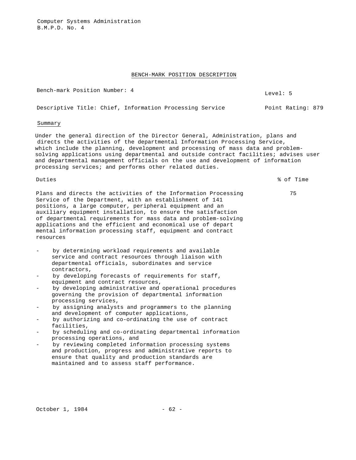#### BENCH-MARK POSITION DESCRIPTION

Bench-mark Position Number: 4 Level: 5

Descriptive Title: Chief, Information Processing Service Point Rating: 879

#### Summary

Under the general direction of the Director General, Administration, plans and directs the activities of the departmental Information Processing Service, which include the planning, development and processing of mass data and problemsolving applications using departmental and outside contract facilities; advises user and departmental management officials on the use and development of information processing services; and performs other related duties.

Duties % of Time

75

Plans and directs the activities of the Information Processing Service of the Department, with an establishment of 141 positions, a large computer, peripheral equipment and an auxiliary equipment installation, to ensure the satisfaction of departmental requirements for mass data and problem-solving applications and the efficient and economical use of depart mental information processing staff, equipment and contract resources

- by determining workload requirements and available service and contract resources through liaison with departmental officials, subordinates and service contractors,
- by developing forecasts of requirements for staff, equipment and contract resources,
- by developing administrative and operational procedures governing the provision of departmental information processing services,
- by assigning analysts and programmers to the planning and development of computer applications,
- by authorizing and co-ordinating the use of contract facilities,
- by scheduling and co-ordinating departmental information processing operations, and
- by reviewing completed information processing systems and production, progress and administrative reports to ensure that quality and production standards are maintained and to assess staff performance.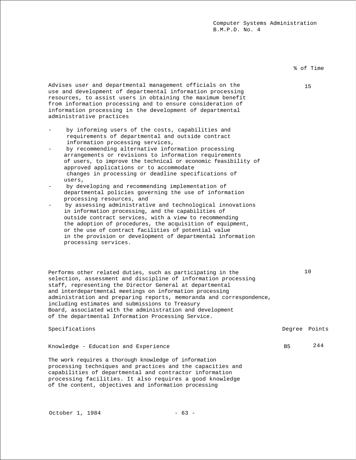15

10

Advises user and departmental management officials on the use and development of departmental information processing resources, to assist users in obtaining the maximum benefit from information processing and to ensure consideration of information processing in the development of departmental administrative practices

- by informing users of the costs, capabilities and requirements of departmental and outside contract information processing services,
- by recommending alternative information processing arrangements or revisions to information requirements of users, to improve the technical or economic feasibility of approved applications or to accommodate changes in processing or deadline specifications of users,
- by developing and recommending implementation of departmental policies governing the use of information processing resources, and
- by assessing administrative and technological innovations in information processing, and the capabilities of outside contract services, with a view to recommending the adoption of procedures, the acquisition of equipment, or the use of contract facilities of potential value in the provision or development of departmental information processing services.

Performs other related duties, such as participating in the selection, assessment and discipline of information processing staff, representing the Director General at departmental and interdepartmental meetings on information processing administration and preparing reports, memoranda and correspondence, including estimates and submissions to Treasury Board, associated with the administration and development of the departmental Information Processing Service.

| Specifications                                        | Degree Points |     |
|-------------------------------------------------------|---------------|-----|
| Knowledge - Education and Experience                  | <b>B5</b>     | 244 |
| The work requires a thorough knowledge of information |               |     |

processing techniques and practices and the capacities and capabilities of departmental and contractor information processing facilities. It also requires a good knowledge of the content, objectives and information processing

October 1, 1984 - 63 -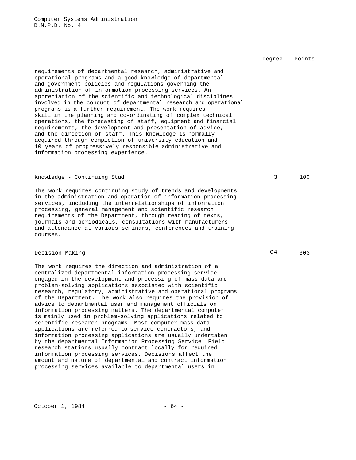Degree Points

requirements of departmental research, administrative and operational programs and a good knowledge of departmental and government policies and regulations governing the administration of information processing services. An appreciation of the scientific and technological disciplines involved in the conduct of departmental research and operational programs is a further requirement. The work requires skill in the planning and co-ordinating of complex technical operations, the forecasting of staff, equipment and financial requirements, the development and presentation of advice, and the direction of staff. This knowledge is normally acquired through completion of university education and 10 years of progressively responsible administrative and information processing experience.

#### Knowledge - Continuing Stud

The work requires continuing study of trends and developments in the administration and operation of information processing services, including the interrelationships of information processing, general management and scientific research requirements of the Department, through reading of texts, journals and periodicals, consultations with manufacturers and attendance at various seminars, conferences and training courses.

## Decision Making

The work requires the direction and administration of a centralized departmental information processing service engaged in the development and processing of mass data and problem-solving applications associated with scientific research, regulatory, administrative and operational programs of the Department. The work also requires the provision of advice to departmental user and management officials on information processing matters. The departmental computer is mainly used in problem-solving applications related to scientific research programs. Most computer mass data applications are referred to service contractors, and information processing applications are usually undertaken by the departmental Information Processing Service. Field research stations usually contract locally for required information processing services. Decisions affect the amount and nature of departmental and contract information processing services available to departmental users in

C4 303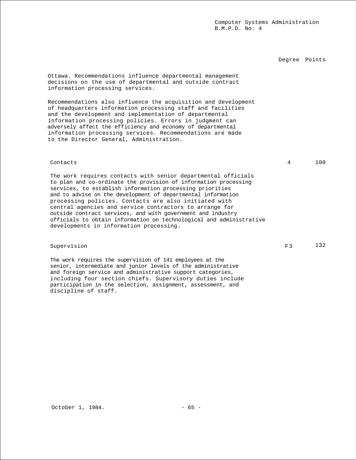Ottawa. Recommendations influence departmental management decisions on the use of departmental and outside contract information processing services.

 Recommendations also influence the acquisition and development of headquarters information processing staff and facilities and the development and implementation of departmental information processing policies. Errors in judgment can adversely affect the efficiency and economy of departmental information processing services. Recommendations are made to the Director General, Administration.

#### Contacts

4 100

The work requires contacts with senior departmental officials to plan and co-ordinate the provision of information processing services, to establish information processing priorities and to advise on the development of departmental information processing policies. Contacts are also initiated with central agencies and service contractors to arrange for outside contract services, and with government and industry officials to obtain information on technological and administrative developments in information processing.

#### Supervision

The work requires the supervision of 141 employees at the senior, intermediate and junior levels of the administrative and foreign service and administrative support categories, including four section chiefs. Supervisory duties include participation in the selection, assignment, assessment, and discipline of staff.

F3 132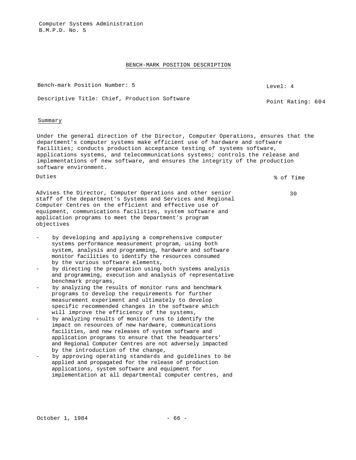#### BENCH-MARK POSITION DESCRIPTION

Bench-mark Position Number: 5 Level: 4

Descriptive Title: Chief, Production Software Point Rating: 604

### Summary

Under the general direction of the Director, Computer Operations, ensures that the department's computer systems make efficient use of hardware and software facilities; conducts production acceptance testing of systems software, applications systems, and telecommunications systems; controls the release and implementations of new software, and ensures the integrity of the production software environment.

Duties % of Time

Advises the Director, Computer Operations and other senior staff of the department's Systems and Services and Regional Computer Centres on the efficient and effective use of equipment, communications facilities, system software and application programs to meet the Department's program objectives

- by developing and applying a comprehensive computer systems performance measurement program, using both system, analysis and programming, hardware and software monitor facilities to identify the resources consumed by the various software elements,
- by directing the preparation using both systems analysis and programming, execution and analysis of representative benchmark programs,
- by analyzing the results of monitor runs and benchmark programs to develop the requirements for further measurement experiment and ultimately to develop specific recommended changes in the software which will improve the efficiency of the systems,
- by analyzing results of monitor runs to identify the impact on resources of new hardware, communications facilities, and new releases of system software and application programs to ensure that the headquarters' and Regional Computer Centres are not adversely impacted by the introduction of the change,
- by approving operating standards and guidelines to be applied and propagated for the release of production applications, system software and equipment for implementation at all departmental computer centres, and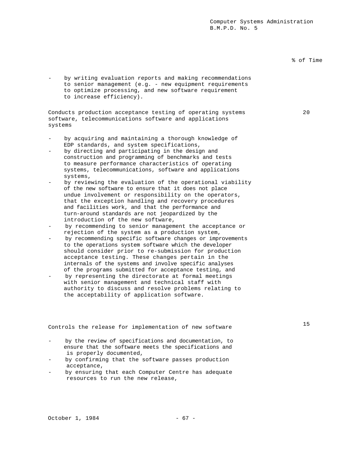# % of Time

by writing evaluation reports and making recommendations to senior management (e.g. - new equipment requirements to optimize processing, and new software requirement to increase efficiency).

Conducts production acceptance testing of operating systems software, telecommunications software and applications systems

- by acquiring and maintaining a thorough knowledge of EDP standards, and system specifications,
- by directing and participating in the design and construction and programming of benchmarks and tests to measure performance characteristics of operating systems, telecommunications, software and applications systems,
- by reviewing the evaluation of the operational viability of the new software to ensure that it does not place undue involvement or responsibility on the operators, that the exception handling and recovery procedures and facilities work, and that the performance and turn-around standards are not jeopardized by the introduction of the new software,
- by recommending to senior management the acceptance or rejection of the system as a production system,
- by recommending specific software changes or improvements to the operations system software which the developer should consider prior to re-submission for production acceptance testing. These changes pertain in the internals of the systems and involve specific analyses of the programs submitted for acceptance testing, and
- by representing the directorate at formal meetings with senior management and technical staff with authority to discuss and resolve problems relating to the acceptability of application software.

Controls the release for implementation of new software

- by the review of specifications and documentation, to ensure that the software meets the specifications and is properly documented,
- by confirming that the software passes production acceptance,
- by ensuring that each Computer Centre has adequate resources to run the new release,

15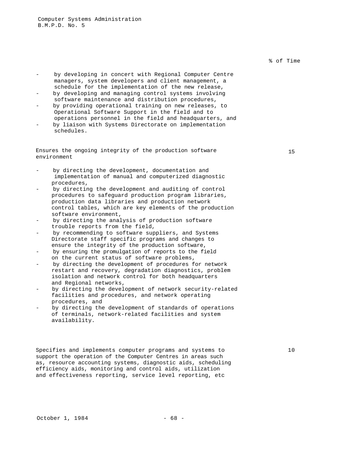- by developing in concert with Regional Computer Centre managers, system developers and client management, a schedule for the implementation of the new release,
- by developing and managing control systems involving software maintenance and distribution procedures,
- by providing operational training on new releases, to Operational Software Support in the field and to operations personnel in the field and headquarters, and by liaison with Systems Directorate on implementation
- schedules.

Ensures the ongoing integrity of the production software environment

- by directing the development, documentation and implementation of manual and computerized diagnostic procedures,
- by directing the development and auditing of control procedures to safeguard production program libraries, production data libraries and production network control tables, which are key elements of the production software environment,
- by directing the analysis of production software trouble reports from the field,
- by recommending to software suppliers, and Systems Directorate staff specific programs and changes to ensure the integrity of the production software,
- by ensuring the promulgation of reports to the field on the current status of software problems,
- by directing the development of procedures for network restart and recovery, degradation diagnostics, problem isolation and network control for both headquarters and Regional networks,
- by directing the development of network security-related facilities and procedures, and network operating procedures, and
- by directing the development of standards of operations of terminals, network-related facilities and system availability.

Specifies and implements computer programs and systems to support the operation of the Computer Centres in areas such as, resource accounting systems, diagnostic aids, scheduling efficiency aids, monitoring and control aids, utilization and effectiveness reporting, service level reporting, etc

% of Time

15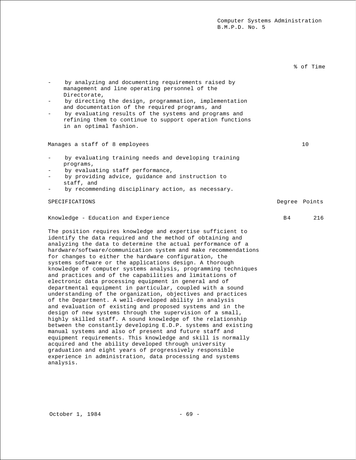|                                                                                                                                                                                                                                                                                                                                                                                                                                                                                                                                                                                                                                                                                                                                                                                                                                                                                                                                                                                                                                                                                                                                                                                                                                                                                                                                        |               |    | % of Time |
|----------------------------------------------------------------------------------------------------------------------------------------------------------------------------------------------------------------------------------------------------------------------------------------------------------------------------------------------------------------------------------------------------------------------------------------------------------------------------------------------------------------------------------------------------------------------------------------------------------------------------------------------------------------------------------------------------------------------------------------------------------------------------------------------------------------------------------------------------------------------------------------------------------------------------------------------------------------------------------------------------------------------------------------------------------------------------------------------------------------------------------------------------------------------------------------------------------------------------------------------------------------------------------------------------------------------------------------|---------------|----|-----------|
| by analyzing and documenting requirements raised by<br>management and line operating personnel of the<br>Directorate,<br>by directing the design, programmation, implementation<br>and documentation of the required programs, and<br>by evaluating results of the systems and programs and<br>$\overline{\phantom{a}}$<br>refining them to continue to support operation functions<br>in an optimal fashion.                                                                                                                                                                                                                                                                                                                                                                                                                                                                                                                                                                                                                                                                                                                                                                                                                                                                                                                          |               |    |           |
| Manages a staff of 8 employees                                                                                                                                                                                                                                                                                                                                                                                                                                                                                                                                                                                                                                                                                                                                                                                                                                                                                                                                                                                                                                                                                                                                                                                                                                                                                                         |               | 10 |           |
| by evaluating training needs and developing training<br>programs,<br>by evaluating staff performance,<br>by providing advice, quidance and instruction to<br>staff, and<br>by recommending disciplinary action, as necessary.                                                                                                                                                                                                                                                                                                                                                                                                                                                                                                                                                                                                                                                                                                                                                                                                                                                                                                                                                                                                                                                                                                          |               |    |           |
| SPECIFICATIONS                                                                                                                                                                                                                                                                                                                                                                                                                                                                                                                                                                                                                                                                                                                                                                                                                                                                                                                                                                                                                                                                                                                                                                                                                                                                                                                         | Degree Points |    |           |
| Knowledge - Education and Experience                                                                                                                                                                                                                                                                                                                                                                                                                                                                                                                                                                                                                                                                                                                                                                                                                                                                                                                                                                                                                                                                                                                                                                                                                                                                                                   | <b>B4</b>     |    | 216       |
| The position requires knowledge and expertise sufficient to<br>identify the data required and the method of obtaining and<br>analyzing the data to determine the actual performance of a<br>hardware/software/communication system and make recommendations<br>for changes to either the hardware configuration, the<br>systems software or the applications design. A thorough<br>knowledge of computer systems analysis, programming techniques<br>and practices and of the capabilities and limitations of<br>electronic data processing equipment in general and of<br>departmental equipment in particular, coupled with a sound<br>understanding of the organization, objectives and practices<br>of the Department. A well-developed ability in analysis<br>and evaluation of existing and proposed systems and in the<br>design of new systems through the supervision of a small,<br>highly skilled staff. A sound knowledge of the relationship<br>between the constantly developing E.D.P. systems and existing<br>manual systems and also of present and future staff and<br>equipment requirements. This knowledge and skill is normally<br>acquired and the ability developed through university<br>graduation and eight years of progressively responsible<br>experience in administration, data processing and systems |               |    |           |

analysis.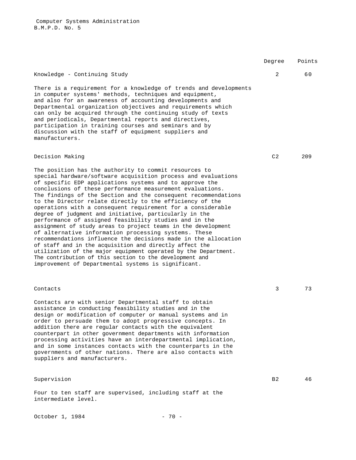|                                                                                                                                                                                                                                                                                                                                                                                                                                                                                                                                                                                                                                                                                                                                                                                                                                                                                                                                                                                                           | Degree         | Points |
|-----------------------------------------------------------------------------------------------------------------------------------------------------------------------------------------------------------------------------------------------------------------------------------------------------------------------------------------------------------------------------------------------------------------------------------------------------------------------------------------------------------------------------------------------------------------------------------------------------------------------------------------------------------------------------------------------------------------------------------------------------------------------------------------------------------------------------------------------------------------------------------------------------------------------------------------------------------------------------------------------------------|----------------|--------|
| Knowledge - Continuing Study                                                                                                                                                                                                                                                                                                                                                                                                                                                                                                                                                                                                                                                                                                                                                                                                                                                                                                                                                                              | 2              | 60     |
| There is a requirement for a knowledge of trends and developments<br>in computer systems' methods, techniques and equipment,<br>and also for an awareness of accounting developments and<br>Departmental organization objectives and requirements which<br>can only be acquired through the continuing study of texts<br>and periodicals, Departmental reports and directives,<br>participation in training courses and seminars and by<br>discussion with the staff of equipment suppliers and<br>manufacturers.                                                                                                                                                                                                                                                                                                                                                                                                                                                                                         |                |        |
| Decision Making                                                                                                                                                                                                                                                                                                                                                                                                                                                                                                                                                                                                                                                                                                                                                                                                                                                                                                                                                                                           | C2             | 209    |
| The position has the authority to commit resources to<br>special hardware/software acquisition process and evaluations<br>of specific EDP applications systems and to approve the<br>conclusions of these performance measurement evaluations.<br>The findings of the Section and the consequent recommendations<br>to the Director relate directly to the efficiency of the<br>operations with a consequent requirement for a considerable<br>degree of judgment and initiative, particularly in the<br>performance of assigned feasibility studies and in the<br>assignment of study areas to project teams in the development<br>of alternative information processing systems. These<br>recommendations influence the decisions made in the allocation<br>of staff and in the acquisition and directly affect the<br>utilization of the major equipment operated by the Department.<br>The contribution of this section to the development and<br>improvement of Departmental systems is significant. |                |        |
| Contacts                                                                                                                                                                                                                                                                                                                                                                                                                                                                                                                                                                                                                                                                                                                                                                                                                                                                                                                                                                                                  | 3              | 73     |
| Contacts are with senior Departmental staff to obtain<br>assistance in conducting feasibility studies and in the<br>design or modification of computer or manual systems and in<br>order to persuade them to adopt progressive concepts. In<br>addition there are regular contacts with the equivalent<br>counterpart in other government departments with information<br>processing activities have an interdepartmental implication,<br>and in some instances contacts with the counterparts in the<br>governments of other nations. There are also contacts with<br>suppliers and manufacturers.                                                                                                                                                                                                                                                                                                                                                                                                       |                |        |
| Supervision                                                                                                                                                                                                                                                                                                                                                                                                                                                                                                                                                                                                                                                                                                                                                                                                                                                                                                                                                                                               | B <sub>2</sub> | 46     |
| Four to ten staff are supervised, including staff at the                                                                                                                                                                                                                                                                                                                                                                                                                                                                                                                                                                                                                                                                                                                                                                                                                                                                                                                                                  |                |        |

October 1, 1984 - 70 -

intermediate level.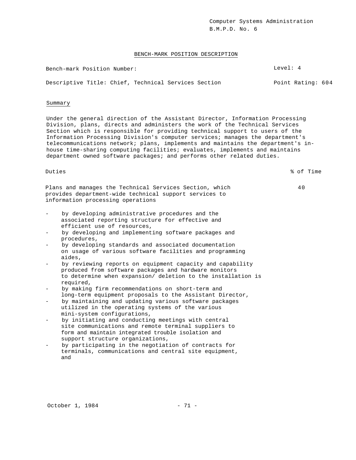#### BENCH-MARK POSITION DESCRIPTION

| Bench-mark Position Number:                          |  |  | Level: 4 |                   |  |
|------------------------------------------------------|--|--|----------|-------------------|--|
| Descriptive Title: Chief, Technical Services Section |  |  |          | Point Rating: 604 |  |

### Summary

Under the general direction of the Assistant Director, Information Processing Division, plans, directs and administers the work of the Technical Services Section which is responsible for providing technical support to users of the Information Processing Division's computer services; manages the department's telecommunications network; plans, implements and maintains the department's inhouse time-sharing computing facilities; evaluates, implements and maintains department owned software packages; and performs other related duties.

Duties % of Time

40

Plans and manages the Technical Services Section, which provides department-wide technical support services to information processing operations

- by developing administrative procedures and the associated reporting structure for effective and efficient use of resources,
- by developing and implementing software packages and procedures,
- by developing standards and associated documentation on usage of various software facilities and programming aides,
- by reviewing reports on equipment capacity and capability produced from software packages and hardware monitors to determine when expansion/ deletion to the installation is required,
- by making firm recommendations on short-term and long-term equipment proposals to the Assistant Director,
- by maintaining and updating various software packages utilized in the operating systems of the various mini-system configurations,
- by initiating and conducting meetings with central site communications and remote terminal suppliers to form and maintain integrated trouble isolation and support structure organizations,
- by participating in the negotiation of contracts for terminals, communications and central site equipment, and

October 1, 1984 - 71 -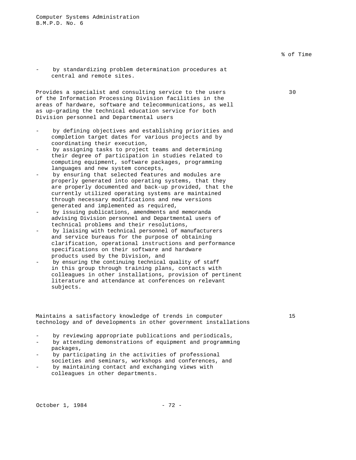by standardizing problem determination procedures at central and remote sites.

Provides a specialist and consulting service to the users of the Information Processing Division facilities in the areas of hardware, software and telecommunications, as well as up-grading the technical education service for both Division personnel and Departmental users

- by defining objectives and establishing priorities and completion target dates for various projects and by coordinating their execution,
- by assigning tasks to project teams and determining their degree of participation in studies related to computing equipment, software packages, programming languages and new system concepts,
- by ensuring that selected features and modules are properly generated into operating systems, that they are properly documented and back-up provided, that the currently utilized operating systems are maintained through necessary modifications and new versions generated and implemented as required,
- by issuing publications, amendments and memoranda advising Division personnel and Departmental users of technical problems and their resolutions,
- by liaising with technical personnel of manufacturers and service bureaus for the purpose of obtaining clarification, operational instructions and performance specifications on their software and hardware products used by the Division, and
- by ensuring the continuing technical quality of staff in this group through training plans, contacts with colleagues in other installations, provision of pertinent literature and attendance at conferences on relevant subjects.

Maintains a satisfactory knowledge of trends in computer technology and of developments in other government installations

- by reviewing appropriate publications and periodicals,
- by attending demonstrations of equipment and programming packages,
- by participating in the activities of professional societies and seminars, workshops and conferences, and
- by maintaining contact and exchanging views with colleagues in other departments.

October 1, 1984 - 72 -

% of Time

30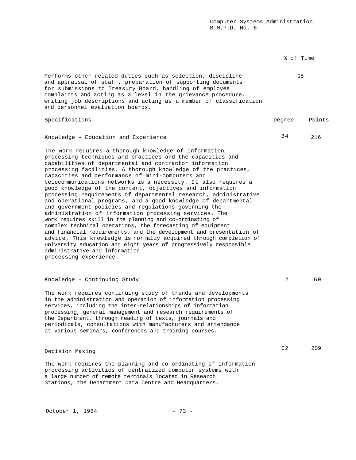% of Time Performs other related duties such as selection, discipline and appraisal of staff, preparation of supporting documents for submissions to Treasury Board, handling of employee complaints and acting as a level in the grievance procedure, writing job descriptions and acting as a member of classification and personnel evaluation boards. 15 Specifications **Degree** Points **Degree** Points Knowledge - Education and Experience The work requires a thorough knowledge of information processing techniques and practices and the capacities and capabilities of departmental and contractor information processing facilities. A thorough knowledge of the practices, capacities and performance of mini-computers and telecommunications networks is a necessity. It also requires a good knowledge of the content, objectives and information processing requirements of departmental research, administrative and operational programs, and a good knowledge of departmental and government policies and regulations governing the administration of information processing services. The work requires skill in the planning and co-ordinating of complex technical operations, the forecasting of equipment and financial requirements, and the development and presentation of advice. This knowledge is normally acquired through completion of university education and eight years of progressively responsible administrative and information processing experience. B4 216 Knowledge - Continuing Study The work requires continuing study of trends and developments in the administration and operation of information processing services, including the inter-relationships of information processing, general management and research requirements of the Department, through reading of texts, journals and periodicals, consultations with manufacturers and attendance at various seminars, conferences and training courses. 2 60 Decision Making C2 209

Computer Systems Administration

B.M.P.D. No. 6

The work requires the planning and co-ordinating of information processing activities of centralized computer systems with a large number of remote terminals located in Research Stations, the Department Data Centre and Headquarters.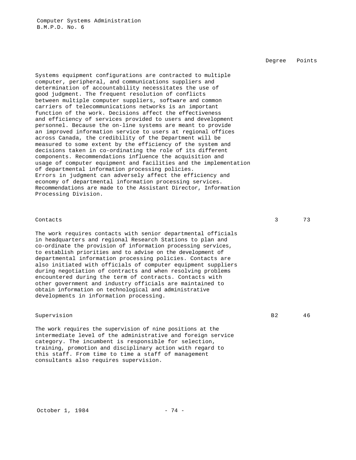Degree Points

Systems equipment configurations are contracted to multiple computer, peripheral, and communications suppliers and determination of accountability necessitates the use of good judgment. The frequent resolution of conflicts between multiple computer suppliers, software and common carriers of telecommunications networks is an important function of the work. Decisions affect the effectiveness and efficiency of services provided to users and development personnel. Because the on-line systems are meant to provide an improved information service to users at regional offices across Canada, the credibility of the Department will be measured to some extent by the efficiency of the system and decisions taken in co-ordinating the role of its different components. Recommendations influence the acquisition and usage of computer equipment and facilities and the implementation of departmental information processing policies. Errors in judgment can adversely affect the efficiency and economy of departmental information processing services. Recommendations are made to the Assistant Director, Information Processing Division.

### Contacts

The work requires contacts with senior departmental officials in headquarters and regional Research Stations to plan and co-ordinate the provision of information processing services, to establish priorities and to advise on the development of departmental information processing policies. Contacts are also initiated with officials of computer equipment suppliers during negotiation of contracts and when resolving problems encountered during the term of contracts. Contacts with other government and industry officials are maintained to obtain information on technological and administrative developments in information processing.

#### Supervision

The work requires the supervision of nine positions at the intermediate level of the administrative and foreign service category. The incumbent is responsible for selection, training, promotion and disciplinary action with regard to this staff. From time to time a staff of management consultants also requires supervision.

October 1, 1984 - 74

3 73

B2 46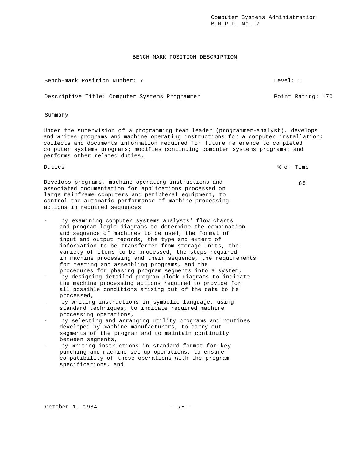October 1, 1984 - 75 -

Computer Systems Administration B.M.P.D. No. 7

#### BENCH-MARK POSITION DESCRIPTION

Bench-mark Position Number: 7 Level: 1

Descriptive Title: Computer Systems Programmer Point Rating: 170

### Summary

Under the supervision of a programming team leader (programmer-analyst), develops and writes programs and machine operating instructions for a computer installation; collects and documents information required for future reference to completed computer systems programs; modifies continuing computer systems programs; and performs other related duties.

Develops programs, machine operating instructions and associated documentation for applications processed on large mainframe computers and peripheral equipment, to control the automatic performance of machine processing actions in required sequences

- by examining computer systems analysts' flow charts and program logic diagrams to determine the combination and sequence of machines to be used, the format of input and output records, the type and extent of information to be transferred from storage units, the variety of items to be processed, the steps required in machine processing and their sequence, the requirements for testing and assembling programs, and the procedures for phasing program segments into a system,
- by designing detailed program block diagrams to indicate the machine processing actions required to provide for all possible conditions arising out of the data to be processed,
- by writing instructions in symbolic language, using standard techniques, to indicate required machine processing operations,
- by selecting and arranging utility programs and routines developed by machine manufacturers, to carry out segments of the program and to maintain continuity between segments,
- by writing instructions in standard format for key punching and machine set-up operations, to ensure compatibility of these operations with the program specifications, and

Duties % of Time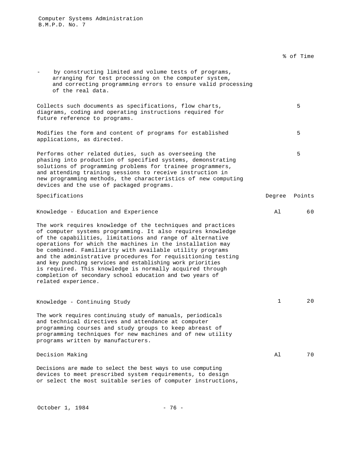% of Time by constructing limited and volume tests of programs, arranging for test processing on the computer system, and correcting programming errors to ensure valid processing of the real data. Collects such documents as specifications, flow charts, diagrams, coding and operating instructions required for future reference to programs. 5 Modifies the form and content of programs for established applications, as directed. 5 Performs other related duties, such as overseeing the phasing into production of specified systems, demonstrating solutions of programming problems for trainee programmers, and attending training sessions to receive instruction in new programming methods, the characteristics of new computing devices and the use of packaged programs. 5 Specifications and the contractions of the contractions of the contractions of the contractions of the contractions of the contractions of the contractions of the contractions of the contractions of the contractions of the Knowledge - Education and Experience The work requires knowledge of the techniques and practices of computer systems programming. It also requires knowledge of the capabilities, limitations and range of alternative operations for which the machines in the installation may be combined. Familiarity with available utility programs and the administrative procedures for requisitioning testing and key punching services and establishing work priorities is required. This knowledge is normally acquired through completion of secondary school education and two years of related experience. Al 60 Knowledge - Continuing Study The work requires continuing study of manuals, periodicals and technical directives and attendance at computer programming courses and study groups to keep abreast of programming techniques for new machines and of new utility programs written by manufacturers. 1 20 Decision Making Decisions are made to select the best ways to use computing devices to meet prescribed system requirements, to design or select the most suitable series of computer instructions, Al 70

October 1, 1984 - 76 -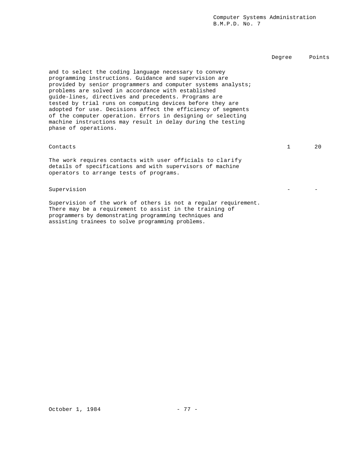Degree Points

and to select the coding language necessary to convey programming instructions. Guidance and supervision are provided by senior programmers and computer systems analysts; problems are solved in accordance with established guide-lines, directives and precedents. Programs are tested by trial runs on computing devices before they are adopted for use. Decisions affect the efficiency of segments of the computer operation. Errors in designing or selecting machine instructions may result in delay during the testing phase of operations. Contacts The work requires contacts with user officials to clarify details of specifications and with supervisors of machine operators to arrange tests of programs. 1 20 Supervision - -

Supervision of the work of others is not a regular requirement. There may be a requirement to assist in the training of programmers by demonstrating programming techniques and assisting trainees to solve programming problems.

# October 1, 1984 - 77 -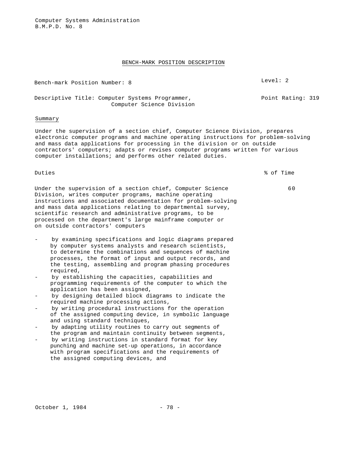#### BENCH-MARK POSITION DESCRIPTION

Bench-mark Position Number: 8 Level: 2

Point Rating: 319

Descriptive Title: Computer Systems Programmer, Computer Science Division

### Summary

Under the supervision of a section chief, Computer Science Division, prepares electronic computer programs and machine operating instructions for problem-solving and mass data applications for processing in the division or on outside contractors' computers; adapts or revises computer programs written for various computer installations; and performs other related duties.

Under the supervision of a section chief, Computer Science Division, writes computer programs, machine operating instructions and associated documentation for problem-solving and mass data applications relating to departmental survey, scientific research and administrative programs, to be processed on the department's large mainframe computer or on outside contractors' computers

- by examining specifications and logic diagrams prepared by computer systems analysts and research scientists, to determine the combinations and sequences of machine processes, the format of input and output records, and the testing, assembling and program phasing procedures required,
- by establishing the capacities, capabilities and programming requirements of the computer to which the application has been assigned,
- by designing detailed block diagrams to indicate the required machine processing actions,
- by writing procedural instructions for the operation of the assigned computing device, in symbolic language and using standard techniques,
- by adapting utility routines to carry out segments of the program and maintain continuity between segments,
- by writing instructions in standard format for key punching and machine set-up operations, in accordance with program specifications and the requirements of the assigned computing devices, and

Duties % of Time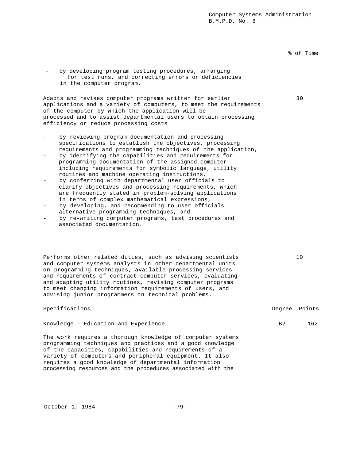by developing program testing procedures, arranging for test runs, and correcting errors or deficiencies in the computer program. Adapts and revises computer programs written for earlier applications and a variety of computers, to meet the requirements of the computer by which the application will be processed and to assist departmental users to obtain processing efficiency or reduce processing costs by reviewing program documentation and processing

- specifications to establish the objectives, processing requirements and programming techniques of the application,
- by identifying the capabilities and requirements for programming documentation of the assigned computer including requirements for symbolic language, utility routines and machine operating instructions,
- by conferring with departmental user officials to clarify objectives and processing requirements, which are frequently stated in problem-solving applications in terms of complex mathematical expressions,
- by developing, and recommending to user officials alternative programming techniques, and
- by re-writing computer programs, test procedures and associated documentation.

Performs other related duties, such as advising scientists and computer systems analysts in other departmental units on programming techniques, available processing services and requirements of contract computer services, evaluating and adapting utility routines, revising computer programs to meet changing information requirements of users, and advising junior programmers on technical problems.

variety of computers and peripheral equipment. It also requires a good knowledge of departmental information processing resources and the procedures associated with the

| Specifications                                                                                                                                                                   |                | Degree Points |
|----------------------------------------------------------------------------------------------------------------------------------------------------------------------------------|----------------|---------------|
| Knowledge - Education and Experience                                                                                                                                             | B <sub>2</sub> | 162           |
| The work requires a thorough knowledge of computer systems<br>programming techniques and practices and a good knowledge<br>of the capacities, capabilities and requirements of a |                |               |

# % of Time

30

10

October 1, 1984 - 79 -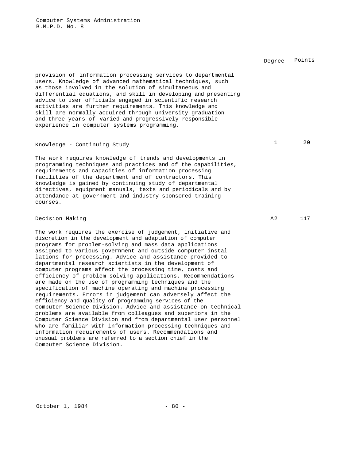Degree Points provision of information processing services to departmental users. Knowledge of advanced mathematical techniques, such as those involved in the solution of simultaneous and differential equations, and skill in developing and presenting advice to user officials engaged in scientific research activities are further requirements. This knowledge and skill are normally acquired through university graduation and three years of varied and progressively responsible experience in computer systems programming. Knowledge - Continuing Study The work requires knowledge of trends and developments in programming techniques and practices and of the capabilities, requirements and capacities of information processing facilities of the department and of contractors. This knowledge is gained by continuing study of departmental directives, equipment manuals, texts and periodicals and by attendance at government and industry-sponsored training courses. 1 20 Decision Making The work requires the exercise of judgement, initiative and discretion in the development and adaptation of computer A2 117

programs for problem-solving and mass data applications assigned to various government and outside computer instal lations for processing. Advice and assistance provided to departmental research scientists in the development of computer programs affect the processing time, costs and efficiency of problem-solving applications. Recommendations are made on the use of programming techniques and the specification of machine operating and machine processing requirements. Errors in judgement can adversely affect the efficiency and quality of programming services of the Computer Science Division. Advice and assistance on technical problems are available from colleagues and superiors in the Computer Science Division and from departmental user personnel who are familiar with information processing techniques and information requirements of users. Recommendations and unusual problems are referred to a section chief in the Computer Science Division.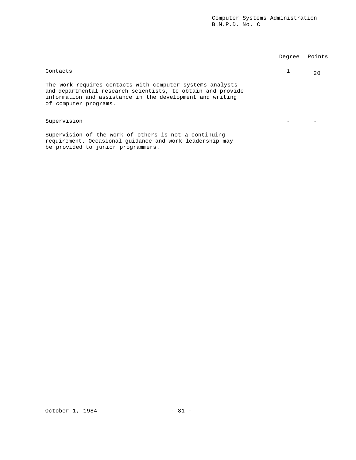|                                                                                                                                                                                                                | Degree | Points |
|----------------------------------------------------------------------------------------------------------------------------------------------------------------------------------------------------------------|--------|--------|
| Contacts                                                                                                                                                                                                       | 1      | 20     |
| The work requires contacts with computer systems analysts<br>and departmental research scientists, to obtain and provide<br>information and assistance in the development and writing<br>of computer programs. |        |        |
| Supervision                                                                                                                                                                                                    |        |        |
| Supervision of the work of others is not a continuing                                                                                                                                                          |        |        |

requirement. Occasional guidance and work leadership may be provided to junior programmers.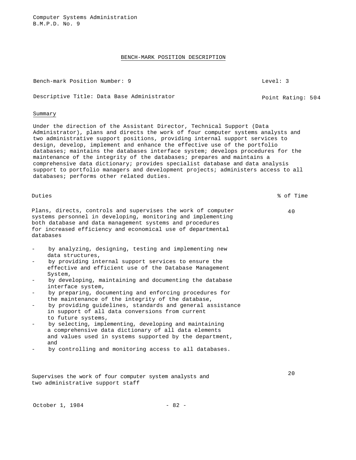### BENCH-MARK POSITION DESCRIPTION

Bench-mark Position Number: 9 Level: 3

Descriptive Title: Data Base Administrator **Point Rating: 504** Point Rating: 504

### Summary

Under the direction of the Assistant Director, Technical Support (Data Administrator), plans and directs the work of four computer systems analysts and two administrative support positions, providing internal support services to design, develop, implement and enhance the effective use of the portfolio databases; maintains the databases interface system; develops procedures for the maintenance of the integrity of the databases; prepares and maintains a comprehensive data dictionary; provides specialist database and data analysis support to portfolio managers and development projects; administers access to all databases; performs other related duties.

Duties % of Time

Plans, directs, controls and supervises the work of computer systems personnel in developing, monitoring and implementing both database and data management systems and procedures for increased efficiency and economical use of departmental databases

- by analyzing, designing, testing and implementing new data structures,
- by providing internal support services to ensure the effective and efficient use of the Database Management System,
- by developing, maintaining and documenting the database interface system,
- by preparing, documenting and enforcing procedures for the maintenance of the integrity of the database,
- by providing guidelines, standards and general assistance in support of all data conversions from current to future systems,
- by selecting, implementing, developing and maintaining a comprehensive data dictionary of all data elements and values used in systems supported by the department, and
- by controlling and monitoring access to all databases.

Supervises the work of four computer system analysts and two administrative support staff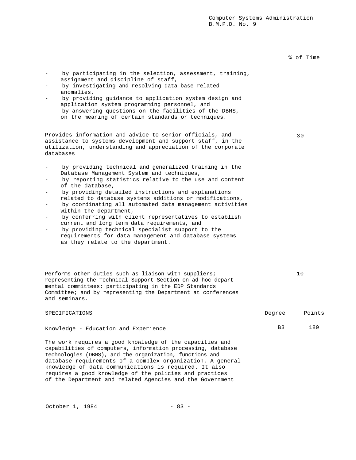% of Time

| by participating in the selection, assessment, training,<br>assignment and discipline of staff,<br>by investigating and resolving data base related<br>anomalies.<br>by providing guidance to application system design and<br>application system programming personnel, and<br>by answering questions on the facilities of the DBMS,<br>on the meaning of certain standards or techniques.                                                                                                                                                                                                                                                                                         |        |        |
|-------------------------------------------------------------------------------------------------------------------------------------------------------------------------------------------------------------------------------------------------------------------------------------------------------------------------------------------------------------------------------------------------------------------------------------------------------------------------------------------------------------------------------------------------------------------------------------------------------------------------------------------------------------------------------------|--------|--------|
| Provides information and advice to senior officials, and<br>assistance to systems development and support staff, in the<br>utilization, understanding and appreciation of the corporate<br>databases                                                                                                                                                                                                                                                                                                                                                                                                                                                                                |        | 30     |
| by providing technical and generalized training in the<br>Database Management System and techniques,<br>by reporting statistics relative to the use and content<br>of the database,<br>by providing detailed instructions and explanations<br>related to database systems additions or modifications,<br>by coordinating all automated data management activities<br>within the department,<br>by conferring with client representatives to establish<br>$\overline{\phantom{0}}$<br>current and long term data requirements, and<br>by providing technical specialist support to the<br>requirements for data management and database systems<br>as they relate to the department. |        |        |
| Performs other duties such as liaison with suppliers;<br>representing the Technical Support Section on ad-hoc depart<br>mental committees; participating in the EDP Standards<br>Committee; and by representing the Department at conferences<br>and seminars.                                                                                                                                                                                                                                                                                                                                                                                                                      |        | 10     |
| SPECIFICATIONS                                                                                                                                                                                                                                                                                                                                                                                                                                                                                                                                                                                                                                                                      | Degree | Points |
| Knowledge - Education and Experience                                                                                                                                                                                                                                                                                                                                                                                                                                                                                                                                                                                                                                                | B3     | 189    |
|                                                                                                                                                                                                                                                                                                                                                                                                                                                                                                                                                                                                                                                                                     |        |        |

The work requires a good knowledge of the capacities and capabilities of computers, information processing, database technologies (DBMS), and the organization, functions and database requirements of a complex organization. A general knowledge of data communications is required. It also requires a good knowledge of the policies and practices of the Department and related Agencies and the Government

October 1, 1984 - 83 -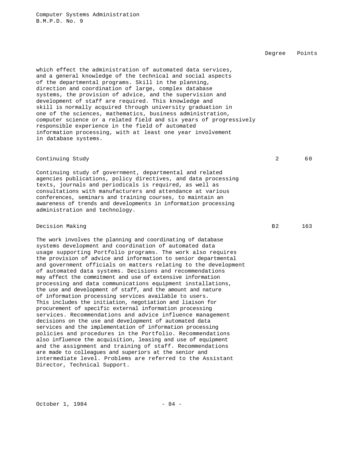Degree Points

which effect the administration of automated data services, and a general knowledge of the technical and social aspects of the departmental programs. Skill in the planning, direction and coordination of large, complex database systems, the provision of advice, and the supervision and development of staff are required. This knowledge and skill is normally acquired through university graduation in one of the sciences, mathematics, business administration, computer science or a related field and six years of progressively responsible experience in the field of automated information processing, with at least one year involvement in database systems.

### Continuing Study

Continuing study of government, departmental and related agencies publications, policy directives, and data processing texts, journals and periodicals is required, as well as consultations with manufacturers and attendance at various conferences, seminars and training courses, to maintain an awareness of trends and developments in information processing administration and technology.

#### Decision Making

The work involves the planning and coordinating of database systems development and coordination of automated data usage supporting Portfolio programs. The work also requires the provision of advice and information to senior departmental and government officials on matters relating to the development of automated data systems. Decisions and recommendations may affect the commitment and use of extensive information processing and data communications equipment installations, the use and development of staff, and the amount and nature of information processing services available to users. This includes the initiation, negotiation and liaison for procurement of specific external information processing services. Recommendations and advice influence management decisions on the use and development of automated data services and the implementation of information processing policies and procedures in the Portfolio. Recommendations also influence the acquisition, leasing and use of equipment and the assignment and training of staff. Recommendations are made to colleagues and superiors at the senior and intermediate level. Problems are referred to the Assistant Director, Technical Support.

2 60

B2 163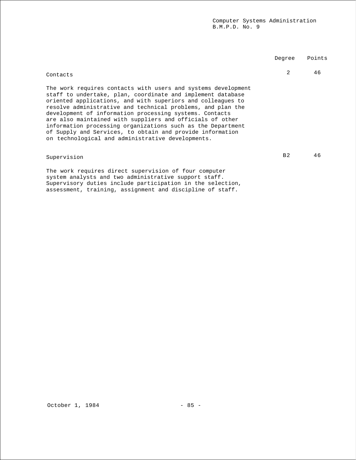|                                                                                                                                                                                                                                                                                                                                                                                                                                                                                                                                                                     | Degree         | Points |
|---------------------------------------------------------------------------------------------------------------------------------------------------------------------------------------------------------------------------------------------------------------------------------------------------------------------------------------------------------------------------------------------------------------------------------------------------------------------------------------------------------------------------------------------------------------------|----------------|--------|
| Contacts                                                                                                                                                                                                                                                                                                                                                                                                                                                                                                                                                            | 2              | 46     |
| The work requires contacts with users and systems development<br>staff to undertake, plan, coordinate and implement database<br>oriented applications, and with superiors and colleagues to<br>resolve administrative and technical problems, and plan the<br>development of information processing systems. Contacts<br>are also maintained with suppliers and officials of other<br>information processing organizations such as the Department<br>of Supply and Services, to obtain and provide information<br>on technological and administrative developments. |                |        |
| Supervision                                                                                                                                                                                                                                                                                                                                                                                                                                                                                                                                                         | B <sub>2</sub> | 46     |

The work requires direct supervision of four computer system analysts and two administrative support staff. Supervisory duties include participation in the selection, assessment, training, assignment and discipline of staff.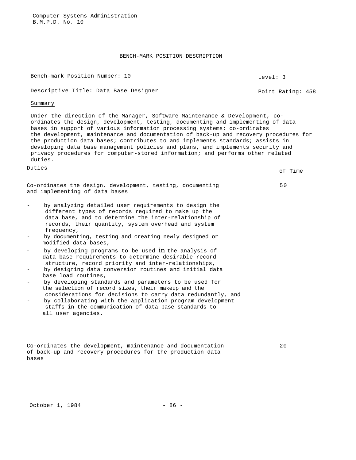#### BENCH-MARK POSITION DESCRIPTION

#### Bench-mark Position Number: 10 and 10 Level: 3

# Descriptive Title: Data Base Designer entitle: Point Rating: 458

#### Summary

Under the direction of the Manager, Software Maintenance & Development, coordinates the design, development, testing, documenting and implementing of data bases in support of various information processing systems; co-ordinates the development, maintenance and documentation of back-up and recovery procedures for the production data bases; contributes to and implements standards; assists in developing data base management policies and plans, and implements security and privacy procedures for computer-stored information; and performs other related duties.

|                                |  | Co-ordinates the design, development, testing, documenting |  |
|--------------------------------|--|------------------------------------------------------------|--|
| and implementing of data bases |  |                                                            |  |

- by analyzing detailed user requirements to design the different types of records required to make up the data base, and to determine the inter-relationship of records, their quantity, system overhead and system frequency,
- by documenting, testing and creating newly designed or modified data bases,
- by developing programs to be used  $in$  the analysis of data base requirements to determine desirable record structure, record priority and inter-relationships,
- by designing data conversion routines and initial data base load routines,
- by developing standards and parameters to be used for the selection of record sizes, their makeup and the considerations for decisions to carry data redundantly, and
- by collaborating with the application program development staffs in the communication of data base standards to all user agencies.

Co-ordinates the development, maintenance and documentation of back-up and recovery procedures for the production data bases

20

Duties of Time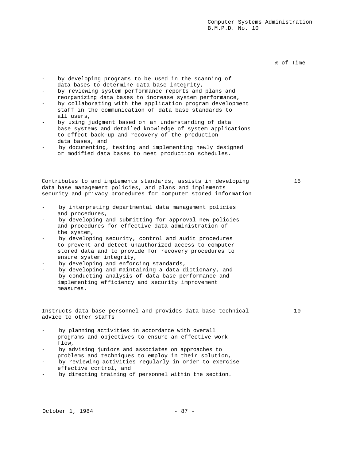#### % of Time

- by developing programs to be used in the scanning of data bases to determine data base integrity,
- by reviewing system performance reports and plans and reorganizing data bases to increase system performance,
- by collaborating with the application program development staff in the communication of data base standards to all users,
- by using judgment based on an understanding of data base systems and detailed knowledge of system applications to effect back-up and recovery of the production data bases, and
- by documenting, testing and implementing newly designed or modified data bases to meet production schedules.

Contributes to and implements standards, assists in developing data base management policies, and plans and implements security and privacy procedures for computer stored information

- by interpreting departmental data management policies and procedures,
- by developing and submitting for approval new policies and procedures for effective data administration of the system,
- by developing security, control and audit procedures to prevent and detect unauthorized access to computer stored data and to provide for recovery procedures to ensure system integrity,
- by developing and enforcing standards,
- by developing and maintaining a data dictionary, and
- by conducting analysis of data base performance and implementing efficiency and security improvement measures.

Instructs data base personnel and provides data base technical advice to other staffs

10

- by planning activities in accordance with overall programs and objectives to ensure an effective work flow,
- by advising juniors and associates on approaches to problems and techniques to employ in their solution,
- by reviewing activities regularly in order to exercise effective control, and
- by directing training of personnel within the section.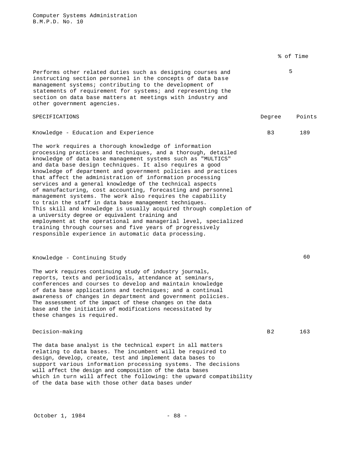|                                                                                                                                                                                                                                                                                                                                                                                                                                                                                                                                                                                                                                                                                                                                                                                                                                                                                                                                                   |                | % of Time |
|---------------------------------------------------------------------------------------------------------------------------------------------------------------------------------------------------------------------------------------------------------------------------------------------------------------------------------------------------------------------------------------------------------------------------------------------------------------------------------------------------------------------------------------------------------------------------------------------------------------------------------------------------------------------------------------------------------------------------------------------------------------------------------------------------------------------------------------------------------------------------------------------------------------------------------------------------|----------------|-----------|
| Performs other related duties such as designing courses and<br>instructing section personnel in the concepts of data base<br>management systems; contributing to the development of<br>statements of requirement for systems; and representing the<br>section on data base matters at meetings with industry and<br>other government agencies.                                                                                                                                                                                                                                                                                                                                                                                                                                                                                                                                                                                                    |                | 5         |
| SPECIFICATIONS                                                                                                                                                                                                                                                                                                                                                                                                                                                                                                                                                                                                                                                                                                                                                                                                                                                                                                                                    | Degree         | Points    |
| Knowledge - Education and Experience                                                                                                                                                                                                                                                                                                                                                                                                                                                                                                                                                                                                                                                                                                                                                                                                                                                                                                              | B <sub>3</sub> | 189       |
| The work requires a thorough knowledge of information<br>processing practices and techniques, and a thorough, detailed<br>knowledge of data base management systems such as "MULTICS"<br>and data base design techniques. It also requires a good<br>knowledge of department and government policies and practices<br>that affect the administration of information processing<br>services and a general knowledge of the technical aspects<br>of manufacturing, cost accounting, forecasting and personnel<br>management systems. The work also requires the capability<br>to train the staff in data base management techniques.<br>This skill and knowledge is usually acquired through completion of<br>a university degree or equivalent training and<br>employment at the operational and managerial level, specialized<br>training through courses and five years of progressively<br>responsible experience in automatic data processing. |                |           |
| Knowledge - Continuing Study                                                                                                                                                                                                                                                                                                                                                                                                                                                                                                                                                                                                                                                                                                                                                                                                                                                                                                                      |                | 60        |
| The work requires continuing study of industry journals,<br>reports, texts and periodicals, attendance at seminars,<br>conferences and courses to develop and maintain knowledge                                                                                                                                                                                                                                                                                                                                                                                                                                                                                                                                                                                                                                                                                                                                                                  |                |           |

conferences and courses to develop and maintain knowledge of data base applications and techniques; and a continual awareness of changes in department and government policies. The assessment of the impact of these changes on the data base and the initiation of modifications necessitated by these changes is required.

# Decision-making

The data base analyst is the technical expert in all matters relating to data bases. The incumbent will be required to design, develop, create, test and implement data bases to support various information processing systems. The decisions will affect the design and composition of the data bases which in turn will affect the following: the upward compatibility of the data base with those other data bases under

B2 163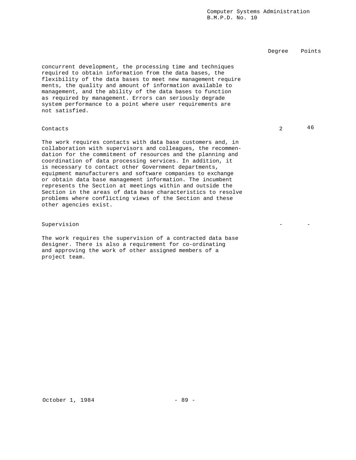Degree Points

concurrent development, the processing time and techniques required to obtain information from the data bases, the flexibility of the data bases to meet new management require ments, the quality and amount of information available to management, and the ability of the data bases to function as required by management. Errors can seriously degrade system performance to a point where user requirements are not satisfied.

#### Contacts

The work requires contacts with data base customers and, in collaboration with supervisors and colleagues, the recommendation for the commitment of resources and the planning and coordination of data processing services. In addition, it is necessary to contact other Government departments, equipment manufacturers and software companies to exchange or obtain data base management information. The incumbent represents the Section at meetings within and outside the Section in the areas of data base characteristics to resolve problems where conflicting views of the Section and these other agencies exist.

#### Supervision

The work requires the supervision of a contracted data base designer. There is also a requirement for co-ordinating and approving the work of other assigned members of a project team.

2 46

- -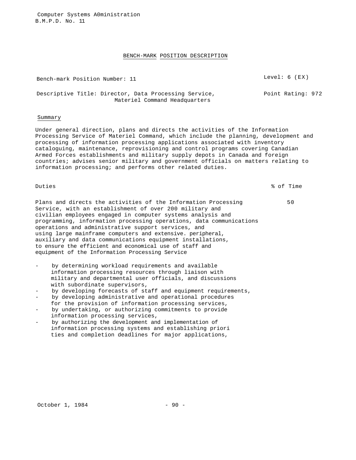#### BENCH-MARK POSITION DESCRIPTION

Bench-mark Position Number: 11 devel: 6 (EX)

Point Rating: 972

Descriptive Title: Director, Data Processing Service, Materiel Command Headquarters

### Summary

Under general direction, plans and directs the activities of the Information Processing Service of Materiel Command, which include the planning, development and processing of information processing applications associated with inventory cataloguing, maintenance, reprovisioning and control programs covering Canadian Armed Forces establishments and military supply depots in Canada and foreign countries; advises senior military and government officials on matters relating to information processing; and performs other related duties.

Duties % of Time

50

Plans and directs the activities of the Information Processing Service, with an establishment of over 200 military and civilian employees engaged in computer systems analysis and programming, information processing operations, data communications operations and administrative support services, and using large mainframe computers and extensive. peripheral,

auxiliary and data communications equipment installations, to ensure the efficient and economical use of staff and

equipment of the Information Processing Service

- by determining workload requirements and available information processing resources through liaison with military and departmental user officials, and discussions with subordinate supervisors,
- by developing forecasts of staff and equipment requirements,
- by developing administrative and operational procedures
- for the provision of information processing services, by undertaking, or authorizing commitments to provide
- information processing services,
- by authorizing the development and implementation of information processing systems and establishing priori ties and completion deadlines for major applications,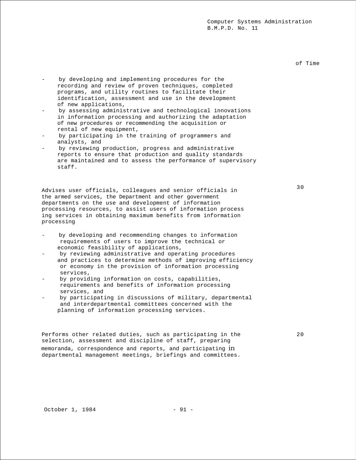of Time

- by developing and implementing procedures for the recording and review of proven techniques, completed programs, and utility routines to facilitate their identification, assessment and use in the development of new applications,
- by assessing administrative and technological innovations in information processing and authorizing the adaptation of new procedures or recommending the acquisition or rental of new equipment,
- by participating in the training of programmers and analysts, and
- by reviewing production, progress and administrative reports to ensure that production and quality standards are maintained and to assess the performance of supervisory staff.

Advises user officials, colleagues and senior officials in the armed services, the Department and other government departments on the use and development of information processing resources, to assist users of information process ing services in obtaining maximum benefits from information processing

- by developing and recommending changes to information requirements of users to improve the technical or economic feasibility of applications,
- by reviewing administrative and operating procedures and practices to determine methods of improving efficiency or economy in the provision of information processing services,
- by providing information on costs, capabilities, requirements and benefits of information processing services, and
- by participating in discussions of military, departmental and interdepartmental committees concerned with the planning of information processing services.

Performs other related duties, such as participating in the selection, assessment and discipline of staff, preparing memoranda, correspondence and reports, and participating in departmental management meetings, briefings and committees.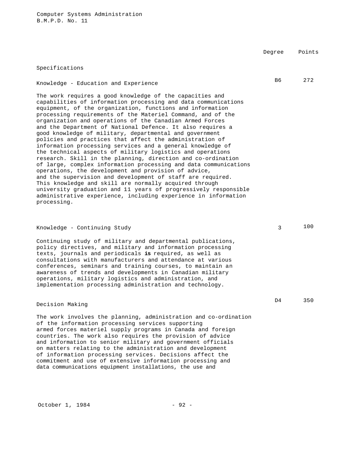Degree Points Specifications Knowledge - Education and Experience The work requires a good knowledge of the capacities and capabilities of information processing and data communications equipment, of the organization, functions and information processing requirements of the Materiel Command, and of the organization and operations of the Canadian Armed Forces and the Department of National Defence. It also requires a good knowledge of military, departmental and government policies and practices that affect the administration of information processing services and a general knowledge of the technical aspects of military logistics and operations research. Skill in the planning, direction and co-ordination of large, complex information processing and data communications operations, the development and provision of advice, and the supervision and development of staff are required. This knowledge and skill are normally acquired through university graduation and 11 years of progressively responsible administrative experience, including experience in information processing. B6 272 Knowledge - Continuing Study Continuing study of military and departmental publications, policy directives, and military and information processing texts, journals and periodicals **is** required, as well as consultations with manufacturers and attendance at various conferences, seminars and training courses, to maintain an awareness of trends and developments in Canadian military operations, military logistics and administration, and implementation processing administration and technology. 3 100 Decision Making The work involves the planning, administration and co-ordination of the information processing services supporting armed forces materiel supply programs in Canada and foreign countries. The work also requires the provision of advice and information to senior military and government officials on matters relating to the administration and development of information processing services. Decisions affect the commitment and use of extensive information processing and data communications equipment installations, the use and D4 350

October 1, 1984 - 92 -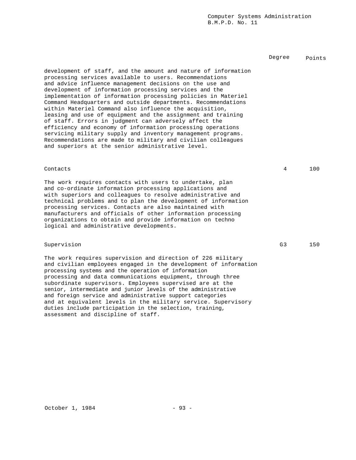development of staff, and the amount and nature of information processing services available to users. Recommendations and advice influence management decisions on the use and development of information processing services and the implementation of information processing policies in Materiel Command Headquarters and outside departments. Recommendations within Materiel Command also influence the acquisition, leasing and use of equipment and the assignment and training of staff. Errors in judgment can adversely affect the efficiency and economy of information processing operations servicing military supply and inventory management programs. Recommendations are made to military and civilian colleagues and superiors at the senior administrative level.

# Contacts

The work requires contacts with users to undertake, plan and co-ordinate information processing applications and with superiors and colleagues to resolve administrative and technical problems and to plan the development of information processing services. Contacts are also maintained with manufacturers and officials of other information processing organizations to obtain and provide information on techno logical and administrative developments.

#### Supervision

The work requires supervision and direction of 226 military and civilian employees engaged in the development of information processing systems and the operation of information processing and data communications equipment, through three subordinate supervisors. Employees supervised are at the senior, intermediate and junior levels of the administrative and foreign service and administrative support categories and at equivalent levels in the military service. Supervisory duties include participation in the selection, training, assessment and discipline of staff.

G3 150

4 100

Degree Points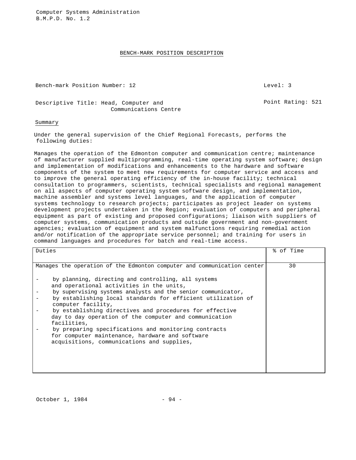# BENCH-MARK POSITION DESCRIPTION

Bench-mark Position Number: 12 Level: 3

Point Rating: 521

Descriptive Title: Head, Computer and Communications Centre

Summary

Under the general supervision of the Chief Regional Forecasts, performs the following duties:

Manages the operation of the Edmonton computer and communication centre; maintenance of manufacturer supplied multiprogramming, real-time operating system software; design and implementation of modifications and enhancements to the hardware and software components of the system to meet new requirements for computer service and access and to improve the general operating efficiency of the in-house facility; technical consultation to programmers, scientists, technical specialists and regional management on all aspects of computer operating system software design, and implementation, machine assembler and systems level languages, and the application of computer systems technology to research projects; participates as project leader on systems development projects undertaken in the Region; evaluation of computers and peripheral equipment as part of existing and proposed configurations; liaison with suppliers of computer systems, communication products and outside government and non-government agencies; evaluation of equipment and system malfunctions requiring remedial action and/or notification of the appropriate service personnel; and training for users in command languages and procedures for batch and real-time access.

| Duties                                                                                                                                                                                                                                                                                                                                                                                    | % of Time |
|-------------------------------------------------------------------------------------------------------------------------------------------------------------------------------------------------------------------------------------------------------------------------------------------------------------------------------------------------------------------------------------------|-----------|
|                                                                                                                                                                                                                                                                                                                                                                                           |           |
| Manages the operation of the Edmonton computer and communication center                                                                                                                                                                                                                                                                                                                   | 30        |
| by planning, directing and controlling, all systems<br>and operational activities in the units,<br>by supervising systems analysts and the senior communicator,<br>by establishing local standards for efficient utilization of<br>computer facility,<br>by establishing directives and procedures for effective<br>day to day operation of the computer and communication<br>facilities, |           |
| by preparing specifications and monitoring contracts<br>for computer maintenance, hardware and software<br>acquisitions, communications and supplies,                                                                                                                                                                                                                                     |           |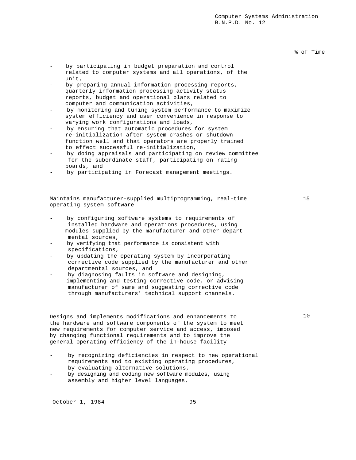# % of Time

- by participating in budget preparation and control related to computer systems and all operations, of the unit,
- by preparing annual information processing reports, quarterly information processing activity status reports, budget and operational plans related to computer and communication activities,
- by monitoring and tuning system performance to maximize system efficiency and user convenience in response to varying work configurations and loads,
- by ensuring that automatic procedures for system re-initialization after system crashes or shutdown function well and that operators are properly trained to effect successful re-initialization,
- by doing appraisals and participating on review committee for the subordinate staff, participating on rating boards, and
- by participating in Forecast management meetings.

Maintains manufacturer-supplied multiprogramming, real-time operating system software

- by configuring software systems to requirements of installed hardware and operations procedures, using modules supplied by the manufacturer and other depart mental sources,
- by verifying that performance is consistent with specifications,
- by updating the operating system by incorporating corrective code supplied by the manufacturer and other departmental sources, and
- by diagnosing faults in software and designing, implementing and testing corrective code, or advising manufacturer of same and suggesting corrective code through manufacturers' technical support channels.

Designs and implements modifications and enhancements to the hardware and software components of the system to meet new requirements for computer service and access, imposed by changing functional requirements and to improve the general operating efficiency of the in-house facility

- by recognizing deficiencies in respect to new operational requirements and to existing operating procedures,
- by evaluating alternative solutions,
- by designing and coding new software modules, using assembly and higher level languages,

October 1, 1984 - 95 -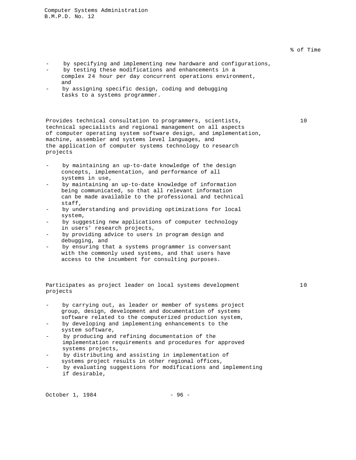- by specifying and implementing new hardware and configurations,
- by testing these modifications and enhancements in a complex 24 hour per day concurrent operations environment, and
- by assigning specific design, coding and debugging tasks to a systems programmer.

Provides technical consultation to programmers, scientists, technical specialists and regional management on all aspects of computer operating system software design, and implementation, machine, assembler and systems level languages, and the application of computer systems technology to research projects

- by maintaining an up-to-date knowledge of the design concepts, implementation, and performance of all systems in use,
- by maintaining an up-to-date knowledge of information being communicated, so that all relevant information can be made available to the professional and technical staff,
- by understanding and providing optimizations for local system,
- by suggesting new applications of computer technology in users' research projects,
- by providing advice to users in program design and debugging, and
- by ensuring that a systems programmer is conversant with the commonly used systems, and that users have access to the incumbent for consulting purposes.

Participates as project leader on local systems development projects

- by carrying out, as leader or member of systems project group, design, development and documentation of systems software related to the computerized production system,
- by developing and implementing enhancements to the system software,
- by producing and refining documentation of the implementation requirements and procedures for approved systems projects,
- by distributing and assisting in implementation of systems project results in other regional offices,
- by evaluating suggestions for modifications and implementing if desirable,

October 1, 1984 - 96 -

% of Time

10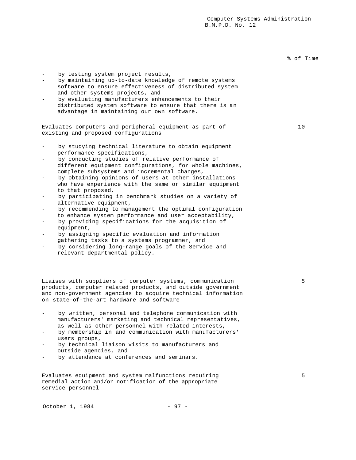- by testing system project results,
- by maintaining up-to-date knowledge of remote systems software to ensure effectiveness of distributed system and other systems projects, and
- by evaluating manufacturers enhancements to their distributed system software to ensure that there is an advantage in maintaining our own software.

Evaluates computers and peripheral equipment as part of existing and proposed configurations

- by studying technical literature to obtain equipment performance specifications,
- by conducting studies of relative performance of different equipment configurations, for whole machines, complete subsystems and incremental changes,
- by obtaining opinions of users at other installations who have experience with the same or similar equipment to that proposed,
- by participating in benchmark studies on a variety of alternative equipment,
- by recommending to management the optimal configuration to enhance system performance and user acceptability,
- by providing specifications for the acquisition of equipment,
- by assigning specific evaluation and information gathering tasks to a systems programmer, and
- by considering long-range goals of the Service and relevant departmental policy.

Liaises with suppliers of computer systems, communication products, computer related products, and outside government and non-government agencies to acquire technical information on state-of-the-art hardware and software

- by written, personal and telephone communication with manufacturers' marketing and technical representatives, as well as other personnel with related interests,
- by membership in and communication with manufacturers' users groups,
- by technical liaison visits to manufacturers and outside agencies, and
- by attendance at conferences and seminars.

Evaluates equipment and system malfunctions requiring remedial action and/or notification of the appropriate service personnel

October 1, 1984 - 97 -

10

5

5

% of Time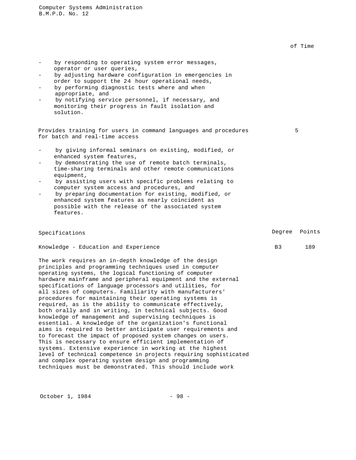of Time

5

- by responding to operating system error messages, operator or user queries,
- by adjusting hardware configuration in emergencies in order to support the 24 hour operational needs,
- by performing diagnostic tests where and when appropriate, and
- by notifying service personnel, if necessary, and monitoring their progress in fault isolation and solution.

Provides training for users in command languages and procedures for batch and real-time access

- by giving informal seminars on existing, modified, or enhanced system features,
- by demonstrating the use of remote batch terminals, time-sharing terminals and other remote communications equipment,
- by assisting users with specific problems relating to computer system access and procedures, and
- by preparing documentation for existing, modified, or enhanced system features as nearly coincident as possible with the release of the associated system features.

| Specifications                                                                                                                                                                                                                                                                                                                                                                                                                                                                                                                                                                                                                                                                                                                                                                                                                                                                                                                                                                                                                                      | Degree         | Points |
|-----------------------------------------------------------------------------------------------------------------------------------------------------------------------------------------------------------------------------------------------------------------------------------------------------------------------------------------------------------------------------------------------------------------------------------------------------------------------------------------------------------------------------------------------------------------------------------------------------------------------------------------------------------------------------------------------------------------------------------------------------------------------------------------------------------------------------------------------------------------------------------------------------------------------------------------------------------------------------------------------------------------------------------------------------|----------------|--------|
| Knowledge - Education and Experience                                                                                                                                                                                                                                                                                                                                                                                                                                                                                                                                                                                                                                                                                                                                                                                                                                                                                                                                                                                                                | B <sub>3</sub> | 189    |
| The work requires an in-depth knowledge of the design<br>principles and programming techniques used in computer<br>operating systems, the logical functioning of computer<br>hardware mainframe and peripheral equipment and the external<br>specifications of language processors and utilities, for<br>all sizes of computers. Familiarity with manufacturers'<br>procedures for maintaining their operating systems is<br>required, as is the ability to communicate effectively,<br>both orally and in writing, in technical subjects. Good<br>knowledge of management and supervising techniques is<br>essential. A knowledge of the organization's functional<br>aims is required to better anticipate user requirements and<br>to forecast the impact of proposed system changes on users.<br>This is necessary to ensure efficient implementation of<br>systems. Extensive experience in working at the highest<br>level of technical competence in projects requiring sophisticated<br>and complex operating system design and programming |                |        |
| techniques must be demonstrated. This should include work                                                                                                                                                                                                                                                                                                                                                                                                                                                                                                                                                                                                                                                                                                                                                                                                                                                                                                                                                                                           |                |        |

October 1, 1984 - 98 -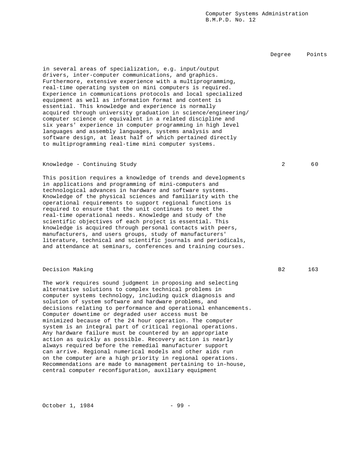Degree Points

in several areas of specialization, e.g. input/output drivers, inter-computer communications, and graphics. Furthermore, extensive experience with a multiprogramming, real-time operating system on mini computers is required. Experience in communications protocols and local specialized equipment as well as information format and content is essential. This knowledge and experience is normally acquired through university graduation in science/engineering/ computer science or equivalent in a related discipline and six years' experience in computer programming in high level languages and assembly languages, systems analysis and software design, at least half of which pertained directly to multiprogramming real-time mini computer systems.

#### Knowledge - Continuing Study

This position requires a knowledge of trends and developments in applications and programming of mini-computers and technological advances in hardware and software systems. Knowledge of the physical sciences and familiarity with the operational requirements to support regional functions is required to ensure that the unit continues to meet the real-time operational needs. Knowledge and study of the scientific objectives of each project is essential. This knowledge is acquired through personal contacts with peers, manufacturers, and users groups, study of manufacturers' literature, technical and scientific journals and periodicals, and attendance at seminars, conferences and training courses.

### Decision Making

The work requires sound judgment in proposing and selecting alternative solutions to complex technical problems in computer systems technology, including quick diagnosis and solution of system software and hardware problems, and decisions relating to performance and operational enhancements. Computer downtime or degraded user access must be minimized because of the 24 hour operation. The computer system is an integral part of critical regional operations. Any hardware failure must be countered by an appropriate action as quickly as possible. Recovery action is nearly always required before the remedial manufacturer support can arrive. Regional numerical models and other aids run on the computer are a high priority in regional operations. Recommendations are made to management pertaining to in-house, central computer reconfiguration, auxiliary equipment

October 1, 1984 - 99 -

B2 163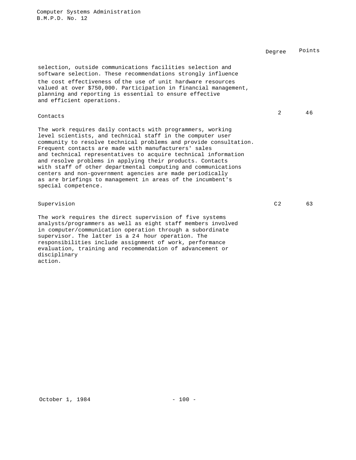|                                                                                                                                                                                                                                                                                                                                                                                                                                                                                                                                                                                                         | Degree         | Points |
|---------------------------------------------------------------------------------------------------------------------------------------------------------------------------------------------------------------------------------------------------------------------------------------------------------------------------------------------------------------------------------------------------------------------------------------------------------------------------------------------------------------------------------------------------------------------------------------------------------|----------------|--------|
| selection, outside communications facilities selection and<br>software selection. These recommendations strongly influence<br>the cost effectiveness of the use of unit hardware resources<br>valued at over \$750,000. Participation in financial management,<br>planning and reporting is essential to ensure effective<br>and efficient operations.                                                                                                                                                                                                                                                  |                |        |
| Contacts                                                                                                                                                                                                                                                                                                                                                                                                                                                                                                                                                                                                | 2              | 46     |
| The work requires daily contacts with programmers, working<br>level scientists, and technical staff in the computer user<br>community to resolve technical problems and provide consultation.<br>Frequent contacts are made with manufacturers' sales<br>and technical representatives to acquire technical information<br>and resolve problems in applying their products. Contacts<br>with staff of other departmental computing and communications<br>centers and non-government agencies are made periodically<br>as are briefings to management in areas of the incumbent's<br>special competence. |                |        |
| Supervision                                                                                                                                                                                                                                                                                                                                                                                                                                                                                                                                                                                             | C <sub>2</sub> | 63     |
| The work requires the direct supervision of five systems<br>analysts/programmers as well as eight staff members involved<br>the contract of the contract of the contract of the contract of the contract of the contract of the contract of                                                                                                                                                                                                                                                                                                                                                             |                |        |

in computer/communication operation through a subordinate supervisor. The latter is a 24 hour operation. The responsibilities include assignment of work, performance evaluation, training and recommendation of advancement or disciplinary action.

October 1, 1984 - 100 -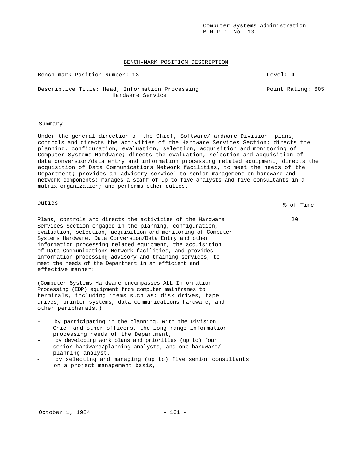#### BENCH-MARK POSITION DESCRIPTION

Bench-mark Position Number: 13 Level: 4

Descriptive Title: Head, Information Processing Hardware Service

### Summary

Under the general direction of the Chief, Software/Hardware Division, plans, controls and directs the activities of the Hardware Services Section; directs the planning, configuration, evaluation, selection, acquisition and monitoring of Computer Systems Hardware; directs the evaluation, selection and acquisition of data conversion/data entry and information processing related equipment; directs the acquisition of Data Communications Network facilities, to meet the needs of the Department; provides an advisory service' to senior management on hardware and network components; manages a staff of up to five analysts and five consultants in a matrix organization; and performs other duties.

Plans, controls and directs the activities of the Hardware Services Section engaged in the planning, configuration, evaluation, selection, acquisition and monitoring of Computer Systems Hardware, Data Conversion/Data Entry and other information processing related equipment, the acquisition of Data Communications Network facilities, and provides information processing advisory and training services, to meet the needs of the Department in an efficient and effective manner:

(Computer Systems Hardware encompasses ALL Information Processing (EDP) equipment from computer mainframes to terminals, including items such as: disk drives, tape drives, printer systems, data communications hardware, and other peripherals.)

- by participating in the planning, with the Division Chief and other officers, the long range information processing needs of the Department,
- by developing work plans and priorities (up to) four senior hardware/planning analysts, and one hardware/ planning analyst.
- by selecting and managing (up to) five senior consultants on a project management basis,

Point Rating: 605

Duties % of Time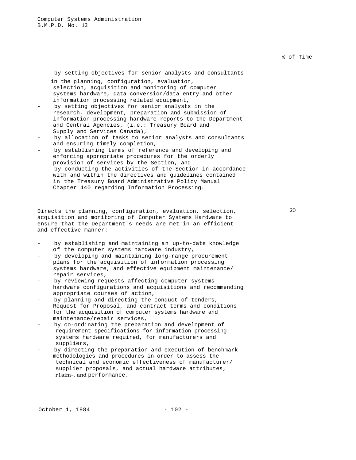- by setting objectives for senior analysts and consultants in the planning, configuration, evaluation, selection, acquisition and monitoring of computer systems hardware, data conversion/data entry and other
- information processing related equipment, by setting objectives for senior analysts in the research, development, preparation and submission of information processing hardware reports to the Department and Central Agencies, (i.e.: Treasury Board and Supply and Services Canada),
- by allocation of tasks to senior analysts and consultants and ensuring timely completion,
- by establishing terms of reference and developing and enforcing appropriate procedures for the orderly provision of services by the Section, and
- by conducting the activities of the Section in accordance with and within the directives and guidelines contained in the Treasury Board Administrative Policy Manual Chapter 440 regarding Information Processing.

Directs the planning, configuration, evaluation, selection, acquisition and monitoring of Computer Systems Hardware to ensure that the Department's needs are met in an efficient and effective manner:

- by establishing and maintaining an up-to-date knowledge of the computer systems hardware industry,
- by developing and maintaining long-range procurement plans for the acquisition of information processing systems hardware, and effective equipment maintenance/ repair services,
- by reviewing requests affecting computer systems hardware configurations and acquisitions and recommending appropriate courses of action,
- by planning and directing the conduct of tenders, Request for Proposal, and contract terms and conditions for the acquisition of computer systems hardware and maintenance/repair services,
- by co-ordinating the preparation and development of requirement specifications for information processing systems hardware required, for manufacturers and suppliers,
- by directing the preparation and execution of benchmark methodologies and procedures in order to assess the technical and economic effectiveness of manufacturer/ supplier proposals, and actual hardware attributes, r1aim-, and performance.

% of Time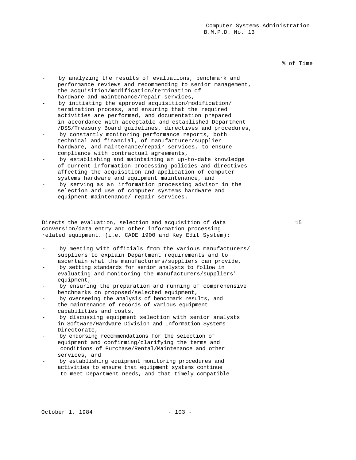# % of Time

- by analyzing the results of evaluations, benchmark and performance reviews and recommending to senior management, the acquisition/modification/termination of hardware and maintenance/repair services,
- by initiating the approved acquisition/modification/ termination process, and ensuring that the required activities are performed, and documentation prepared in accordance with acceptable and established Department /DSS/Treasury Board guidelines, directives and procedures,
- by constantly monitoring performance reports, both technical and financial, of manufacturer/supplier hardware, and maintenance/repair services, to ensure compliance with contractual agreements,
- by establishing and maintaining an up-to-date knowledge of current information processing policies and directives affecting the acquisition and application of computer systems hardware and equipment maintenance, and
- by serving as an information processing advisor in the selection and use of computer systems hardware and equipment maintenance/ repair services.

Directs the evaluation, selection and acquisition of data conversion/data entry and other information processing related equipment. (i.e. CADE 1900 and Key Edit System):

- by meeting with officials from the various manufacturers/ suppliers to explain Department requirements and to ascertain what the manufacturers/suppliers can provide,
- by setting standards for senior analysts to follow in evaluating and monitoring the manufacturers/suppliers' equipment,
- by ensuring the preparation and running of comprehensive benchmarks on proposed/selected equipment,
- by overseeing the analysis of benchmark results, and the maintenance of records of various equipment capabilities and costs,
- by discussing equipment selection with senior analysts in Software/Hardware Division and Information Systems Directorate,
- by endorsing recommendations for the selection of equipment and confirming/clarifying the terms and conditions of Purchase/Rental/Maintenance and other services, and
- by establishing equipment monitoring procedures and activities to ensure that equipment systems continue to meet Department needs, and that timely compatible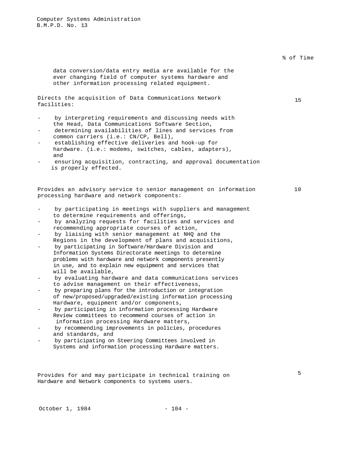data conversion/data entry media are available for the ever changing field of computer systems hardware and other information processing related equipment.

Directs the acquisition of Data Communications Network facilities:

- by interpreting requirements and discussing needs with the Head, Data Communications Software Section,
- determining availabilities of lines and services from common carriers (i.e.: CN/CP, Bell),
- establishing effective deliveries and hook-up for hardware. (i.e.: modems, switches, cables, adapters), and
- ensuring acquisition, contracting, and approval documentation is properly effected.

Provides an advisory service to senior management on information processing hardware and network components:

- by participating in meetings with suppliers and management to determine requirements and offerings,
- by analyzing requests for facilities and services and recommending appropriate courses of action,
- by liaising with senior management at NHQ and the Regions in the development of plans and acquisitions,
- by participating in Software/Hardware Division and Information Systems Directorate meetings to determine problems with hardware and network components presently in use, and to explain new equipment and services that will be available,
- by evaluating hardware and data communications services to advise management on their effectiveness,
- by preparing plans for the introduction or integration of new/proposed/upgraded/existing information processing Hardware, equipment and/or components,
- by participating in information processing Hardware Review committees to recommend courses of action in information processing Hardware matters,
- by recommending improvements in policies, procedures and standards, and
- by participating on Steering Committees involved in Systems and information processing Hardware matters.

Provides for and may participate in technical training on Hardware and Network components to systems users.

% of Time

15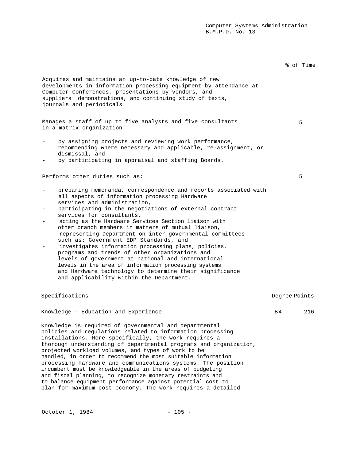#### % of Time

5

5

Acquires and maintains an up-to-date knowledge of new developments in information processing equipment by attendance at Computer Conferences, presentations by vendors, and suppliers' demonstrations, and continuing study of texts, journals and periodicals.

Manages a staff of up to five analysts and five consultants in a matrix organization:

- by assigning projects and reviewing work performance, recommending where necessary and applicable, re-assignment, or dismissal, and
- by participating in appraisal and staffing Boards.

Performs other duties such as:

- preparing memoranda, correspondence and reports associated with all aspects of information processing Hardware services and administration,
- participating in the negotiations of external contract services for consultants,
- acting as the Hardware Services Section liaison with other branch members in matters of mutual liaison,
- representing Department on inter-governmental committees such as: Government EDP Standards, and
- investigates information processing plans, policies, programs and trends of other organizations and levels of government at national and international levels in the area of information processing systems and Hardware technology to determine their significance and applicability within the Department.

to balance equipment performance against potential cost to plan for maximum cost economy. The work requires a detailed

| Specifications                                                                                                                                                                                                                                                                                                                                                                                                                                                                                         |           | Degree Points |
|--------------------------------------------------------------------------------------------------------------------------------------------------------------------------------------------------------------------------------------------------------------------------------------------------------------------------------------------------------------------------------------------------------------------------------------------------------------------------------------------------------|-----------|---------------|
| Knowledge - Education and Experience                                                                                                                                                                                                                                                                                                                                                                                                                                                                   | <b>B4</b> | 216           |
| Knowledge is required of governmental and departmental<br>policies and regulations related to information processing<br>installations. More specifically, the work requires a<br>thorough understanding of departmental programs and organization,<br>projected workload volumes, and types of work to be<br>handled, in order to recommend the most suitable information<br>processing hardware and communications systems. The position<br>incumbent must be knowledgeable in the areas of budgeting |           |               |
| and fiscal planning, to recognize monetary restraints and                                                                                                                                                                                                                                                                                                                                                                                                                                              |           |               |

October 1, 1984 - 105 -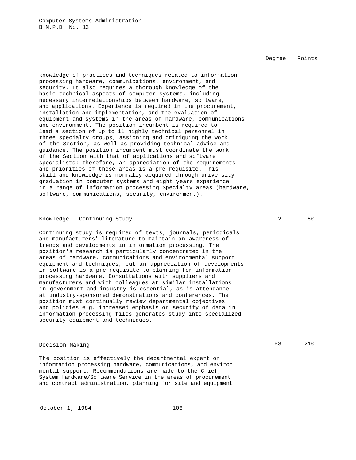Degree Points

knowledge of practices and techniques related to information processing hardware, communications, environment, and security. It also requires a thorough knowledge of the basic technical aspects of computer systems, including necessary interrelationships between hardware, software, and applications. Experience is required in the procurement, installation and implementation, and the evaluation of equipment and systems in the areas of hardware, communications and environment. The position incumbent is required to lead a section of up to 11 highly technical personnel in three specialty groups, assigning and critiquing the work of the Section, as well as providing technical advice and guidance. The position incumbent must coordinate the work of the Section with that of applications and software specialists: therefore, an appreciation of the requirements and priorities of these areas is a pre-requisite. This skill and knowledge is normally acquired through university graduation in computer systems and eight years experience in a range of information processing Specialty areas (hardware, software, communications, security, environment).

# Knowledge - Continuing Study

Continuing study is required of texts, journals, periodicals and manufacturers' literature to maintain an awareness of trends and developments in information processing. The position's research is particularly concentrated in the areas of hardware, communications and environmental support equipment and techniques, but an appreciation of developments in software is a pre-requisite to planning for information processing hardware. Consultations with suppliers and manufacturers and with colleagues at similar installations in government and industry is essential, as is attendance at industry-sponsored demonstrations and conferences. The position must continually review departmental objectives and policies e.g. increased emphasis on security of data in information processing files generates study into specialized security equipment and techniques.

### Decision Making

The position is effectively the departmental expert on information processing hardware, communications, and environ mental support. Recommendations are made to the Chief, System Hardware/Software Service in the areas of procurement and contract administration, planning for site and equipment

October 1, 1984 - 106 -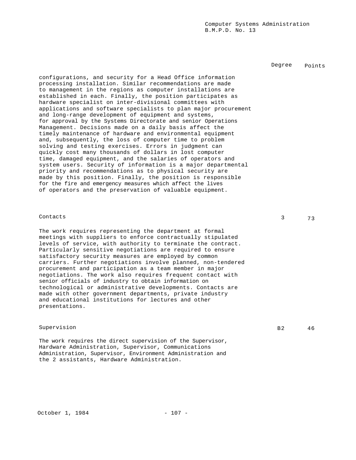#### Degree Points

configurations, and security for a Head Office information processing installation. Similar recommendations are made to management in the regions as computer installations are established in each. Finally, the position participates as hardware specialist on inter-divisional committees with applications and software specialists to plan major procurement and long-range development of equipment and systems, for approval by the Systems Directorate and senior Operations Management. Decisions made on a daily basis affect the timely maintenance of hardware and environmental equipment and, subsequently, the loss of computer time to problem solving and testing exercises. Errors in judgment can quickly cost many thousands of dollars in lost computer time, damaged equipment, and the salaries of operators and system users. Security of information is a major departmental priority and recommendations as to physical security are made by this position. Finally, the position is responsible for the fire and emergency measures which affect the lives of operators and the preservation of valuable equipment.

# Contacts

The work requires representing the department at formal meetings with suppliers to enforce contractually stipulated levels of service, with authority to terminate the contract. Particularly sensitive negotiations are required to ensure satisfactory security measures are employed by common carriers. Further negotiations involve planned, non-tendered procurement and participation as a team member in major negotiations. The work also requires frequent contact with senior officials of industry to obtain information on technological or administrative developments. Contacts are made with other government departments, private industry and educational institutions for lectures and other presentations.

#### Supervision

The work requires the direct supervision of the Supervisor, Hardware Administration, Supervisor, Communications Administration, Supervisor, Environment Administration and the 2 assistants, Hardware Administration.

3 73

B2 46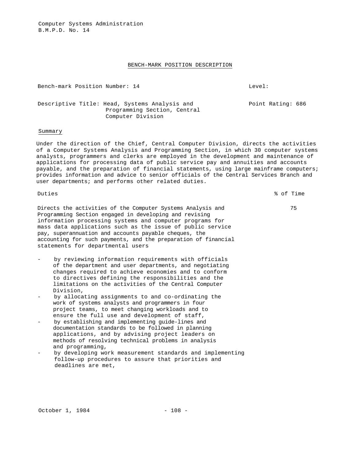#### BENCH-MARK POSITION DESCRIPTION

Bench-mark Position Number: 14 Level:

statements for departmental users

Point Rating: 686

Descriptive Title: Head, Systems Analysis and Programming Section, Central Computer Division

#### Summary

Under the direction of the Chief, Central Computer Division, directs the activities of a Computer Systems Analysis and Programming Section, in which 30 computer systems analysts, programmers and clerks are employed in the development and maintenance of applications for processing data of public service pay and annuities and accounts payable, and the preparation of financial statements, using large mainframe computers; provides information and advice to senior officials of the Central Services Branch and user departments; and performs other related duties.

Directs the activities of the Computer Systems Analysis and Programming Section engaged in developing and revising information processing systems and computer programs for mass data applications such as the issue of public service pay, superannuation and accounts payable cheques, the accounting for such payments, and the preparation of financial

- by reviewing information requirements with officials of the department and user departments, and negotiating changes required to achieve economies and to conform to directives defining the responsibilities and the limitations on the activities of the Central Computer Division,
- by allocating assignments to and co-ordinating the work of systems analysts and programmers in four project teams, to meet changing workloads and to ensure the full use and development of staff,
- by establishing and implementing guide-lines and documentation standards to be followed in planning applications, and by advising project leaders on methods of resolving technical problems in analysis and programming,
- by developing work measurement standards and implementing follow-up procedures to assure that priorities and deadlines are met,

Duties % of Time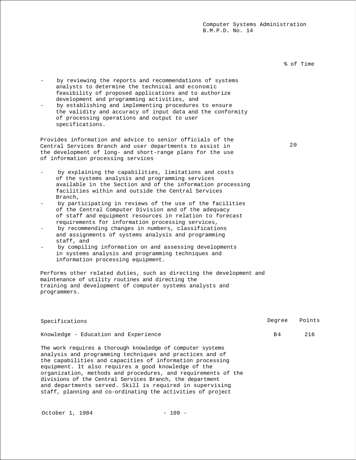# by reviewing the reports and recommendations of systems analysts to determine the technical and economic feasibility of proposed applications and to authorize development and programming activities, and by establishing and implementing procedures to ensure the validity and accuracy of input data and the conformity of processing operations and output to user Provides information and advice to senior officials of the Central Services Branch and user departments to assist in the development of long- and short-range plans for the use of information processing services by explaining the capabilities, limitations and costs of the systems analysis and programming services available in the Section and of the information processing facilities within and outside the Central Services by participating in reviews of the use of the facilities of the Central Computer Division and of the adequacy of staff and equipment resources in relation to forecast requirements for information processing services,

- by recommending changes in numbers, classifications and assignments of systems analysis and programming staff, and
- by compiling information on and assessing developments in systems analysis and programming techniques and information processing equipment.

Performs other related duties, such as directing the development and maintenance of utility routines and directing the training and development of computer systems analysts and programmers.

| Specifications                                                                                                                                                                                                                                                                                                                                                                                                                                                                                     | Degree    | Points |
|----------------------------------------------------------------------------------------------------------------------------------------------------------------------------------------------------------------------------------------------------------------------------------------------------------------------------------------------------------------------------------------------------------------------------------------------------------------------------------------------------|-----------|--------|
| Knowledge - Education and Experience                                                                                                                                                                                                                                                                                                                                                                                                                                                               | <b>B4</b> | 216    |
| The work requires a thorough knowledge of computer systems<br>analysis and programming techniques and practices and of<br>the capabilities and capacities of information processing<br>equipment. It also requires a good knowledge of the<br>organization, methods and procedures, and requirements of the<br>divisions of the Central Services Branch, the department<br>and departments served. Skill is required in supervising<br>staff, planning and co-ordinating the activities of project |           |        |

October 1, 1984 - 109 -

specifications.

Branch,

% of Time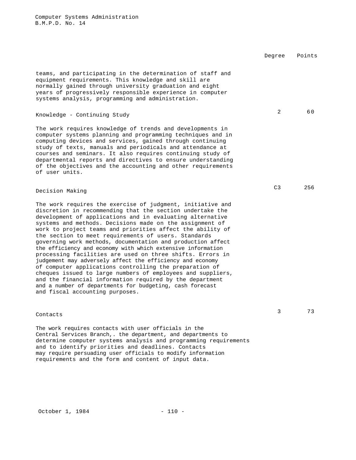teams, and participating in the determination of staff and

equipment requirements. This knowledge and skill are normally gained through university graduation and eight years of progressively responsible experience in computer systems analysis, programming and administration.

# Knowledge - Continuing Study

Computer Systems Administration

B.M.P.D. No. 14

The work requires knowledge of trends and developments in computer systems planning and programming techniques and in computing devices and services, gained through continuing study of texts, manuals and periodicals and attendance at courses and seminars. It also requires continuing study of departmental reports and directives to ensure understanding of the objectives and the accounting and other requirements of user units.

### Decision Making

The work requires the exercise of judgment, initiative and discretion in recommending that the section undertake the development of applications and in evaluating alternative systems and methods. Decisions made on the assignment of work to project teams and priorities affect the ability of the section to meet requirements of users. Standards governing work methods, documentation and production affect the efficiency and economy with which extensive information processing facilities are used on three shifts. Errors in judgement may adversely affect the efficiency and economy of computer applications controlling the preparation of cheques issued to large numbers of employees and suppliers, and the financial information required by the department and a number of departments for budgeting, cash forecast and fiscal accounting purposes.

#### Contacts

The work requires contacts with user officials in the Central Services Branch,. the department, and departments to determine computer systems analysis and programming requirements and to identify priorities and deadlines. Contacts may require persuading user officials to modify information requirements and the form and content of input data.

Degree Points

2 60

C3 256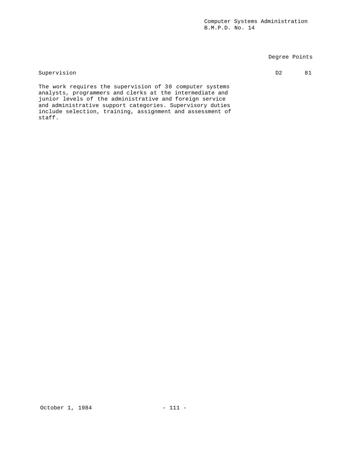Degree Points

# Supervision

D2 81

The work requires the supervision of 30 computer systems analysts, programmers and clerks at the intermediate and junior levels of the administrative and foreign service and administrative support categories. Supervisory duties include selection, training, assignment and assessment of staff.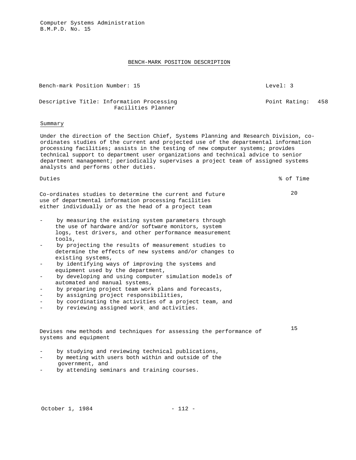#### BENCH-MARK POSITION DESCRIPTION

Bench-mark Position Number: 15 Level: 3

Descriptive Title: Information Processing Facilities Planner

# Summary

Under the direction of the Section Chief, Systems Planning and Research Division, coordinates studies of the current and projected use of the departmental information processing facilities; assists in the testing of new computer systems; provides technical support to department user organizations and technical advice to senior department management; periodically supervises a project team of assigned systems analysts and performs other duties.

Duties % of Time

20

Point Rating: 458

Co-ordinates studies to determine the current and future use of departmental information processing facilities either individually or as the head of a project team

- by measuring the existing system parameters through the use of hardware and/or software monitors, system logs, test drivers, and other performance measurement tools,
- by projecting the results of measurement studies to determine the effects of new systems and/or changes to existing systems,
- by identifying ways of improving the systems and equipment used by the department,
- by developing and using computer simulation models of automated and manual systems,
- by preparing project team work plans and forecasts,
- by assigning project responsibilities,
- by coordinating the activities of a project team, and
- by reviewing assigned work and activities.

|  |                       |  |  | Devises new methods and techniques for assessing the performance of |  |
|--|-----------------------|--|--|---------------------------------------------------------------------|--|
|  | systems and equipment |  |  |                                                                     |  |

15

- by studying and reviewing technical publications,
- by meeting with users both within and outside of the government, and
- by attending seminars and training courses.

October 1, 1984 - 112 -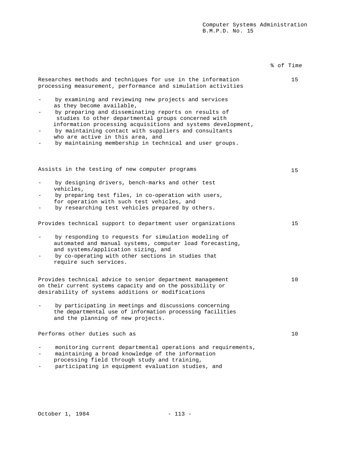|                                                                                                                                                                                                                                                                                                                                                                                                                          |  | % of Time |
|--------------------------------------------------------------------------------------------------------------------------------------------------------------------------------------------------------------------------------------------------------------------------------------------------------------------------------------------------------------------------------------------------------------------------|--|-----------|
| Researches methods and techniques for use in the information<br>processing measurement, performance and simulation activities                                                                                                                                                                                                                                                                                            |  | 15        |
| by examining and reviewing new projects and services<br>as they become available,<br>by preparing and disseminating reports on results of<br>studies to other departmental groups concerned with<br>information processing acquisitions and systems development,<br>by maintaining contact with suppliers and consultants<br>who are active in this area, and<br>by maintaining membership in technical and user groups. |  |           |
| Assists in the testing of new computer programs                                                                                                                                                                                                                                                                                                                                                                          |  | 15        |
| by designing drivers, bench-marks and other test<br>vehicles,<br>by preparing test files, in co-operation with users,<br>for operation with such test vehicles, and<br>by researching test vehicles prepared by others.                                                                                                                                                                                                  |  |           |
| Provides technical support to department user organizations                                                                                                                                                                                                                                                                                                                                                              |  | 15        |
| by responding to requests for simulation modeling of<br>automated and manual systems, computer load forecasting,<br>and systems/application sizing, and<br>by co-operating with other sections in studies that<br>require such services.                                                                                                                                                                                 |  |           |
| Provides technical advice to senior department management<br>on their current systems capacity and on the possibility or<br>desirability of systems additions or modifications                                                                                                                                                                                                                                           |  | 10        |
| by participating in meetings and discussions concerning<br>the departmental use of information processing facilities<br>and the planning of new projects.                                                                                                                                                                                                                                                                |  |           |
| Performs other duties such as                                                                                                                                                                                                                                                                                                                                                                                            |  | 10        |
| monitoring current departmental operations and requirements,<br>maintaining a broad knowledge of the information<br>processing field through study and training,<br>participating in equipment evaluation studies, and                                                                                                                                                                                                   |  |           |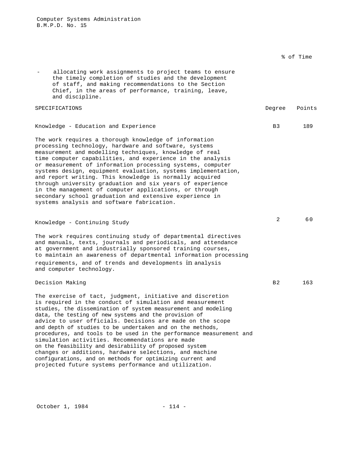|                                                                                                                                                                                                                                                                                                                                                                                                                                                                                                                                                                                                                                                                                                                                               |                | % of Time |
|-----------------------------------------------------------------------------------------------------------------------------------------------------------------------------------------------------------------------------------------------------------------------------------------------------------------------------------------------------------------------------------------------------------------------------------------------------------------------------------------------------------------------------------------------------------------------------------------------------------------------------------------------------------------------------------------------------------------------------------------------|----------------|-----------|
| allocating work assignments to project teams to ensure<br>the timely completion of studies and the development<br>of staff, and making recommendations to the Section<br>Chief, in the areas of performance, training, leave,<br>and discipline.                                                                                                                                                                                                                                                                                                                                                                                                                                                                                              |                |           |
| SPECIFICATIONS                                                                                                                                                                                                                                                                                                                                                                                                                                                                                                                                                                                                                                                                                                                                | Degree         | Points    |
| Knowledge - Education and Experience                                                                                                                                                                                                                                                                                                                                                                                                                                                                                                                                                                                                                                                                                                          | B <sub>3</sub> | 189       |
| The work requires a thorough knowledge of information<br>processing technology, hardware and software, systems<br>measurement and modelling techniques, knowledge of real<br>time computer capabilities, and experience in the analysis<br>or measurement of information processing systems, computer<br>systems design, equipment evaluation, systems implementation,<br>and report writing. This knowledge is normally acquired<br>through university graduation and six years of experience<br>in the management of computer applications, or through<br>secondary school graduation and extensive experience in<br>systems analysis and software fabrication.                                                                             |                |           |
| Knowledge - Continuing Study                                                                                                                                                                                                                                                                                                                                                                                                                                                                                                                                                                                                                                                                                                                  | 2              | 60        |
| The work requires continuing study of departmental directives<br>and manuals, texts, journals and periodicals, and attendance<br>at government and industrially sponsored training courses,<br>to maintain an awareness of departmental information processing                                                                                                                                                                                                                                                                                                                                                                                                                                                                                |                |           |
| requirements, and of trends and developments 1n analysis<br>and computer technology.                                                                                                                                                                                                                                                                                                                                                                                                                                                                                                                                                                                                                                                          |                |           |
| Decision Making                                                                                                                                                                                                                                                                                                                                                                                                                                                                                                                                                                                                                                                                                                                               | B <sub>2</sub> | 163       |
| The exercise of tact, judgment, initiative and discretion<br>is required in the conduct of simulation and measurement<br>studies, the dissemination of system measurement and modeling<br>data, the testing of new systems and the provision of<br>advice to user officials. Decisions are made on the scope<br>and depth of studies to be undertaken and on the methods,<br>procedures, and tools to be used in the performance measurement and<br>simulation activities. Recommendations are made<br>on the feasibility and desirability of proposed system<br>changes or additions, hardware selections, and machine<br>configurations, and on methods for optimizing current and<br>projected future systems performance and utilization. |                |           |

October 1, 1984 - 114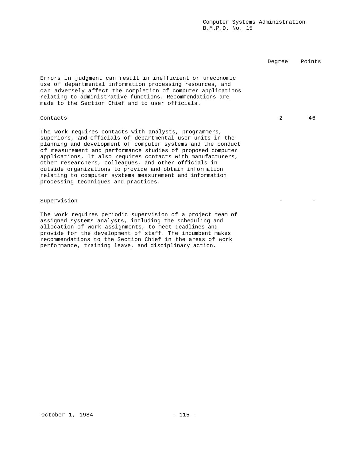- -

Degree Points Errors in judgment can result in inefficient or uneconomic use of departmental information processing resources, and can adversely affect the completion of computer applications relating to administrative functions. Recommendations are made to the Section Chief and to user officials. Contacts The work requires contacts with analysts, programmers, superiors, and officials of departmental user units in the planning and development of computer systems and the conduct of measurement and performance studies of proposed computer applications. It also requires contacts with manufacturers, other researchers, colleagues, and other officials in outside organizations to provide and obtain information 2 46

processing techniques and practices.

# Supervision

The work requires periodic supervision of a project team of assigned systems analysts, including the scheduling and allocation of work assignments, to meet deadlines and provide for the development of staff. The incumbent makes recommendations to the Section Chief in the areas of work performance, training leave, and disciplinary action.

relating to computer systems measurement and information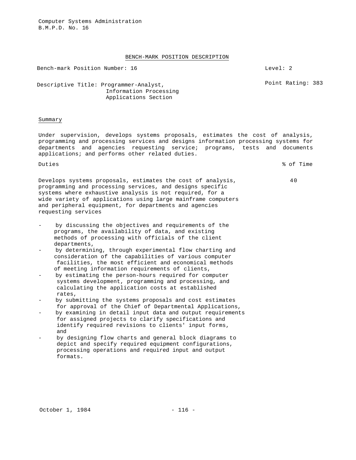#### BENCH-MARK POSITION DESCRIPTION

Bench-mark Position Number: 16 and 2008 and 2008 and 2008 and 2008 and 2008 and 2008 and 2008 and 2008 and 200

Point Rating: 383

Descriptive Title: Programmer-Analyst, Information Processing Applications Section

#### Summary

Under supervision, develops systems proposals, estimates the cost of analysis, programming and processing services and designs information processing systems for departments and agencies requesting service; programs, tests and documents applications; and performs other related duties.

Duties % of Time

40

Develops systems proposals, estimates the cost of analysis, programming and processing services, and designs specific systems where exhaustive analysis is not required, for a wide variety of applications using large mainframe computers and peripheral equipment, for departments and agencies requesting services

- by discussing the objectives and requirements of the programs, the availability of data, and existing methods of processing with officials of the client departments,
- by determining, through experimental flow charting and consideration of the capabilities of various computer facilities, the most efficient and economical methods of meeting information requirements of clients,
- by estimating the person-hours required for computer systems development, programming and processing, and calculating the application costs at established rates,
- by submitting the systems proposals and cost estimates for approval of the Chief of Departmental Applications,
- by examining in detail input data and output requirements for assigned projects to clarify specifications and identify required revisions to clients' input forms, and
- by designing flow charts and general block diagrams to depict and specify required equipment configurations, processing operations and required input and output formats.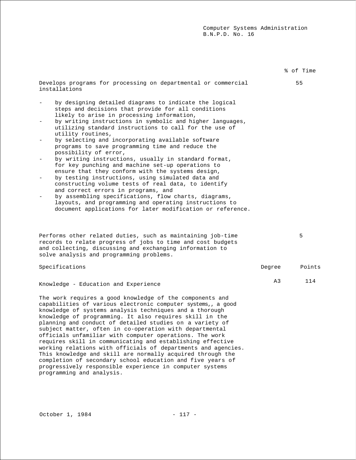| 55     |
|--------|
|        |
|        |
|        |
|        |
|        |
|        |
|        |
|        |
| 5      |
| Points |
| 114    |
|        |
|        |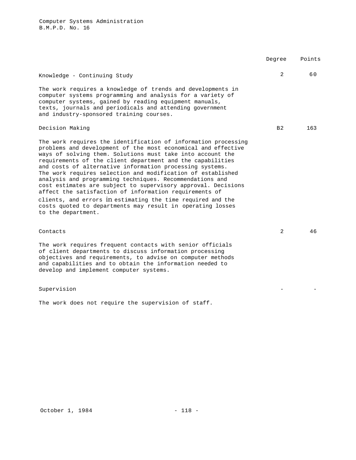|                                                                                                                                                                                                                                                                                                                                                                                                                                                                                                                                                                                                                                                                                                                                  | Degree         | Points |
|----------------------------------------------------------------------------------------------------------------------------------------------------------------------------------------------------------------------------------------------------------------------------------------------------------------------------------------------------------------------------------------------------------------------------------------------------------------------------------------------------------------------------------------------------------------------------------------------------------------------------------------------------------------------------------------------------------------------------------|----------------|--------|
| Knowledge - Continuing Study                                                                                                                                                                                                                                                                                                                                                                                                                                                                                                                                                                                                                                                                                                     | 2              | 60     |
| The work requires a knowledge of trends and developments in<br>computer systems programming and analysis for a variety of<br>computer systems, gained by reading equipment manuals,<br>texts, journals and periodicals and attending government<br>and industry-sponsored training courses.                                                                                                                                                                                                                                                                                                                                                                                                                                      |                |        |
| Decision Making                                                                                                                                                                                                                                                                                                                                                                                                                                                                                                                                                                                                                                                                                                                  | B <sub>2</sub> | 163    |
| The work requires the identification of information processing<br>problems and development of the most economical and effective<br>ways of solving them. Solutions must take into account the<br>requirements of the client department and the capabilities<br>and costs of alternative information processing systems.<br>The work requires selection and modification of established<br>analysis and programming techniques. Recommendations and<br>cost estimates are subject to supervisory approval. Decisions<br>affect the satisfaction of information requirements of<br>clients, and errors 1n estimating the time required and the<br>costs quoted to departments may result in operating losses<br>to the department. |                |        |
| Contacts                                                                                                                                                                                                                                                                                                                                                                                                                                                                                                                                                                                                                                                                                                                         | 2              | 46     |
| The work requires frequent contacts with senior officials<br>of client departments to discuss information processing<br>objectives and requirements, to advise on computer methods<br>and capabilities and to obtain the information needed to<br>develop and implement computer systems.                                                                                                                                                                                                                                                                                                                                                                                                                                        |                |        |
| Supervision                                                                                                                                                                                                                                                                                                                                                                                                                                                                                                                                                                                                                                                                                                                      |                |        |
| The work does not require the supervision of staff.                                                                                                                                                                                                                                                                                                                                                                                                                                                                                                                                                                                                                                                                              |                |        |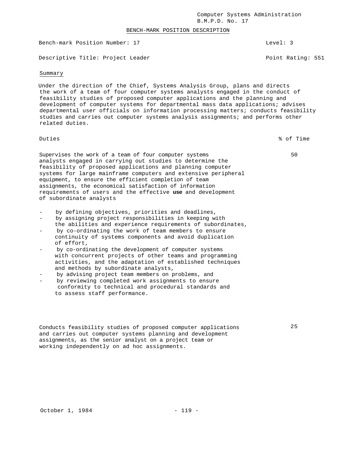#### BENCH-MARK POSITION DESCRIPTION

Bench-mark Position Number: 17 and 17 Level: 3

Descriptive Title: Project Leader **Point Rating: 551** 

### Summary

Under the direction of the Chief, Systems Analysis Group, plans and directs the work of a team of four computer systems analysts engaged in the conduct of feasibility studies of proposed computer applications and the planning and development of computer systems for departmental mass data applications; advises departmental user officials on information processing matters; conducts feasibility studies and carries out computer systems analysis assignments; and performs other related duties.

Duties % of Time

50

25

Supervises the work of a team of four computer systems analysts engaged in carrying out studies to determine the feasibility of proposed applications and planning computer systems for large mainframe computers and extensive peripheral equipment, to ensure the efficient completion of team assignments, the economical satisfaction of information requirements of users and the effective **use** and development of subordinate analysts

- by defining objectives, priorities and deadlines,
- by assigning project responsibilities in keeping with the abilities and experience requirements of subordinates,
- by co-ordinating the work of team members to ensure continuity of systems components and avoid duplication of effort,
- by co-ordinating the development of computer systems with concurrent projects of other teams and programming activities, and the adaptation of established techniques and methods by subordinate analysts,
- by advising project team members on problems, and
- by reviewing completed work assignments to ensure conformity to technical and procedural standards and to assess staff performance.

Conducts feasibility studies of proposed computer applications and carries out computer systems planning and development assignments, as the senior analyst on a project team or working independently on ad hoc assignments.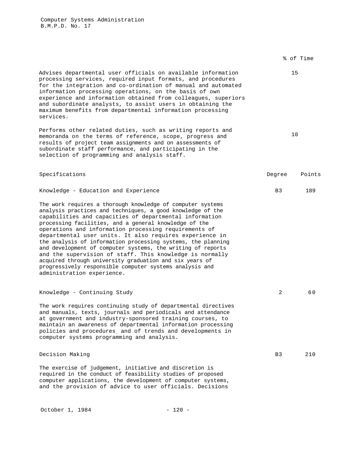% of Time Advises departmental user officials on available information processing services, required input formats, and procedures for the integration and co-ordination of manual and automated information processing operations, on the basis of own experience and information obtained from colleagues, superiors and subordinate analysts, to assist users in obtaining the maximum benefits from departmental information processing services. Performs other related duties, such as writing reports and memoranda on the terms of reference, scope, progress and results of project team assignments and on assessments of subordinate staff performance, and participating in the selection of programming and analysis staff. 15 10 Specifications **Degree** Points **Degree** Points Knowledge - Education and Experience The work requires a thorough knowledge of computer systems analysis practices and techniques, a good knowledge of the capabilities and capacities of departmental information processing facilities, and a general knowledge of the operations and information processing requirements of departmental user units. It also requires experience in the analysis of information processing systems, the planning and development of computer systems, the writing of reports and the supervision of staff. This knowledge is normally acquired through university graduation and six years of progressively responsible computer systems analysis and administration experience. B3 189 Knowledge - Continuing Study The work requires continuing study of departmental directives and manuals, texts, journals and periodicals and attendance at government and industry-sponsored training courses, to maintain an awareness of departmental information processing policies and procedures. and of trends and developments in computer systems programming and analysis. 2 60 Decision Making The exercise of judgement, initiative and discretion is B3 210

required in the conduct of feasibility studies of proposed computer applications, the development of computer systems, and the provision of advice to user officials. Decisions

October 1, 1984 - 120 -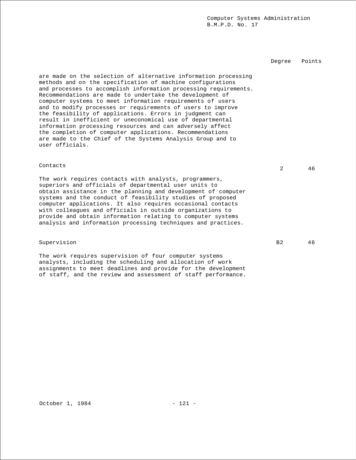#### Degree Points

are made on the selection of alternative information processing methods and on the specification of machine configurations and processes to accomplish information processing requirements. Recommendations are made to undertake the development of computer systems to meet information requirements of users and to modify processes or requirements of users to improve the feasibility of applications. Errors in judgment can result in inefficient or uneconomical use of departmental information processing resources and can adversely affect the completion of computer applications. Recommendations are made to the Chief of the Systems Analysis Group and to user officials.

# Contacts

The work requires contacts with analysts, programmers, superiors and officials of departmental user units to obtain assistance in the planning and development of computer systems and the conduct of feasibility studies of proposed computer applications. It also requires occasional contacts with colleagues and officials in outside organizations to provide and obtain information relating to computer systems analysis and information processing techniques and practices.

# Supervision

The work requires supervision of four computer systems analysts, including the scheduling and allocation of work assignments to meet deadlines and provide for the development of staff, and the review and assessment of staff performance.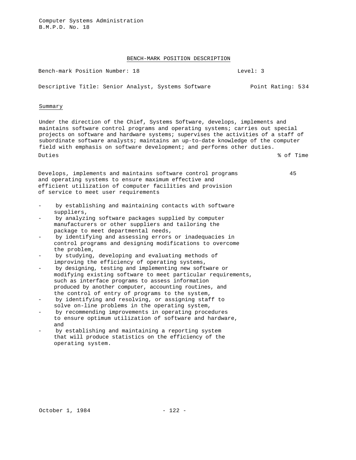#### BENCH-MARK POSITION DESCRIPTION

Bench-mark Position Number: 18 and the contract of the Level: 3

45

Descriptive Title: Senior Analyst, Systems Software Point Rating: 534

#### Summary

Under the direction of the Chief, Systems Software, develops, implements and maintains software control programs and operating systems; carries out special projects on software and hardware systems; supervises the activities of a staff of subordinate software analysts; maintains an up-to-date knowledge of the computer field with emphasis on software development; and performs other duties. Duties % of Time

Develops, implements and maintains software control programs and operating systems to ensure maximum effective and efficient utilization of computer facilities and provision of service to meet user requirements

- by establishing and maintaining contacts with software suppliers,
- by analyzing software packages supplied by computer manufacturers or other suppliers and tailoring the package to meet departmental needs,
- by identifying and assessing errors or inadequacies in control programs and designing modifications to overcome the problem,
- by studying, developing and evaluating methods of improving the efficiency of operating systems,
- by designing, testing and implementing new software or modifying existing software to meet particular requirements, such as interface programs to assess information produced by another computer, accounting routines, and the control of entry of programs to the system,
- by identifying and resolving, or assigning staff to solve on-line problems in the operating system,
- by recommending improvements in operating procedures to ensure optimum utilization of software and hardware, and
- by establishing and maintaining a reporting system that will produce statistics on the efficiency of the operating system.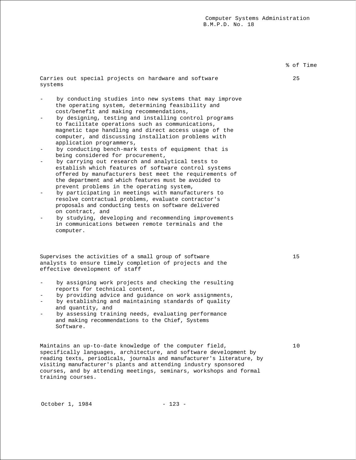|                                                                                                                                                                                                                                                                                                                                                                                                                                                                                                                                                                                                                                                                                                                                                                                                                                                                                                                                                                                                                                                                                                                           |    | % of Time |
|---------------------------------------------------------------------------------------------------------------------------------------------------------------------------------------------------------------------------------------------------------------------------------------------------------------------------------------------------------------------------------------------------------------------------------------------------------------------------------------------------------------------------------------------------------------------------------------------------------------------------------------------------------------------------------------------------------------------------------------------------------------------------------------------------------------------------------------------------------------------------------------------------------------------------------------------------------------------------------------------------------------------------------------------------------------------------------------------------------------------------|----|-----------|
| Carries out special projects on hardware and software<br>systems                                                                                                                                                                                                                                                                                                                                                                                                                                                                                                                                                                                                                                                                                                                                                                                                                                                                                                                                                                                                                                                          | 25 |           |
| by conducting studies into new systems that may improve<br>the operating system, determining feasibility and<br>cost/benefit and making recommendations,<br>by designing, testing and installing control programs<br>to facilitate operations such as communications,<br>magnetic tape handling and direct access usage of the<br>computer, and discussing installation problems with<br>application programmers,<br>by conducting bench-mark tests of equipment that is<br>-<br>being considered for procurement,<br>by carrying out research and analytical tests to<br>$-$<br>establish which features of software control systems<br>offered by manufacturers best meet the requirements of<br>the department and which features must be avoided to<br>prevent problems in the operating system,<br>by participating in meetings with manufacturers to<br>resolve contractual problems, evaluate contractor's<br>proposals and conducting tests on software delivered<br>on contract, and<br>by studying, developing and recommending improvements<br>in communications between remote terminals and the<br>computer. |    |           |
| Supervises the activities of a small group of software<br>analysts to ensure timely completion of projects and the<br>effective development of staff                                                                                                                                                                                                                                                                                                                                                                                                                                                                                                                                                                                                                                                                                                                                                                                                                                                                                                                                                                      | 15 |           |

- by assigning work projects and checking the resulting reports for technical content,
- by providing advice and guidance on work assignments,
- by establishing and maintaining standards of quality and quantity, and
- by assessing training needs, evaluating performance and making recommendations to the Chief, Systems Software.

Maintains an up-to-date knowledge of the computer field, specifically languages, architecture, and software development by reading texts, periodicals, journals and manufacturer's literature, by visiting manufacturer's plants and attending industry sponsored courses, and by attending meetings, seminars, workshops and formal training courses.

October 1, 1984 - 123 -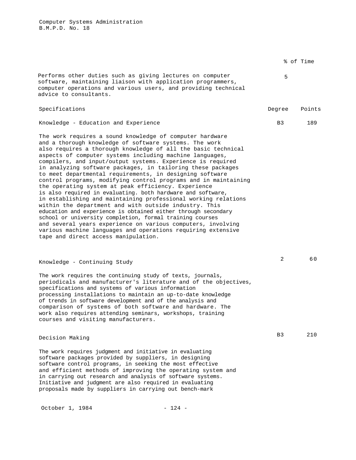% of Time Performs other duties such as giving lectures on computer software, maintaining liaison with application programmers, computer operations and various users, and providing technical advice to consultants. 5 Specifications **Degree** Points Knowledge - Education and Experience The work requires a sound knowledge of computer hardware and a thorough knowledge of software systems. The work also requires a thorough knowledge of all the basic technical aspects of computer systems including machine languages, compilers, and input/output systems. Experience is required in analyzing software packages, in tailoring these packages to meet departmental requirements, in designing software control programs, modifying control programs and in maintaining the operating system at peak efficiency. Experience is also required in evaluating. both hardware and software, in establishing and maintaining professional working relations within the department and with outside industry. This education and experience is obtained either through secondary school or university completion, formal training courses and several years experience on various computers, involving various machine languages and operations requiring extensive tape and direct access manipulation. B3 189 Knowledge - Continuing Study The work requires the continuing study of texts, journals, periodicals and manufacturer's literature and of the objectives, specifications and systems of various information processing installations to maintain an up-to-date knowledge of trends in software development and of the analysis and comparison of systems of both software and hardware. The work also requires attending seminars, workshops, training courses and visiting manufacturers. 2 60 Decision Making The work requires judgment and initiative in evaluating software packages provided by suppliers, in designing software control programs, in seeking the most effective and efficient methods of improving the operating system and in carrying out research and analysis of software systems. Initiative and judgment are also required in evaluating B3 210

October 1, 1984 - 124

proposals made by suppliers in carrying out bench-mark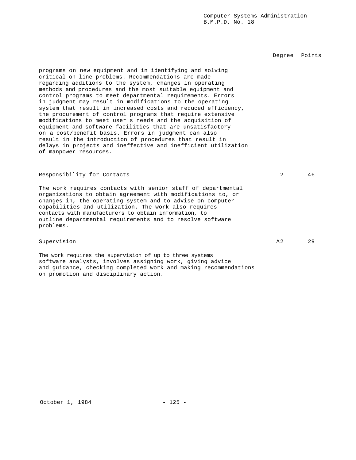Degree Points

programs on new equipment and in identifying and solving critical on-line problems. Recommendations are made regarding additions to the system, changes in operating methods and procedures and the most suitable equipment and control programs to meet departmental requirements. Errors in judgment may result in modifications to the operating system that result in increased costs and reduced efficiency, the procurement of control programs that require extensive modifications to meet user's needs and the acquisition of equipment and software facilities that are unsatisfactory on a cost/benefit basis. Errors in judgment can also result in the introduction of procedures that result in delays in projects and ineffective and inefficient utilization of manpower resources.

### Responsibility for Contacts

The work requires contacts with senior staff of departmental organizations to obtain agreement with modifications to, or changes in, the operating system and to advise on computer capabilities and utilization. The work also requires contacts with manufacturers to obtain information, to outline departmental requirements and to resolve software problems.

#### Supervision

The work requires the supervision of up to three systems software analysts, involves assigning work, giving advice and guidance, checking completed work and making recommendations on promotion and disciplinary action.

A2 29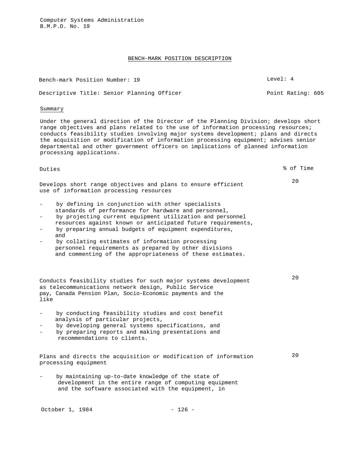#### BENCH-MARK POSITION DESCRIPTION

# Bench-mark Position Number: 19 Level: 4

Descriptive Title: Senior Planning Officer Point Rating: 605

## Summary

Under the general direction of the Director of the Planning Division; develops short range objectives and plans related to the use of information processing resources; conducts feasibility studies involving major systems development; plans and directs the acquisition or modification of information processing equipment; advises senior departmental and other government officers on implications of planned information processing applications.

# Duties % of Time Develops short range objectives and plans to ensure efficient use of information processing resources by defining in conjunction with other specialists standards of performance for hardware and personnel, by projecting current equipment utilization and personnel resources against known or anticipated future requirements, by preparing annual budgets of equipment expenditures, and by collating estimates of information processing personnel requirements as prepared by other divisions and commenting of the appropriateness of these estimates. 20 Conducts feasibility studies for such major systems development as telecommunications network design, Public Service pay, Canada Pension Plan, Socio-Economic payments and the like by conducting feasibility studies and cost benefit analysis of particular projects, by developing general systems specifications, and by preparing reports and making presentations and recommendations to clients. 20 Plans and directs the acquisition or modification of information processing equipment 20

by maintaining up-to-date knowledge of the state of development in the entire range of computing equipment and the software associated with the equipment, in

October 1, 1984 - 126 -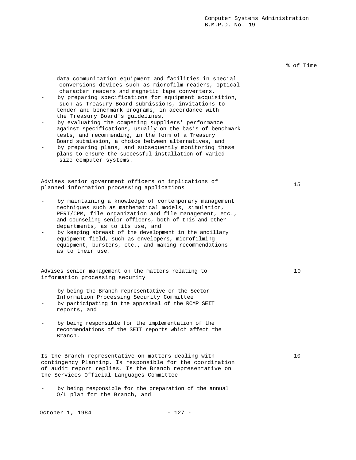data communication equipment and facilities in special conversions devices such as microfilm readers, optical character readers and magnetic tape converters,

- by preparing specifications for equipment acquisition, such as Treasury Board submissions, invitations to tender and benchmark programs, in accordance with the Treasury Board's guidelines,
- by evaluating the competing suppliers' performance against specifications, usually on the basis of benchmark tests, and recommending, in the form of a Treasury Board submission, a choice between alternatives, and
- by preparing plans, and subsequently monitoring these plans to ensure the successful installation of varied size computer systems.

Advises senior government officers on implications of planned information processing applications

- by maintaining a knowledge of contemporary management techniques such as mathematical models, simulation, PERT/CPM, file organization and file management, etc., and counseling senior officers, both of this and other departments, as to its use, and
- by keeping abreast of the development in the ancillary equipment field, such as envelopers, microfilming equipment, bursters, etc., and making recommendations as to their use.

Advises senior management on the matters relating to information processing security

- by being the Branch representative on the Sector Information Processing Security Committee
- by participating in the appraisal of the RCMP SEIT reports, and
- by being responsible for the implementation of the recommendations of the SEIT reports which affect the Branch.

Is the Branch representative on matters dealing with contingency Planning. Is responsible for the coordination of audit report replies. Is the Branch representative on the Services Official Languages Committee

by being responsible for the preparation of the annual O/L plan for the Branch, and

October 1, 1984 - 127 -

10

10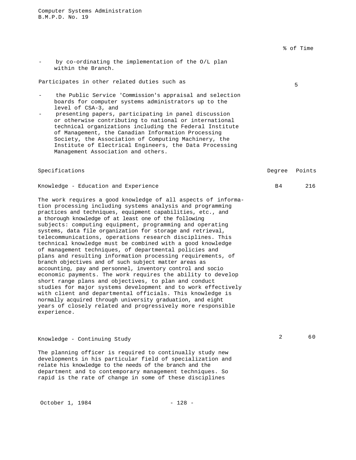by co-ordinating the implementation of the O/L plan within the Branch. Participates in other related duties such as

- the Public Service 'Commission's appraisal and selection boards for computer systems administrators up to the level of CSA-3, and
- presenting papers, participating in panel discussion or otherwise contributing to national or international technical organizations including the Federal Institute of Management, the Canadian Information Processing Society, the Association of Computing Machinery, the Institute of Electrical Engineers, the Data Processing Management Association and others.

| Specifications                                                                                                                                                                                                                                                                                                                                                                                                                                                                                                                                                                                                                    | Degree         | Points |
|-----------------------------------------------------------------------------------------------------------------------------------------------------------------------------------------------------------------------------------------------------------------------------------------------------------------------------------------------------------------------------------------------------------------------------------------------------------------------------------------------------------------------------------------------------------------------------------------------------------------------------------|----------------|--------|
| Knowledge - Education and Experience                                                                                                                                                                                                                                                                                                                                                                                                                                                                                                                                                                                              | B <sub>4</sub> | 216    |
| The work requires a good knowledge of all aspects of informa-<br>tion processing including systems analysis and programming<br>practices and techniques, equipment capabilities, etc., and<br>a thorough knowledge of at least one of the following<br>subjects: computing equipment, programming and operating<br>systems, data file organization for storage and retrieval,<br>telecommunications, operations research disciplines. This<br>technical knowledge must be combined with a good knowledge<br>of management techniques, of departmental policies and<br>plans and resulting information processing requirements, of |                |        |
| branch objectives and of such subject matter areas as                                                                                                                                                                                                                                                                                                                                                                                                                                                                                                                                                                             |                |        |

Knowledge - Continuing Study

The planning officer is required to continually study new developments in his particular field of specialization and relate his knowledge to the needs of the branch and the department and to contemporary management techniques. So rapid is the rate of change in some of these disciplines

accounting, pay and personnel, inventory control and socio economic payments. The work requires the ability to develop

studies for major systems development and to work effectively with client and departmental officials. This knowledge is normally acquired through university graduation, and eight years of closely related and progressively more responsible

short range plans and objectives, to plan and conduct

experience.

2 60

% of Time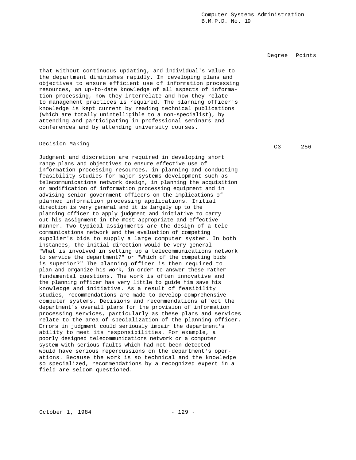Degree Points

that without continuous updating, and individual's value to the department diminishes rapidly. In developing plans and objectives to ensure efficient use of information processing resources, an up-to-date knowledge of all aspects of information processing, how they interrelate and how they relate to management practices is required. The planning officer's knowledge is kept current by reading technical publications (which are totally unintelligible to a non-specialist), by attending and participating in professional seminars and conferences and by attending university courses.

## Decision Making

Judgment and discretion are required in developing short range plans and objectives to ensure effective use of information processing resources, in planning and conducting feasibility studies for major systems development such as telecommunications network design, in planning the acquisition or modification of information processing equipment and in advising senior government officers on the implications of planned information processing applications. Initial direction is very general and it is largely up to the planning officer to apply judgment and initiative to carry out his assignment in the most appropriate and effective manner. Two typical assignments are the design of a telecommunications network and the evaluation of competing supplier's bids to supply a large computer system. In both instances, the initial direction would be very general - "What is involved in setting up a telecommunications network to service the department?" or "Which of the competing bids is superior?" The planning officer is then required to plan and organize his work, in order to answer these rather fundamental questions. The work is often innovative and the planning officer has very little to guide him save his knowledge and initiative. As a result of feasibility studies, recommendations are made to develop comprehensive computer systems. Decisions and recommendations affect the department's overall plans for the provision of information processing services, particularly as these plans and services relate to the area of specialization of the planning officer. Errors in judgment could seriously impair the department's ability to meet its responsibilities. For example, a poorly designed telecommunications network or a computer system with serious faults which had not been detected would have serious repercussions on the department's operations. Because the work is so technical and the knowledge so specialized, recommendations by a recognized expert in a field are seldom questioned.

C3 256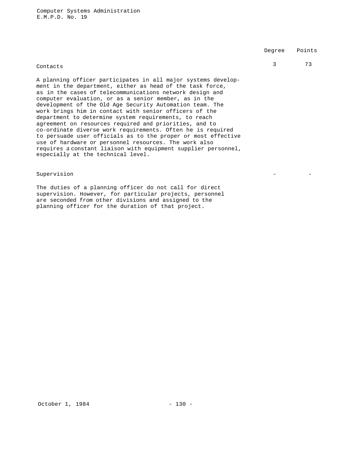| Degree | Points |
|--------|--------|
|--------|--------|

 $-$ 

3 73

# Contacts

A planning officer participates in all major systems development in the department, either as head of the task force, as in the cases of telecommunications network design and computer evaluation, or as a senior member, as in the development of the Old Age Security Automation team. The work brings him in contact with senior officers of the department to determine system requirements, to reach agreement on resources required and priorities, and to co-ordinate diverse work requirements. Often he is required to persuade user officials as to the proper or most effective use of hardware or personnel resources. The work also requires a constant liaison with equipment supplier personnel, especially at the technical level.

## Supervision

The duties of a planning officer do not call for direct supervision. However, for particular projects, personnel are seconded from other divisions and assigned to the planning officer for the duration of that project.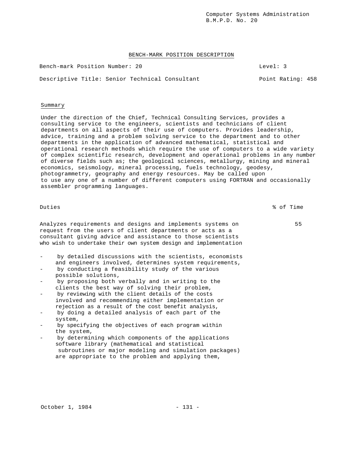# BENCH-MARK POSITION DESCRIPTION

Bench-mark Position Number: 20 Level: 3

Descriptive Title: Senior Technical Consultant Form Point Rating: 458

#### Summary

Under the direction of the Chief, Technical Consulting Services, provides a consulting service to the engineers, scientists and technicians of client departments on all aspects of their use of computers. Provides leadership, advice, training and a problem solving service to the department and to other departments in the application of advanced mathematical, statistical and operational research methods which require the use of computers to a wide variety of complex scientific research, development and operational problems in any number of diverse fields such as; the geological sciences, metallurgy, mining and mineral economics, seismology, mineral processing, fuels technology, geodesy, photogrammetry, geography and energy resources. May be called upon to use any one of a number of different computers using FORTRAN and occasionally assembler programming languages.

Analyzes requirements and designs and implements systems on request from the users of client departments or acts as a consultant giving advice and assistance to those scientists who wish to undertake their own system design and implementation

- by detailed discussions with the scientists, economists and engineers involved, determines system requirements,
- by conducting a feasibility study of the various possible solutions,
- by proposing both verbally and in writing to the clients the best way of solving their problem,
- by reviewing with the client details of the costs involved and recommending either implementation or rejection as a result of the cost benefit analysis,
- by doing a detailed analysis of each part of the system,
- by specifying the objectives of each program within the system,
- by determining which components of the applications software library (mathematical and statistical subroutines or major modeling and simulation packages) are appropriate to the problem and applying them,

October 1, 1984 - 131 -

Duties % of Time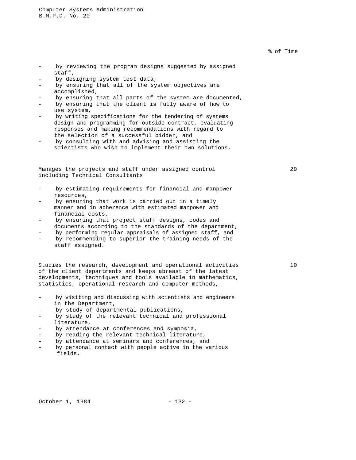- by designing system test data,
- by ensuring that all of the system objectives are accomplished,
- by ensuring that all parts of the system are documented,
- by ensuring that the client is fully aware of how to use system,
- by writing specifications for the tendering of systems design and programming for outside contract, evaluating responses and making recommendations with regard to the selection of a successful bidder, and
- by consulting with and advising and assisting the scientists who wish to implement their own solutions.

Manages the projects and staff under assigned control including Technical Consultants

- by estimating requirements for financial and manpower resources,
- by ensuring that work is carried out in a timely manner and in adherence with estimated manpower and financial costs,
- by ensuring that project staff designs, codes and documents according to the standards of the department,
- by performing regular appraisals of assigned staff, and
- by recommending to superior the training needs of the staff assigned.

Studies the research, development and operational activities of the client departments and keeps abreast of the latest developments, techniques and tools available in mathematics, statistics, operational research and computer methods,

- by visiting and discussing with scientists and engineers in the Department,
- by study of departmental publications,
- by study of the relevant technical and professional literature,
- by attendance at conferences and symposia,
- by reading the relevant technical literature,
- by attendance at seminars and conferences, and
- by personal contact with people active in the various fields.

% of Time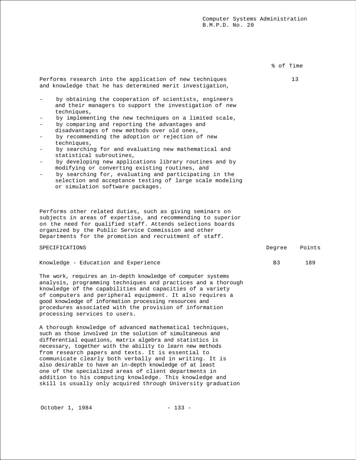% of Time Performs research into the application of new techniques and knowledge that he has determined merit investigation, by obtaining the cooperation of scientists, engineers and their managers to support the investigation of new techniques, by implementing the new techniques on a limited scale, by comparing and reporting the advantages and disadvantages of new methods over old ones, by recommending the adoption or rejection of new techniques, by searching for and evaluating new mathematical and statistical subroutines, by developing new applications library routines and by modifying or converting existing routines, and by searching for, evaluating and participating in the selection and acceptance testing of large scale modeling or simulation software packages. 13 Performs other related duties, such as giving seminars on subjects in areas of expertise, and recommending to superior on the need for qualified staff. Attends selections boards organized by the Public Service Commission and other Departments for the promotion and recruitment of staff. SPECIFICATIONS Degree Points Knowledge - Education and Experience The work, requires an in-depth knowledge of computer systems analysis, programming techniques and practices and a thorough knowledge of the capabilities and capacities of a variety of computers and peripheral equipment. It also requires a good knowledge of information processing resources and procedures associated with the provision of information processing services to users. A thorough knowledge of advanced mathematical techniques, such as those involved in the solution of simultaneous and differential equations, matrix algebra and statistics is necessary, together with the ability to learn new methods from research papers and texts. It is essential to communicate clearly both verbally and in writing. It is B3 189

addition to his computing knowledge. This knowledge and skill is usually only acquired through University graduation

also desirable to have an in-depth knowledge of at least one of the specialized areas of client departments in

October 1, 1984 - 133 -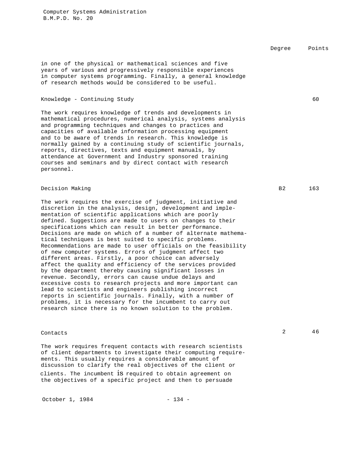in one of the physical or mathematical sciences and five years of various and progressively responsible experiences in computer systems programming. Finally, a general knowledge of research methods would be considered to be useful.

# Knowledge - Continuing Study

The work requires knowledge of trends and developments in mathematical procedures, numerical analysis, systems analysis and programming techniques and changes to practices and capacities of available information processing equipment and to be aware of trends in research. This knowledge is normally gained by a continuing study of scientific journals, reports, directives, texts and equipment manuals, by attendance at Government and Industry sponsored training courses and seminars and by direct contact with research personnel.

### Decision Making

The work requires the exercise of judgment, initiative and discretion in the analysis, design, development and implementation of scientific applications which are poorly defined. Suggestions are made to users on changes to their specifications which can result in better performance. Decisions are made on which of a number of alternate mathematical techniques is best suited to specific problems. Recommendations are made to user officials on the feasibility of new computer systems. Errors of judgment affect two different areas. Firstly, a poor choice can adversely affect the quality and efficiency of the services provided by the department thereby causing significant losses in revenue. Secondly, errors can cause undue delays and excessive costs to research projects and more important can lead to scientists and engineers publishing incorrect reports in scientific journals. Finally, with a number of problems, it is necessary for the incumbent to carry out research since there is no known solution to the problem.

#### Contacts

The work requires frequent contacts with research scientists of client departments to investigate their computing requirements. This usually requires a considerable amount of discussion to clarify the real objectives of the client or clients. The incumbent is required to obtain agreement on the objectives of a specific project and then to persuade

October 1, 1984 - 134

Degree Points

60

B2 163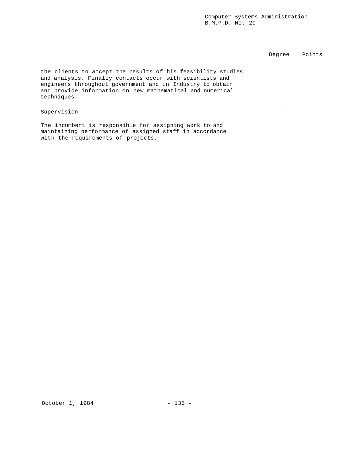Degree Points

- -

the clients to accept the results of his feasibility studies and analysis. Finally contacts occur with scientists and engineers throughout government and in Industry to obtain and provide information on new mathematical and numerical techniques.

# Supervision

The incumbent is responsible for assigning work to and maintaining performance of assigned staff in accordance with the requirements of projects.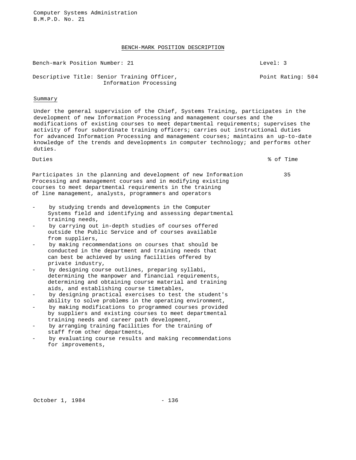#### BENCH-MARK POSITION DESCRIPTION

Bench-mark Position Number: 21 Level: 3

Point Rating: 504

Descriptive Title: Senior Training Officer, Information Processing

#### Summary

Under the general supervision of the Chief, Systems Training, participates in the development of new Information Processing and management courses and the modifications of existing courses to meet departmental requirements; supervises the activity of four subordinate training officers; carries out instructional duties for advanced Information Processing and management courses; maintains an up-to-date knowledge of the trends and developments in computer technology; and performs other duties.

Duties % of Time

Participates in the planning and development of new Information Processing and management courses and in modifying existing courses to meet departmental requirements in the training of line management, analysts, programmers and operators

- by studying trends and developments in the Computer Systems field and identifying and assessing departmental training needs,
- by carrying out in-depth studies of courses offered outside the Public Service and of courses available from suppliers,
- by making recommendations on courses that should be conducted in the department and training needs that can best be achieved by using facilities offered by private industry,
- by designing course outlines, preparing syllabi, determining the manpower and financial requirements, determining and obtaining course material and training aids, and establishing course timetables,
- by designing practical exercises to test the student's ability to solve problems in the operating environment,
- by making modifications to programmed courses provided by suppliers and existing courses to meet departmental training needs and career path development,
- by arranging training facilities for the training of staff from other departments,
- by evaluating course results and making recommendations for improvements,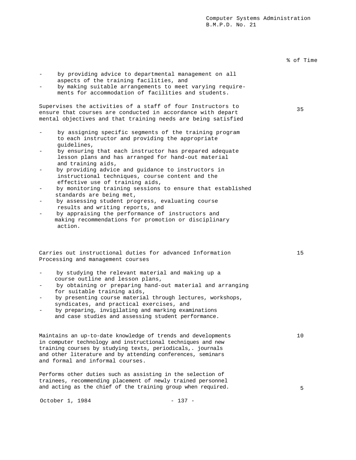|                                                      |                                                                                                                                                                                                                     | % of Time |
|------------------------------------------------------|---------------------------------------------------------------------------------------------------------------------------------------------------------------------------------------------------------------------|-----------|
| $\overline{\phantom{0}}$<br>$\overline{\phantom{0}}$ | by providing advice to departmental management on all<br>aspects of the training facilities, and<br>by making suitable arrangements to meet varying require-<br>ments for accommodation of facilities and students. |           |
|                                                      | Supervises the activities of a staff of four Instructors to<br>ensure that courses are conducted in accordance with depart<br>mental objectives and that training needs are being satisfied                         | 35        |
|                                                      | by assigning specific segments of the training program<br>to each instructor and providing the appropriate<br>guidelines,                                                                                           |           |
| $\qquad \qquad -$                                    | by ensuring that each instructor has prepared adequate<br>lesson plans and has arranged for hand-out material<br>and training aids,                                                                                 |           |
| $\qquad \qquad -$                                    | by providing advice and quidance to instructors in<br>instructional techniques, course content and the<br>effective use of training aids,                                                                           |           |
| $\overline{\phantom{a}}$                             | by monitoring training sessions to ensure that established<br>standards are being met,                                                                                                                              |           |
| $\qquad \qquad -$<br>$\qquad \qquad -$               | by assessing student progress, evaluating course<br>results and writing reports, and<br>by appraising the performance of instructors and                                                                            |           |
|                                                      | making recommendations for promotion or disciplinary<br>action.                                                                                                                                                     |           |
|                                                      | Carries out instructional duties for advanced Information<br>Processing and management courses                                                                                                                      | 15        |
| $\overline{\phantom{0}}$                             | by studying the relevant material and making up a<br>course outline and lesson plans,                                                                                                                               |           |
| $\overline{\phantom{0}}$                             | by obtaining or preparing hand-out material and arranging<br>for suitable training aids,                                                                                                                            |           |
| $\qquad \qquad -$                                    | by presenting course material through lectures, workshops,<br>syndicates, and practical exercises, and                                                                                                              |           |
| $\overline{\phantom{0}}$                             | by preparing, invigilating and marking examinations<br>and case studies and assessing student performance.                                                                                                          |           |
|                                                      |                                                                                                                                                                                                                     |           |

Maintains an up-to-date knowledge of trends and developments in computer technology and instructional techniques and new training courses by studying texts, periodicals,. journals and other literature and by attending conferences, seminars and formal and informal courses.

Performs other duties such as assisting in the selection of trainees, recommending placement of newly trained personnel and acting as the chief of the training group when required.  $\qquad \qquad$  5

October 1, 1984 - 137 -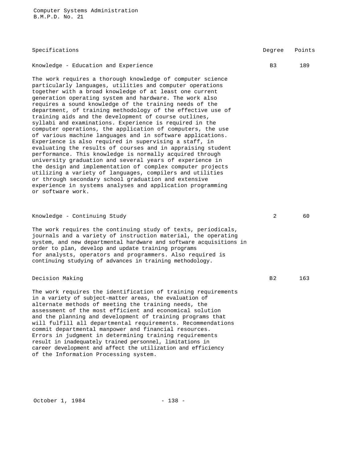| Specifications                                                                                                                                                                                                                                                                                                                                                                                                                                                                                                                                                                                                                                                                                                                                                                                                                                                                                                                                                                                                                                                                                                                                 | Degree         | Points |
|------------------------------------------------------------------------------------------------------------------------------------------------------------------------------------------------------------------------------------------------------------------------------------------------------------------------------------------------------------------------------------------------------------------------------------------------------------------------------------------------------------------------------------------------------------------------------------------------------------------------------------------------------------------------------------------------------------------------------------------------------------------------------------------------------------------------------------------------------------------------------------------------------------------------------------------------------------------------------------------------------------------------------------------------------------------------------------------------------------------------------------------------|----------------|--------|
| Knowledge - Education and Experience                                                                                                                                                                                                                                                                                                                                                                                                                                                                                                                                                                                                                                                                                                                                                                                                                                                                                                                                                                                                                                                                                                           | B <sub>3</sub> | 189    |
| The work requires a thorough knowledge of computer science<br>particularly languages, utilities and computer operations<br>together with a broad knowledge of at least one current<br>generation operating system and hardware. The work also<br>requires a sound knowledge of the training needs of the<br>department, of training methodology of the effective use of<br>training aids and the development of course outlines,<br>syllabi and examinations. Experience is required in the<br>computer operations, the application of computers, the use<br>of various machine languages and in software applications.<br>Experience is also required in supervising a staff, in<br>evaluating the results of courses and in appraising student<br>performance. This knowledge is normally acquired through<br>university graduation and several years of experience in<br>the design and implementation of complex computer projects<br>utilizing a variety of languages, compilers and utilities<br>or through secondary school graduation and extensive<br>experience in systems analyses and application programming<br>or software work. |                |        |
| Knowledge - Continuing Study                                                                                                                                                                                                                                                                                                                                                                                                                                                                                                                                                                                                                                                                                                                                                                                                                                                                                                                                                                                                                                                                                                                   | 2              | 60     |
| The work requires the continuing study of texts, periodicals,<br>journals and a variety of instruction material, the operating<br>system, and new departmental hardware and software acquisitions in<br>order to plan, develop and update training programs<br>for analysts, operators and programmers. Also required is<br>continuing studying of advances in training methodology.                                                                                                                                                                                                                                                                                                                                                                                                                                                                                                                                                                                                                                                                                                                                                           |                |        |
| Decision Making                                                                                                                                                                                                                                                                                                                                                                                                                                                                                                                                                                                                                                                                                                                                                                                                                                                                                                                                                                                                                                                                                                                                | B <sub>2</sub> | 163    |
| The work requires the identification of training requirements<br>in a variety of subject-matter areas, the evaluation of<br>alternate methods of meeting the training needs, the<br>assessment of the most efficient and economical solution<br>and the planning and development of training programs that<br>will fulfill all departmental requirements. Recommendations<br>commit departmental manpower and financial resources.<br>Errors in judgment in determining training requirements<br>result in inadequately trained personnel, limitations in                                                                                                                                                                                                                                                                                                                                                                                                                                                                                                                                                                                      |                |        |

of the Information Processing system.

career development and affect the utilization and efficiency

October 1, 1984 - 138 -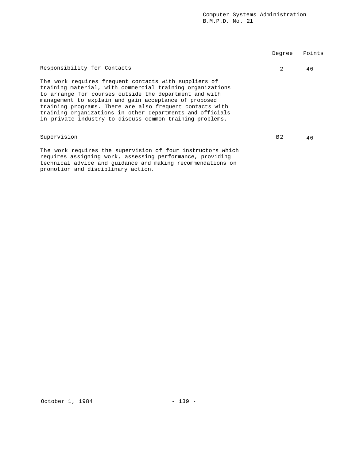|                                                                                                                                                                                                                                                                                                                                                                                                                            | Degree         | Points |
|----------------------------------------------------------------------------------------------------------------------------------------------------------------------------------------------------------------------------------------------------------------------------------------------------------------------------------------------------------------------------------------------------------------------------|----------------|--------|
| Responsibility for Contacts                                                                                                                                                                                                                                                                                                                                                                                                | 2              | 46     |
| The work requires frequent contacts with suppliers of<br>training material, with commercial training organizations<br>to arrange for courses outside the department and with<br>management to explain and gain acceptance of proposed<br>training programs. There are also frequent contacts with<br>training organizations in other departments and officials<br>in private industry to discuss common training problems. |                |        |
| Supervision                                                                                                                                                                                                                                                                                                                                                                                                                | B <sub>2</sub> | 46     |
| The work requires the supervision of four instructors which<br>requires assigning work, assessing performance, providing<br>technical advice and quidance and making recommendations on                                                                                                                                                                                                                                    |                |        |

promotion and disciplinary action.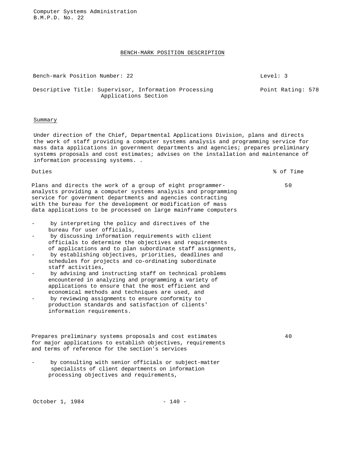#### BENCH-MARK POSITION DESCRIPTION

Bench-mark Position Number: 22 Level: 3

Point Rating: 578

Descriptive Title: Supervisor, Information Processing Applications Section

#### Summary

Under direction of the Chief, Departmental Applications Division, plans and directs the work of staff providing a computer systems analysis and programming service for mass data applications in government departments and agencies; prepares preliminary systems proposals and cost estimates; advises on the installation and maintenance of information processing systems. .

Plans and directs the work of a group of eight programmeranalysts providing a computer systems analysis and programming service for government departments and agencies contracting with the bureau for the development or modification of mass data applications to be processed on large mainframe computers

- by interpreting the policy and directives of the bureau for user officials,
- by discussing information requirements with client officials to determine the objectives and requirements of applications and to plan subordinate staff assignments,
- by establishing objectives, priorities, deadlines and schedules for projects and co-ordinating subordinate staff activities,
- by advising and instructing staff on technical problems encountered in analyzing and programming a variety of applications to ensure that the most efficient and economical methods and techniques are used, and
- by reviewing assignments to ensure conformity to production standards and satisfaction of clients' information requirements.

Prepares preliminary systems proposals and cost estimates for major applications to establish objectives, requirements and terms of reference for the section's services

by consulting with senior officials or subject-matter specialists of client departments on information processing objectives and requirements,

October 1, 1984 - 140 -

Duties % of Time

50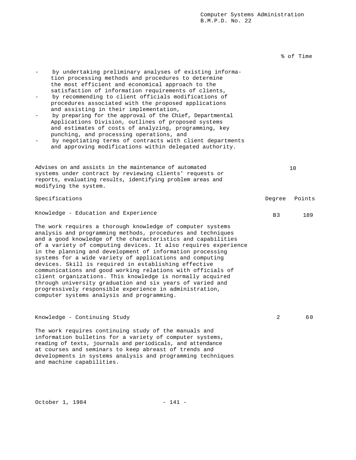|                                                                                                                                                                                                                                                                                                                                                                                                                                                                                                                                                                                                                                                                                                                                                |                | % of Time |
|------------------------------------------------------------------------------------------------------------------------------------------------------------------------------------------------------------------------------------------------------------------------------------------------------------------------------------------------------------------------------------------------------------------------------------------------------------------------------------------------------------------------------------------------------------------------------------------------------------------------------------------------------------------------------------------------------------------------------------------------|----------------|-----------|
| by undertaking preliminary analyses of existing informa-<br>tion processing methods and procedures to determine<br>the most efficient and economical approach to the<br>satisfaction of information requirements of clients,<br>by recommending to client officials modifications of<br>procedures associated with the proposed applications<br>and assisting in their implementation,<br>by preparing for the approval of the Chief, Departmental<br>Applications Division, outlines of proposed systems<br>and estimates of costs of analyzing, programming, key<br>punching, and processing operations, and<br>by negotiating terms of contracts with client departments<br>and approving modifications within delegated authority.         |                |           |
| Advises on and assists in the maintenance of automated<br>systems under contract by reviewing clients' requests or<br>reports, evaluating results, identifying problem areas and<br>modifying the system.                                                                                                                                                                                                                                                                                                                                                                                                                                                                                                                                      |                | 10        |
| Specifications                                                                                                                                                                                                                                                                                                                                                                                                                                                                                                                                                                                                                                                                                                                                 | Degree         | Points    |
| Knowledge - Education and Experience                                                                                                                                                                                                                                                                                                                                                                                                                                                                                                                                                                                                                                                                                                           | B <sub>3</sub> | 189       |
| The work requires a thorough knowledge of computer systems<br>analysis and programming methods, procedures and techniques<br>and a good knowledge of the characteristics and capabilities<br>of a variety of computing devices. It also requires experience<br>in the planning and development of information processing<br>systems for a wide variety of applications and computing<br>devices. Skill is required in establishing effective<br>communications and good working relations with officials of<br>client organizations. This knowledge is normally acquired<br>through university graduation and six years of varied and<br>progressively responsible experience in administration,<br>computer systems analysis and programming. |                |           |
| Knowledge - Continuing Study                                                                                                                                                                                                                                                                                                                                                                                                                                                                                                                                                                                                                                                                                                                   | $\overline{2}$ | 60        |
| The work requires continuing study of the manuals and<br>information bulletins for a variety of computer systems,                                                                                                                                                                                                                                                                                                                                                                                                                                                                                                                                                                                                                              |                |           |

reading of texts, journals and periodicals, and attendance at courses and seminars to keep abreast of trends and developments in systems analysis and programming techniques and machine capabilities.

October 1, 1984 - 141 -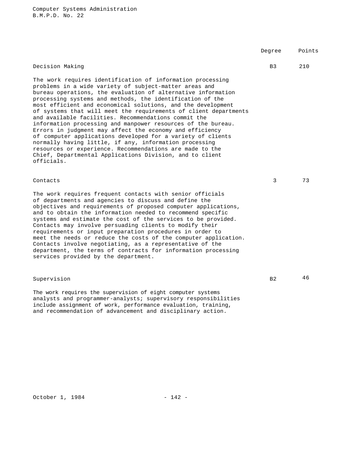| Decision Making                                                                                                                                                                                                                                                                                                                                                                                                                                                                                                                                                                                                                                                                                                                                                                                                                          | B3             | 210 |
|------------------------------------------------------------------------------------------------------------------------------------------------------------------------------------------------------------------------------------------------------------------------------------------------------------------------------------------------------------------------------------------------------------------------------------------------------------------------------------------------------------------------------------------------------------------------------------------------------------------------------------------------------------------------------------------------------------------------------------------------------------------------------------------------------------------------------------------|----------------|-----|
| The work requires identification of information processing<br>problems in a wide variety of subject-matter areas and<br>bureau operations, the evaluation of alternative information<br>processing systems and methods, the identification of the<br>most efficient and economical solutions, and the development<br>of systems that will meet the requirements of client departments<br>and available facilities. Recommendations commit the<br>information processing and manpower resources of the bureau.<br>Errors in judgment may affect the economy and efficiency<br>of computer applications developed for a variety of clients<br>normally having little, if any, information processing<br>resources or experience. Recommendations are made to the<br>Chief, Departmental Applications Division, and to client<br>officials. |                |     |
| Contacts                                                                                                                                                                                                                                                                                                                                                                                                                                                                                                                                                                                                                                                                                                                                                                                                                                 | 3              | 73  |
| The work requires frequent contacts with senior officials<br>of departments and agencies to discuss and define the<br>objectives and requirements of proposed computer applications,<br>and to obtain the information needed to recommend specific<br>systems and estimate the cost of the services to be provided.<br>Contacts may involve persuading clients to modify their<br>requirements or input preparation procedures in order to<br>meet the needs or reduce the costs of the computer application.<br>Contacts involve negotiating, as a representative of the<br>department, the terms of contracts for information processing<br>services provided by the department.                                                                                                                                                       |                |     |
| Supervision                                                                                                                                                                                                                                                                                                                                                                                                                                                                                                                                                                                                                                                                                                                                                                                                                              | B <sub>2</sub> | 46  |
| The work requires the supervision of eight computer systems<br>analysts and programmer-analysts; supervisory responsibilities<br>include assignment of work, performance evaluation, training,<br>and recommendation of advancement and disciplinary action.                                                                                                                                                                                                                                                                                                                                                                                                                                                                                                                                                                             |                |     |

Degree Points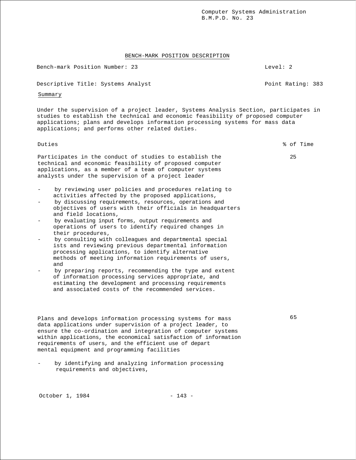#### BENCH-MARK POSITION DESCRIPTION

Bench-mark Position Number: 23 Level: 2

Descriptive Title: Systems Analyst **Point Rating: 383** 

Summary

Under the supervision of a project leader, Systems Analysis Section, participates in studies to establish the technical and economic feasibility of proposed computer applications; plans and develops information processing systems for mass data applications; and performs other related duties.

Duties % of Time Participates in the conduct of studies to establish the technical and economic feasibility of proposed computer applications, as a member of a team of computer systems analysts under the supervision of a project leader by reviewing user policies and procedures relating to activities affected by the proposed applications, by discussing requirements, resources, operations and objectives of users with their officials in headquarters and field locations, by evaluating input forms, output requirements and operations of users to identify required changes in their procedures, by consulting with colleagues and departmental special ists and reviewing previous departmental information processing applications, to identify alternative methods of meeting information requirements of users, and by preparing reports, recommending the type and extent of information processing services appropriate, and estimating the development and processing requirements and associated costs of the recommended services. 25

Plans and develops information processing systems for mass data applications under supervision of a project leader, to ensure the co-ordination and integration of computer systems within applications, the economical satisfaction of information requirements of users, and the efficient use of depart mental equipment and programming facilities

by identifying and analyzing information processing requirements and objectives,

October 1, 1984 - 143 -

65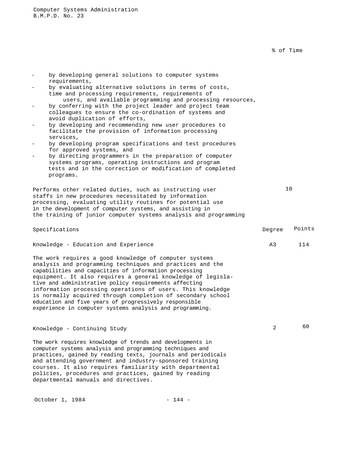% of Time

| $\overline{\phantom{0}}$<br>$\qquad \qquad -$ | by developing general solutions to computer systems<br>requirements,<br>by evaluating alternative solutions in terms of costs,<br>time and processing requirements, requirements of<br>users, and available programming and processing resources,<br>by conferring with the project leader and project team<br>colleagues to ensure the co-ordination of systems and<br>avoid duplication of efforts,<br>by developing and recommending new user procedures to<br>facilitate the provision of information processing<br>services,<br>by developing program specifications and test procedures<br>for approved systems, and<br>by directing programmers in the preparation of computer<br>systems programs, operating instructions and program<br>tests and in the correction or modification of completed<br>programs. |        |        |
|-----------------------------------------------|------------------------------------------------------------------------------------------------------------------------------------------------------------------------------------------------------------------------------------------------------------------------------------------------------------------------------------------------------------------------------------------------------------------------------------------------------------------------------------------------------------------------------------------------------------------------------------------------------------------------------------------------------------------------------------------------------------------------------------------------------------------------------------------------------------------------|--------|--------|
|                                               | Performs other related duties, such as instructing user<br>staffs in new procedures necessitated by information<br>processing, evaluating utility routines for potential use<br>in the development of computer systems, and assisting in<br>the training of junior computer systems analysis and programming                                                                                                                                                                                                                                                                                                                                                                                                                                                                                                           | 10     |        |
|                                               | Specifications                                                                                                                                                                                                                                                                                                                                                                                                                                                                                                                                                                                                                                                                                                                                                                                                         | Degree | Points |
|                                               | Knowledge - Education and Experience                                                                                                                                                                                                                                                                                                                                                                                                                                                                                                                                                                                                                                                                                                                                                                                   | A3     | 114    |
|                                               | The work requires a good knowledge of computer systems<br>analysis and programming techniques and practices and the<br>capabilities and capacities of information processing<br>equipment. It also requires a general knowledge of legisla-<br>tive and administrative policy requirements affecting<br>information processing operations of users. This knowledge<br>is normally acquired through completion of secondary school<br>education and five years of progressively responsible<br>experience in computer systems analysis and programming.                                                                                                                                                                                                                                                                 |        |        |
|                                               | Knowledge - Continuing Study                                                                                                                                                                                                                                                                                                                                                                                                                                                                                                                                                                                                                                                                                                                                                                                           | 2      | 60     |
|                                               | The work requires knowledge of trends and developments in<br>computer systems analysis and programming techniques and<br>practices, gained by reading texts, journals and periodicals<br>and attending government and industry-sponsored training<br>courses. It also requires familiarity with departmental<br>policies, procedures and practices, gained by reading<br>departmental manuals and directives.                                                                                                                                                                                                                                                                                                                                                                                                          |        |        |

October 1, 1984 - 144 -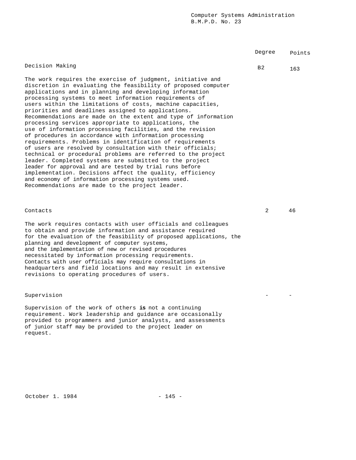### Decision Making

Degree Points

# B2 163

The work requires the exercise of judgment, initiative and discretion in evaluating the feasibility of proposed computer applications and in planning and developing information processing systems to meet information requirements of users within the limitations of costs, machine capacities, priorities and deadlines assigned to applications. Recommendations are made on the extent and type of information processing services appropriate to applications, the use of information processing facilities, and the revision of procedures in accordance with information processing requirements. Problems in identification of requirements of users are resolved by consultation with their officials; technical or procedural problems are referred to the project leader. Completed systems are submitted to the project leader for approval and are tested by trial runs before implementation. Decisions affect the quality, efficiency and economy of information processing systems used. Recommendations are made to the project leader.

## Contacts

The work requires contacts with user officials and colleagues to obtain and provide information and assistance required for the evaluation of the feasibility of proposed applications, the planning and development of computer systems, and the implementation of new or revised procedures necessitated by information processing requirements. Contacts with user officials may require consultations in headquarters and field locations and may result in extensive revisions to operating procedures of users.

## Supervision

Supervision of the work of others **is** not a continuing requirement. Work leadership and guidance are occasionally provided to programmers and junior analysts, and assessments of junior staff may be provided to the project leader on request.

2 46

- -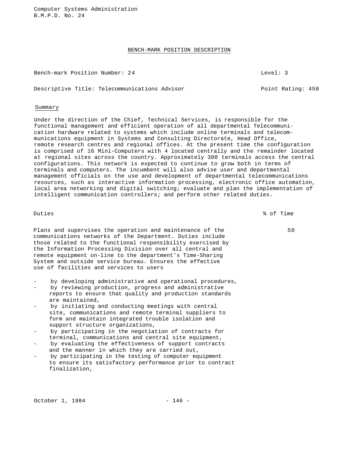## BENCH-MARK POSITION DESCRIPTION

Bench-mark Position Number: 24 Level: 3

Descriptive Title: Telecommunications Advisor example and the Point Rating: 458

#### Summary

Under the direction of the Chief, Technical Services, is responsible for the functional management and efficient operation of all departmental Telecommunication hardware related to systems which include online terminals and telecommunications equipment in Systems and Consulting Directorate, Head Office, remote research centres and regional offices. At the present time the configuration is comprised of 16 Mini-Computers with 4 located centrally and the remainder located at regional sites across the country. Approximately 300 terminals access the central configurations. This network is expected to continue to grow both in terms of terminals and computers. The incumbent will also advise user and departmental management officials on the use and development of departmental telecommunications resources, such as interactive information processing, electronic office automation, local area networking and digital switching; evaluate and plan the implementation of intelligent communication controllers; and perform other related duties.

Duties % of Time

Plans and supervises the operation and maintenance of the communications networks of the Department. Duties include those related to the functional responsibility exercised by the Information Processing Division over all central and remote equipment on-line to the department's Time-Sharing System and outside service bureau. Ensures the effective use of facilities and services to users

- by developing administrative and operational procedures,
- by reviewing production, progress and administrative reports to ensure that quality and production standards are maintained,
- by initiating and conducting meetings with central site, communications and remote terminal suppliers to form and maintain integrated trouble isolation and support structure organizations,
- by participating in the negotiation of contracts for terminal, communications and central site equipment,
- by evaluating the effectiveness of support contracts and the manner in which they are carried out,
- by participating in the testing of computer equipment to ensure its satisfactory performance prior to contract finalization,

50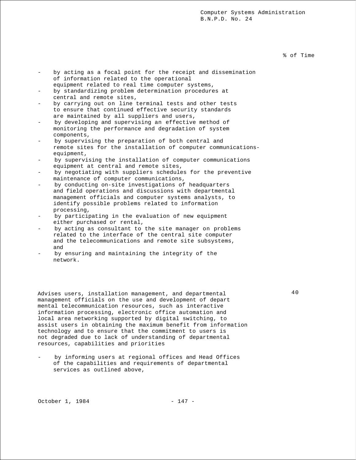# % of Time

- by acting as a focal point for the receipt and dissemination of information related to the operational
- equipment related to real time computer systems, by standardizing problem determination procedures at central and remote sites,
- by carrying out on line terminal tests and other tests to ensure that continued effective security standards are maintained by all suppliers and users,
- by developing and supervising an effective method of monitoring the performance and degradation of system components,
- by supervising the preparation of both central and remote sites for the installation of computer communicationsequipment,
- by supervising the installation of computer communications equipment at central and remote sites,
- by negotiating with suppliers schedules for the preventive maintenance of computer communications,
- by conducting on-site investigations of headquarters and field operations and discussions with departmental management officials and computer systems analysts, to identify possible problems related to information processing,
- by participating in the evaluation of new equipment either purchased or rental,
- by acting as consultant to the site manager on problems related to the interface of the central site computer and the telecommunications and remote site subsystems, and
- by ensuring and maintaining the integrity of the network.

Advises users, installation management, and departmental management officials on the use and development of depart mental telecommunication resources, such as interactive information processing, electronic office automation and local area networking supported by digital switching, to assist users in obtaining the maximum benefit from information technology and to ensure that the commitment to users is not degraded due to lack of understanding of departmental resources, capabilities and priorities

by informing users at regional offices and Head Offices of the capabilities and requirements of departmental services as outlined above,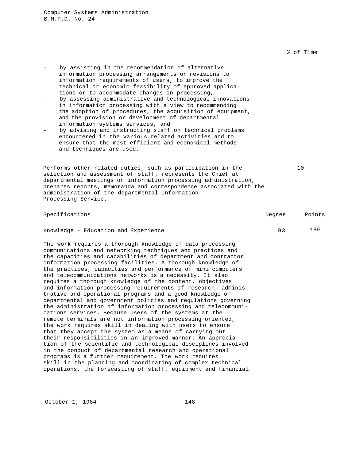by assisting in the recommendation of alternative information processing arrangements or revisions to information requirements of users, to improve the technical or economic feasibility of approved applications or to accommodate changes in processing, by assessing administrative and technological innovations in information processing with a view to recommending the adoption of procedures, the acquisition of equipment, and the provision or development of departmental information systems services, and - by advising and instructing staff on technical problems encountered in the various related activities and to ensure that the most efficient and economical methods and techniques are used. Performs other related duties, such as participation in the selection and assessment of staff, represents the Chief at departmental meetings on information processing administration, prepares reports, memoranda and correspondence associated with the administration of the departmental Information Processing Service. 10 Specifications **Degree** Points **Degree** Points Knowledge - Education and Experience The work requires a thorough knowledge of data processing communications and networking techniques and practices and the capacities and capabilities of department and contractor information processing facilities. A thorough knowledge of the practices, capacities and performance of mini computers and telecommunications networks is a necessity. It also requires a thorough knowledge of the content, objectives and information processing requirements of research, administrative and operational programs and a good knowledge of B3 189

% of Time

departmental and government policies and regulations governing the administration of information processing and telecommunications services. Because users of the systems at the remote terminals are not information processing oriented, the work requires skill in dealing with users to ensure that they accept the system as a means of carrying out their responsibilities in an improved manner. An appreciation of the scientific and technological disciplines involved in the conduct of departmental research and operational programs is a further requirement. The work requires skill in the planning and coordinating of complex technical operations, the forecasting of staff, equipment and financial

October 1, 1984 - 148 -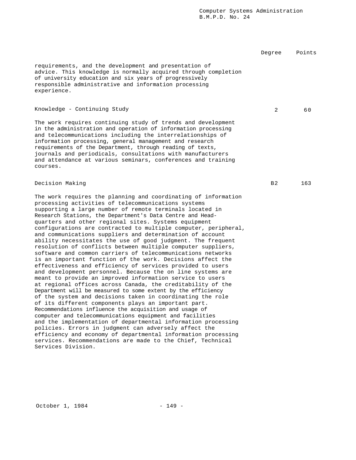requirements, and the development and presentation of advice. This knowledge is normally acquired through completion of university education and six years of progressively responsible administrative and information processing experience.

# Knowledge - Continuing Study

The work requires continuing study of trends and development in the administration and operation of information processing and telecommunications including the interrelationships of information processing, general management and research requirements of the Department, through reading of texts, journals and periodicals, consultations with manufacturers and attendance at various seminars, conferences and training courses.

## Decision Making

The work requires the planning and coordinating of information processing activities of telecommunications systems supporting a large number of remote terminals located in Research Stations, the Department's Data Centre and Headquarters and other regional sites. Systems equipment configurations are contracted to multiple computer, peripheral, and communications suppliers and determination of account ability necessitates the use of good judgment. The frequent resolution of conflicts between multiple computer suppliers, software and common carriers of telecommunications networks is an important function of the work. Decisions affect the effectiveness and efficiency of services provided to users and development personnel. Because the on line systems are meant to provide an improved information service to users at regional offices across Canada, the creditability of the Department will be measured to some extent by the efficiency of the system and decisions taken in coordinating the role of its different components plays an important part. Recommendations influence the acquisition and usage of computer and telecommunications equipment and facilities and the implementation of departmental information processing policies. Errors in judgment can adversely affect the efficiency and economy of departmental information processing services. Recommendations are made to the Chief, Technical Services Division.

Degree Points

2 60

B2 163